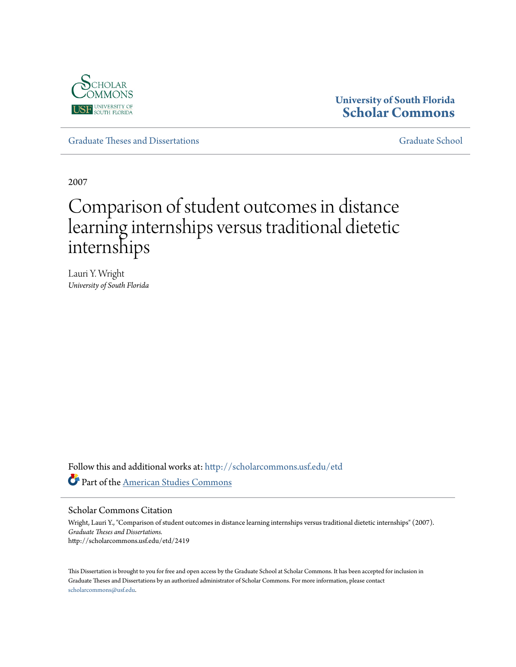

# **University of South Florida [Scholar Commons](http://scholarcommons.usf.edu?utm_source=scholarcommons.usf.edu%2Fetd%2F2419&utm_medium=PDF&utm_campaign=PDFCoverPages)**

[Graduate Theses and Dissertations](http://scholarcommons.usf.edu/etd?utm_source=scholarcommons.usf.edu%2Fetd%2F2419&utm_medium=PDF&utm_campaign=PDFCoverPages) [Graduate School](http://scholarcommons.usf.edu/grad?utm_source=scholarcommons.usf.edu%2Fetd%2F2419&utm_medium=PDF&utm_campaign=PDFCoverPages)

2007

# Comparison of student outcomes in distance learning internships versus traditional dietetic internships

Lauri Y. Wright *University of South Florida*

Follow this and additional works at: [http://scholarcommons.usf.edu/etd](http://scholarcommons.usf.edu/etd?utm_source=scholarcommons.usf.edu%2Fetd%2F2419&utm_medium=PDF&utm_campaign=PDFCoverPages) Part of the [American Studies Commons](http://network.bepress.com/hgg/discipline/439?utm_source=scholarcommons.usf.edu%2Fetd%2F2419&utm_medium=PDF&utm_campaign=PDFCoverPages)

Scholar Commons Citation

Wright, Lauri Y., "Comparison of student outcomes in distance learning internships versus traditional dietetic internships" (2007). *Graduate Theses and Dissertations.* http://scholarcommons.usf.edu/etd/2419

This Dissertation is brought to you for free and open access by the Graduate School at Scholar Commons. It has been accepted for inclusion in Graduate Theses and Dissertations by an authorized administrator of Scholar Commons. For more information, please contact [scholarcommons@usf.edu](mailto:scholarcommons@usf.edu).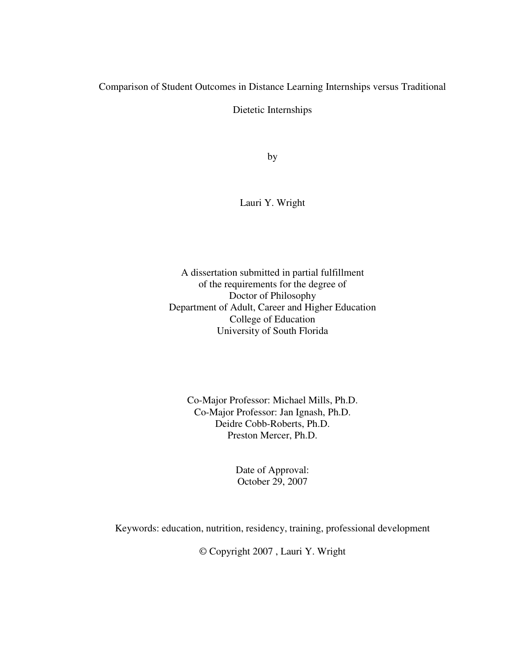Comparison of Student Outcomes in Distance Learning Internships versus Traditional

Dietetic Internships

by

Lauri Y. Wright

A dissertation submitted in partial fulfillment of the requirements for the degree of Doctor of Philosophy Department of Adult, Career and Higher Education College of Education University of South Florida

Co-Major Professor: Michael Mills, Ph.D. Co-Major Professor: Jan Ignash, Ph.D. Deidre Cobb-Roberts, Ph.D. Preston Mercer, Ph.D.

> Date of Approval: October 29, 2007

Keywords: education, nutrition, residency, training, professional development

© Copyright 2007 , Lauri Y. Wright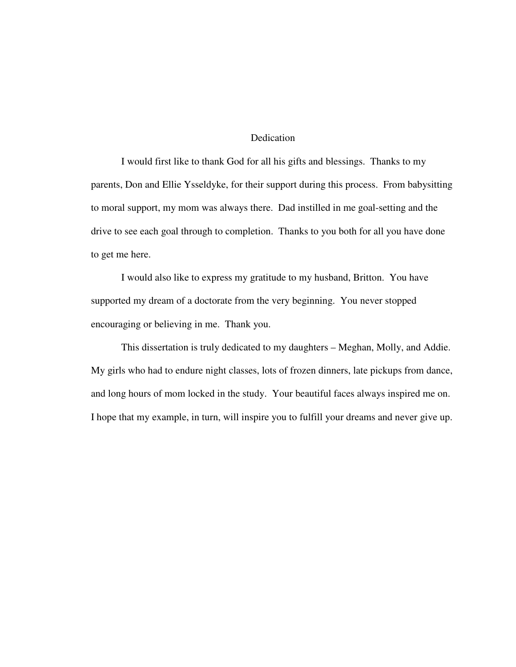#### Dedication

I would first like to thank God for all his gifts and blessings. Thanks to my parents, Don and Ellie Ysseldyke, for their support during this process. From babysitting to moral support, my mom was always there. Dad instilled in me goal-setting and the drive to see each goal through to completion. Thanks to you both for all you have done to get me here.

I would also like to express my gratitude to my husband, Britton. You have supported my dream of a doctorate from the very beginning. You never stopped encouraging or believing in me. Thank you.

This dissertation is truly dedicated to my daughters – Meghan, Molly, and Addie. My girls who had to endure night classes, lots of frozen dinners, late pickups from dance, and long hours of mom locked in the study. Your beautiful faces always inspired me on. I hope that my example, in turn, will inspire you to fulfill your dreams and never give up.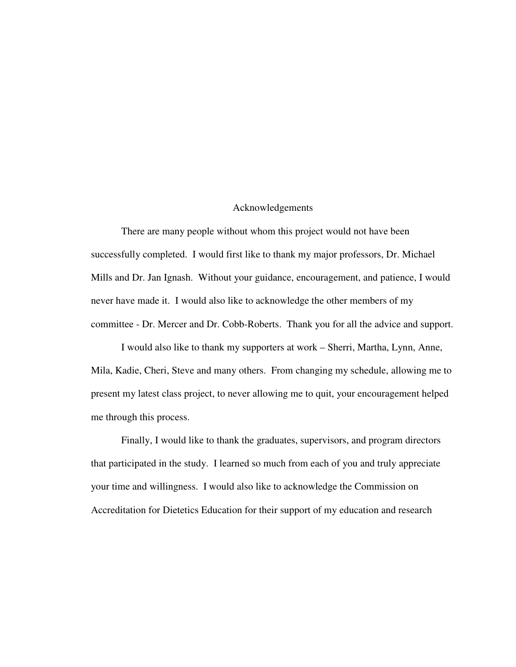#### Acknowledgements

There are many people without whom this project would not have been successfully completed. I would first like to thank my major professors, Dr. Michael Mills and Dr. Jan Ignash. Without your guidance, encouragement, and patience, I would never have made it. I would also like to acknowledge the other members of my committee - Dr. Mercer and Dr. Cobb-Roberts. Thank you for all the advice and support.

I would also like to thank my supporters at work – Sherri, Martha, Lynn, Anne, Mila, Kadie, Cheri, Steve and many others. From changing my schedule, allowing me to present my latest class project, to never allowing me to quit, your encouragement helped me through this process.

Finally, I would like to thank the graduates, supervisors, and program directors that participated in the study. I learned so much from each of you and truly appreciate your time and willingness. I would also like to acknowledge the Commission on Accreditation for Dietetics Education for their support of my education and research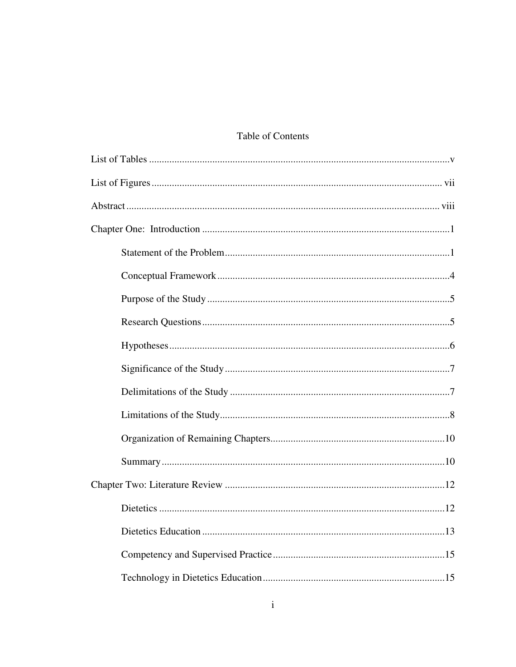# Table of Contents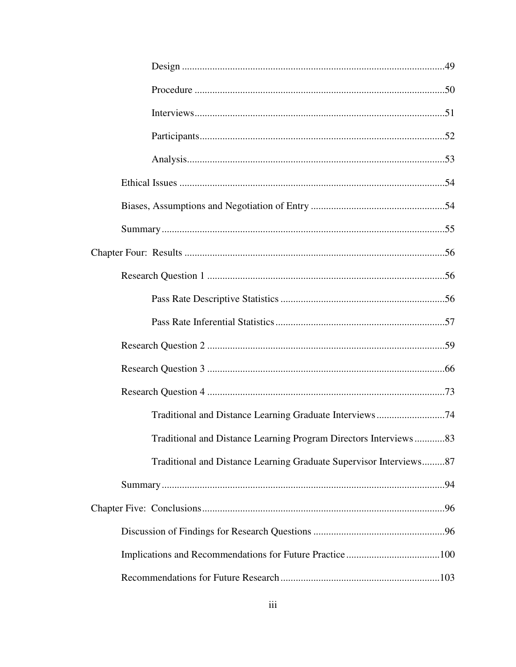| Traditional and Distance Learning Graduate Interviews74            |  |
|--------------------------------------------------------------------|--|
| Traditional and Distance Learning Program Directors Interviews83   |  |
| Traditional and Distance Learning Graduate Supervisor Interviews87 |  |
|                                                                    |  |
|                                                                    |  |
|                                                                    |  |
|                                                                    |  |
|                                                                    |  |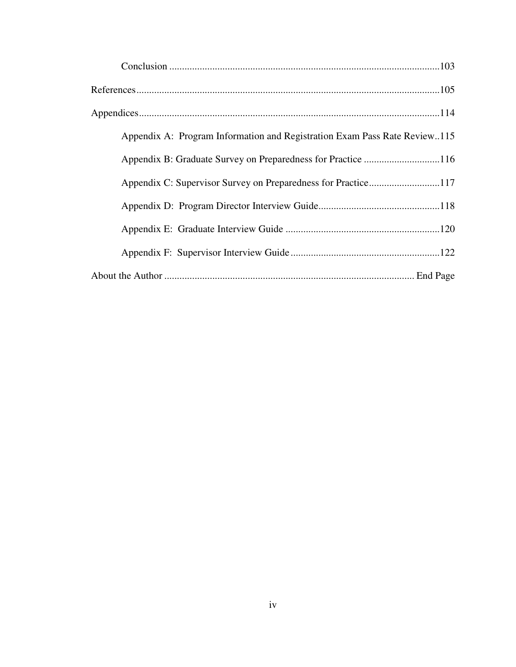| Appendix A: Program Information and Registration Exam Pass Rate Review115 |
|---------------------------------------------------------------------------|
|                                                                           |
|                                                                           |
|                                                                           |
|                                                                           |
|                                                                           |
|                                                                           |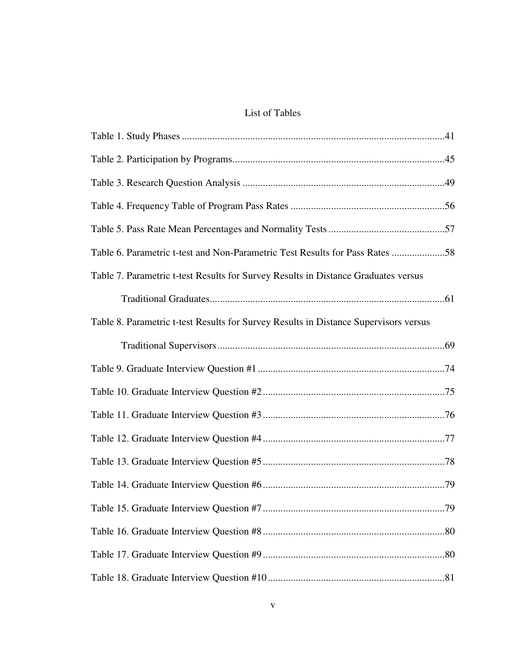## List of Tables

| Table 7. Parametric t-test Results for Survey Results in Distance Graduates versus   |
|--------------------------------------------------------------------------------------|
|                                                                                      |
| Table 8. Parametric t-test Results for Survey Results in Distance Supervisors versus |
|                                                                                      |
|                                                                                      |
|                                                                                      |
|                                                                                      |
|                                                                                      |
|                                                                                      |
|                                                                                      |
|                                                                                      |
|                                                                                      |
|                                                                                      |
|                                                                                      |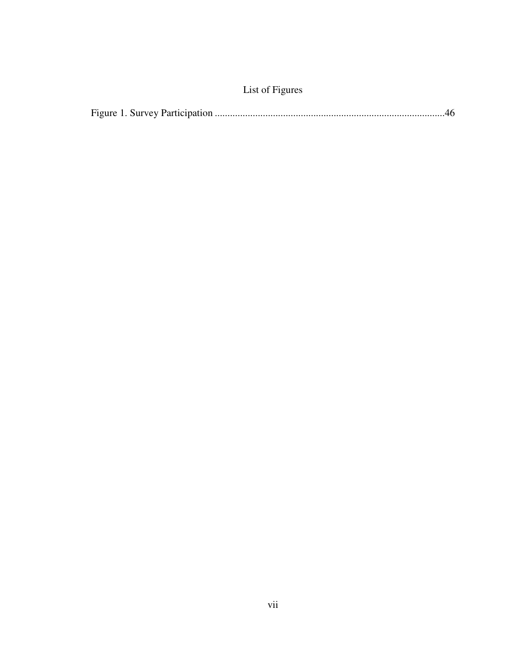# List of Figures

|--|--|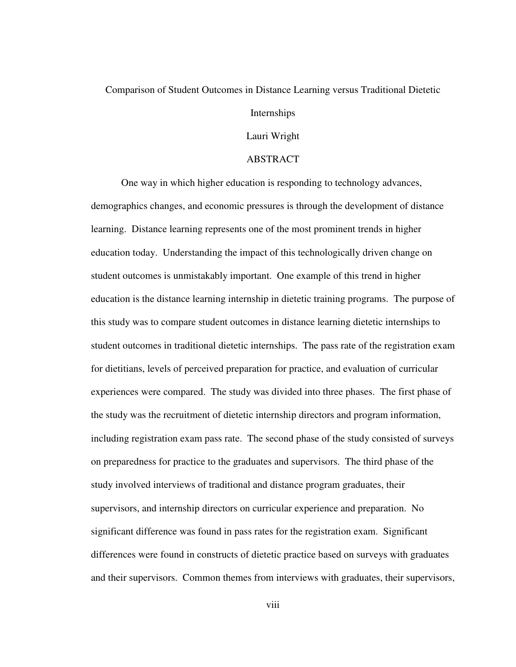#### Comparison of Student Outcomes in Distance Learning versus Traditional Dietetic

#### Internships

#### Lauri Wright

#### ABSTRACT

One way in which higher education is responding to technology advances, demographics changes, and economic pressures is through the development of distance learning. Distance learning represents one of the most prominent trends in higher education today. Understanding the impact of this technologically driven change on student outcomes is unmistakably important. One example of this trend in higher education is the distance learning internship in dietetic training programs. The purpose of this study was to compare student outcomes in distance learning dietetic internships to student outcomes in traditional dietetic internships. The pass rate of the registration exam for dietitians, levels of perceived preparation for practice, and evaluation of curricular experiences were compared. The study was divided into three phases. The first phase of the study was the recruitment of dietetic internship directors and program information, including registration exam pass rate. The second phase of the study consisted of surveys on preparedness for practice to the graduates and supervisors. The third phase of the study involved interviews of traditional and distance program graduates, their supervisors, and internship directors on curricular experience and preparation. No significant difference was found in pass rates for the registration exam. Significant differences were found in constructs of dietetic practice based on surveys with graduates and their supervisors. Common themes from interviews with graduates, their supervisors,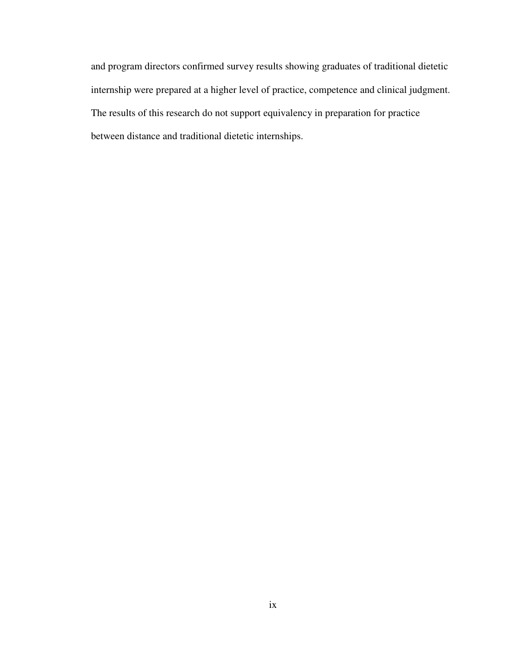and program directors confirmed survey results showing graduates of traditional dietetic internship were prepared at a higher level of practice, competence and clinical judgment. The results of this research do not support equivalency in preparation for practice between distance and traditional dietetic internships.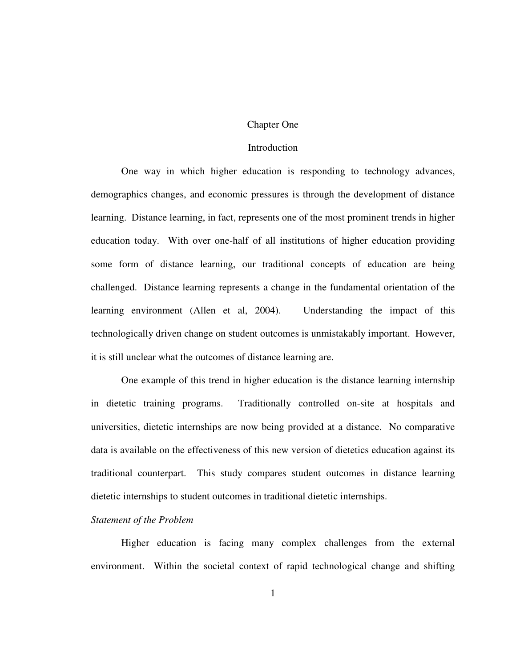#### Chapter One

#### **Introduction**

 One way in which higher education is responding to technology advances, demographics changes, and economic pressures is through the development of distance learning. Distance learning, in fact, represents one of the most prominent trends in higher education today. With over one-half of all institutions of higher education providing some form of distance learning, our traditional concepts of education are being challenged. Distance learning represents a change in the fundamental orientation of the learning environment (Allen et al, 2004). Understanding the impact of this technologically driven change on student outcomes is unmistakably important. However, it is still unclear what the outcomes of distance learning are.

One example of this trend in higher education is the distance learning internship in dietetic training programs. Traditionally controlled on-site at hospitals and universities, dietetic internships are now being provided at a distance. No comparative data is available on the effectiveness of this new version of dietetics education against its traditional counterpart. This study compares student outcomes in distance learning dietetic internships to student outcomes in traditional dietetic internships.

#### *Statement of the Problem*

Higher education is facing many complex challenges from the external environment. Within the societal context of rapid technological change and shifting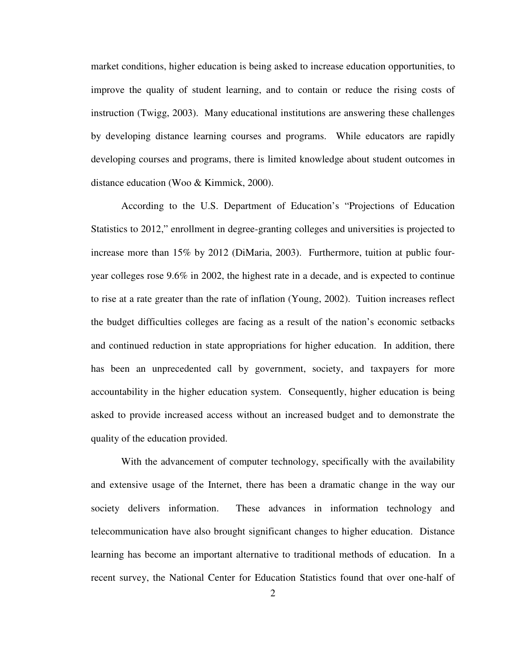market conditions, higher education is being asked to increase education opportunities, to improve the quality of student learning, and to contain or reduce the rising costs of instruction (Twigg, 2003). Many educational institutions are answering these challenges by developing distance learning courses and programs. While educators are rapidly developing courses and programs, there is limited knowledge about student outcomes in distance education (Woo & Kimmick, 2000).

According to the U.S. Department of Education's "Projections of Education Statistics to 2012," enrollment in degree-granting colleges and universities is projected to increase more than 15% by 2012 (DiMaria, 2003). Furthermore, tuition at public fouryear colleges rose 9.6% in 2002, the highest rate in a decade, and is expected to continue to rise at a rate greater than the rate of inflation (Young, 2002). Tuition increases reflect the budget difficulties colleges are facing as a result of the nation's economic setbacks and continued reduction in state appropriations for higher education. In addition, there has been an unprecedented call by government, society, and taxpayers for more accountability in the higher education system. Consequently, higher education is being asked to provide increased access without an increased budget and to demonstrate the quality of the education provided.

With the advancement of computer technology, specifically with the availability and extensive usage of the Internet, there has been a dramatic change in the way our society delivers information. These advances in information technology and telecommunication have also brought significant changes to higher education. Distance learning has become an important alternative to traditional methods of education. In a recent survey, the National Center for Education Statistics found that over one-half of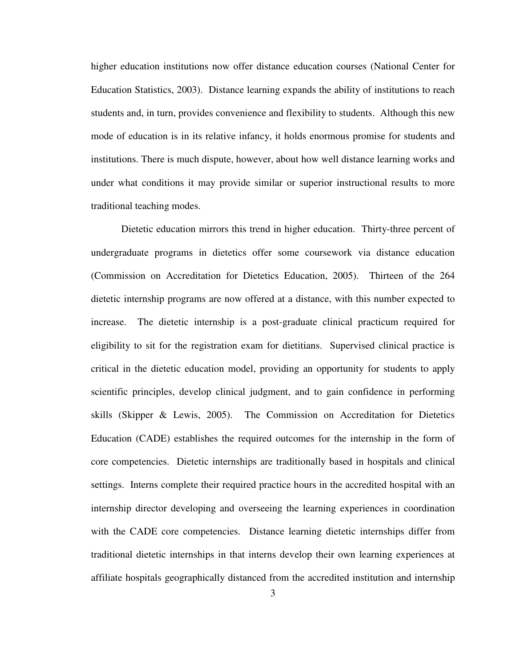higher education institutions now offer distance education courses (National Center for Education Statistics, 2003). Distance learning expands the ability of institutions to reach students and, in turn, provides convenience and flexibility to students. Although this new mode of education is in its relative infancy, it holds enormous promise for students and institutions. There is much dispute, however, about how well distance learning works and under what conditions it may provide similar or superior instructional results to more traditional teaching modes.

Dietetic education mirrors this trend in higher education. Thirty-three percent of undergraduate programs in dietetics offer some coursework via distance education (Commission on Accreditation for Dietetics Education, 2005). Thirteen of the 264 dietetic internship programs are now offered at a distance, with this number expected to increase. The dietetic internship is a post-graduate clinical practicum required for eligibility to sit for the registration exam for dietitians. Supervised clinical practice is critical in the dietetic education model, providing an opportunity for students to apply scientific principles, develop clinical judgment, and to gain confidence in performing skills (Skipper & Lewis, 2005). The Commission on Accreditation for Dietetics Education (CADE) establishes the required outcomes for the internship in the form of core competencies. Dietetic internships are traditionally based in hospitals and clinical settings. Interns complete their required practice hours in the accredited hospital with an internship director developing and overseeing the learning experiences in coordination with the CADE core competencies. Distance learning dietetic internships differ from traditional dietetic internships in that interns develop their own learning experiences at affiliate hospitals geographically distanced from the accredited institution and internship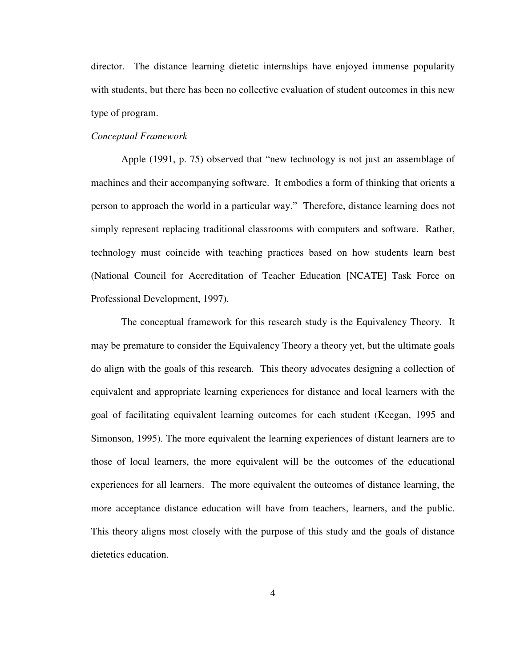director. The distance learning dietetic internships have enjoyed immense popularity with students, but there has been no collective evaluation of student outcomes in this new type of program.

#### *Conceptual Framework*

 Apple (1991, p. 75) observed that "new technology is not just an assemblage of machines and their accompanying software. It embodies a form of thinking that orients a person to approach the world in a particular way." Therefore, distance learning does not simply represent replacing traditional classrooms with computers and software. Rather, technology must coincide with teaching practices based on how students learn best (National Council for Accreditation of Teacher Education [NCATE] Task Force on Professional Development, 1997).

The conceptual framework for this research study is the Equivalency Theory. It may be premature to consider the Equivalency Theory a theory yet, but the ultimate goals do align with the goals of this research. This theory advocates designing a collection of equivalent and appropriate learning experiences for distance and local learners with the goal of facilitating equivalent learning outcomes for each student (Keegan, 1995 and Simonson, 1995). The more equivalent the learning experiences of distant learners are to those of local learners, the more equivalent will be the outcomes of the educational experiences for all learners. The more equivalent the outcomes of distance learning, the more acceptance distance education will have from teachers, learners, and the public. This theory aligns most closely with the purpose of this study and the goals of distance dietetics education.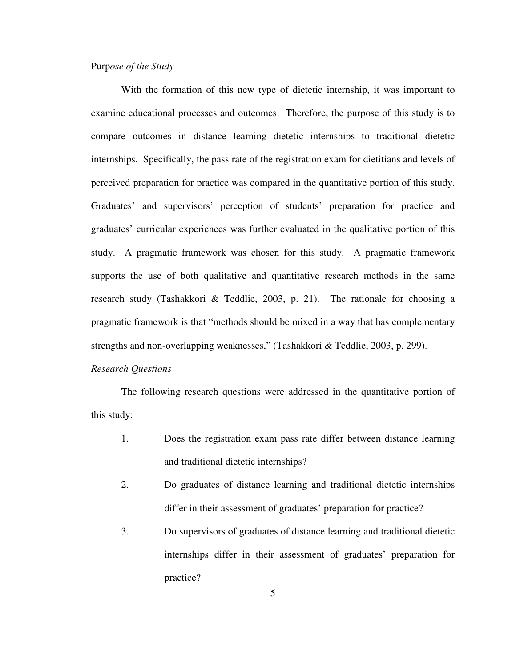#### Purp*ose of the Study*

With the formation of this new type of dietetic internship, it was important to examine educational processes and outcomes. Therefore, the purpose of this study is to compare outcomes in distance learning dietetic internships to traditional dietetic internships. Specifically, the pass rate of the registration exam for dietitians and levels of perceived preparation for practice was compared in the quantitative portion of this study. Graduates' and supervisors' perception of students' preparation for practice and graduates' curricular experiences was further evaluated in the qualitative portion of this study. A pragmatic framework was chosen for this study. A pragmatic framework supports the use of both qualitative and quantitative research methods in the same research study (Tashakkori & Teddlie, 2003, p. 21). The rationale for choosing a pragmatic framework is that "methods should be mixed in a way that has complementary strengths and non-overlapping weaknesses," (Tashakkori & Teddlie, 2003, p. 299).

#### *Research Questions*

The following research questions were addressed in the quantitative portion of this study:

- 1. Does the registration exam pass rate differ between distance learning and traditional dietetic internships?
- 2. Do graduates of distance learning and traditional dietetic internships differ in their assessment of graduates' preparation for practice?
- 3. Do supervisors of graduates of distance learning and traditional dietetic internships differ in their assessment of graduates' preparation for practice?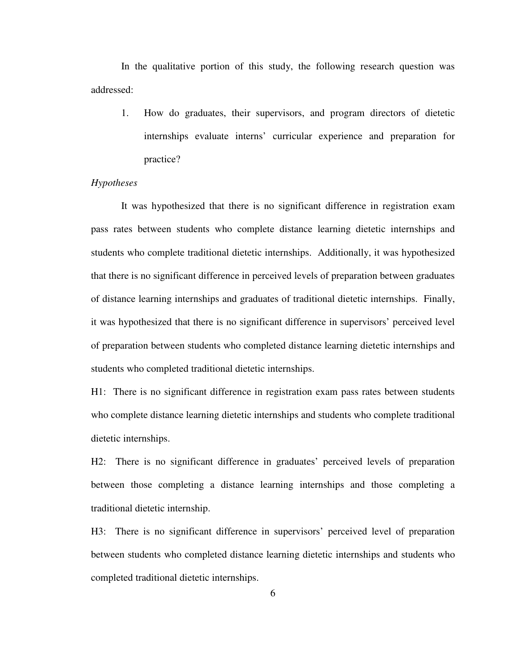In the qualitative portion of this study, the following research question was addressed:

1. How do graduates, their supervisors, and program directors of dietetic internships evaluate interns' curricular experience and preparation for practice?

#### *Hypotheses*

 It was hypothesized that there is no significant difference in registration exam pass rates between students who complete distance learning dietetic internships and students who complete traditional dietetic internships. Additionally, it was hypothesized that there is no significant difference in perceived levels of preparation between graduates of distance learning internships and graduates of traditional dietetic internships. Finally, it was hypothesized that there is no significant difference in supervisors' perceived level of preparation between students who completed distance learning dietetic internships and students who completed traditional dietetic internships.

H1: There is no significant difference in registration exam pass rates between students who complete distance learning dietetic internships and students who complete traditional dietetic internships.

H2: There is no significant difference in graduates' perceived levels of preparation between those completing a distance learning internships and those completing a traditional dietetic internship.

H3: There is no significant difference in supervisors' perceived level of preparation between students who completed distance learning dietetic internships and students who completed traditional dietetic internships.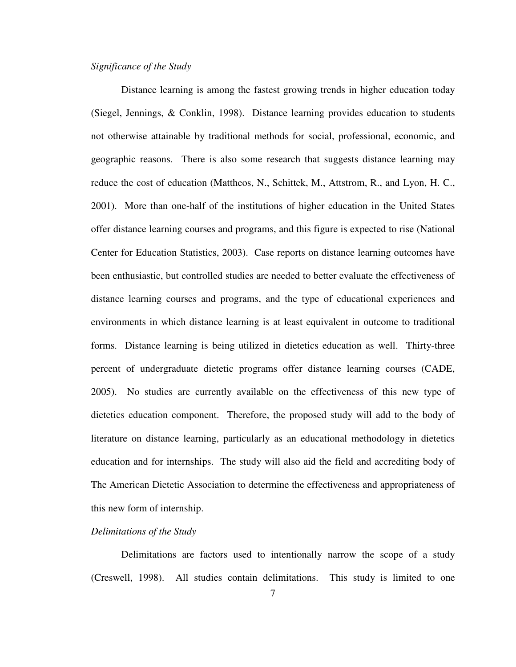#### *Significance of the Study*

 Distance learning is among the fastest growing trends in higher education today (Siegel, Jennings, & Conklin, 1998). Distance learning provides education to students not otherwise attainable by traditional methods for social, professional, economic, and geographic reasons. There is also some research that suggests distance learning may reduce the cost of education (Mattheos, N., Schittek, M., Attstrom, R., and Lyon, H. C., 2001). More than one-half of the institutions of higher education in the United States offer distance learning courses and programs, and this figure is expected to rise (National Center for Education Statistics, 2003). Case reports on distance learning outcomes have been enthusiastic, but controlled studies are needed to better evaluate the effectiveness of distance learning courses and programs, and the type of educational experiences and environments in which distance learning is at least equivalent in outcome to traditional forms. Distance learning is being utilized in dietetics education as well. Thirty-three percent of undergraduate dietetic programs offer distance learning courses (CADE, 2005). No studies are currently available on the effectiveness of this new type of dietetics education component. Therefore, the proposed study will add to the body of literature on distance learning, particularly as an educational methodology in dietetics education and for internships. The study will also aid the field and accrediting body of The American Dietetic Association to determine the effectiveness and appropriateness of this new form of internship.

#### *Delimitations of the Study*

 Delimitations are factors used to intentionally narrow the scope of a study (Creswell, 1998). All studies contain delimitations. This study is limited to one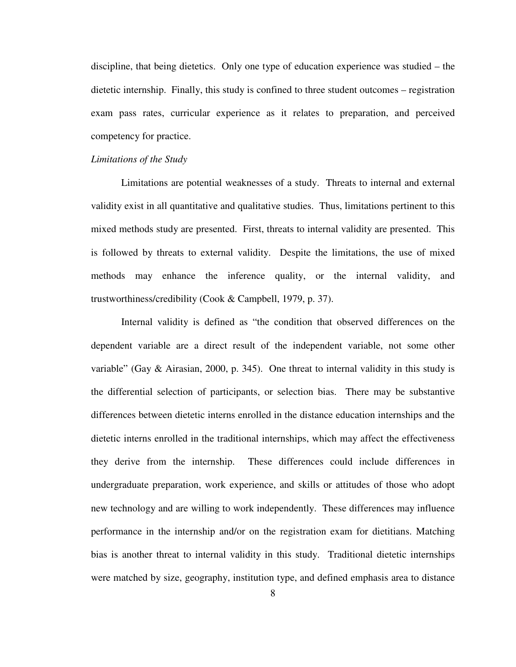discipline, that being dietetics. Only one type of education experience was studied – the dietetic internship. Finally, this study is confined to three student outcomes – registration exam pass rates, curricular experience as it relates to preparation, and perceived competency for practice.

#### *Limitations of the Study*

Limitations are potential weaknesses of a study. Threats to internal and external validity exist in all quantitative and qualitative studies. Thus, limitations pertinent to this mixed methods study are presented. First, threats to internal validity are presented. This is followed by threats to external validity. Despite the limitations, the use of mixed methods may enhance the inference quality, or the internal validity, and trustworthiness/credibility (Cook & Campbell, 1979, p. 37).

Internal validity is defined as "the condition that observed differences on the dependent variable are a direct result of the independent variable, not some other variable" (Gay  $\&$  Airasian, 2000, p. 345). One threat to internal validity in this study is the differential selection of participants, or selection bias. There may be substantive differences between dietetic interns enrolled in the distance education internships and the dietetic interns enrolled in the traditional internships, which may affect the effectiveness they derive from the internship. These differences could include differences in undergraduate preparation, work experience, and skills or attitudes of those who adopt new technology and are willing to work independently. These differences may influence performance in the internship and/or on the registration exam for dietitians. Matching bias is another threat to internal validity in this study. Traditional dietetic internships were matched by size, geography, institution type, and defined emphasis area to distance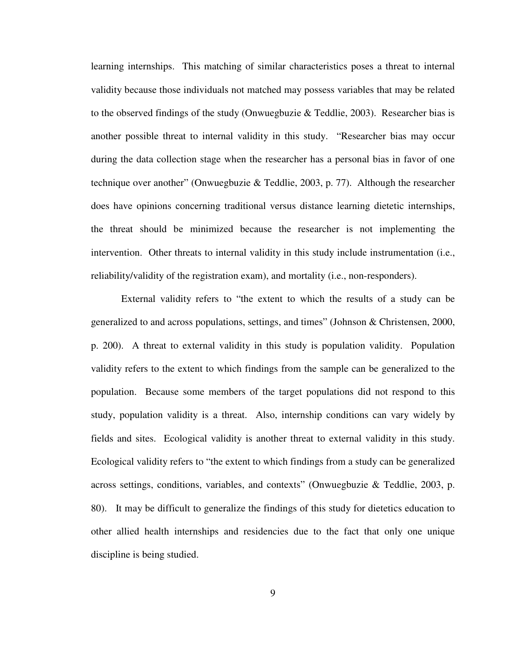learning internships. This matching of similar characteristics poses a threat to internal validity because those individuals not matched may possess variables that may be related to the observed findings of the study (Onwuegbuzie & Teddlie, 2003). Researcher bias is another possible threat to internal validity in this study. "Researcher bias may occur during the data collection stage when the researcher has a personal bias in favor of one technique over another" (Onwuegbuzie & Teddlie, 2003, p. 77). Although the researcher does have opinions concerning traditional versus distance learning dietetic internships, the threat should be minimized because the researcher is not implementing the intervention. Other threats to internal validity in this study include instrumentation (i.e., reliability/validity of the registration exam), and mortality (i.e., non-responders).

External validity refers to "the extent to which the results of a study can be generalized to and across populations, settings, and times" (Johnson & Christensen, 2000, p. 200). A threat to external validity in this study is population validity. Population validity refers to the extent to which findings from the sample can be generalized to the population. Because some members of the target populations did not respond to this study, population validity is a threat. Also, internship conditions can vary widely by fields and sites. Ecological validity is another threat to external validity in this study. Ecological validity refers to "the extent to which findings from a study can be generalized across settings, conditions, variables, and contexts" (Onwuegbuzie & Teddlie, 2003, p. 80). It may be difficult to generalize the findings of this study for dietetics education to other allied health internships and residencies due to the fact that only one unique discipline is being studied.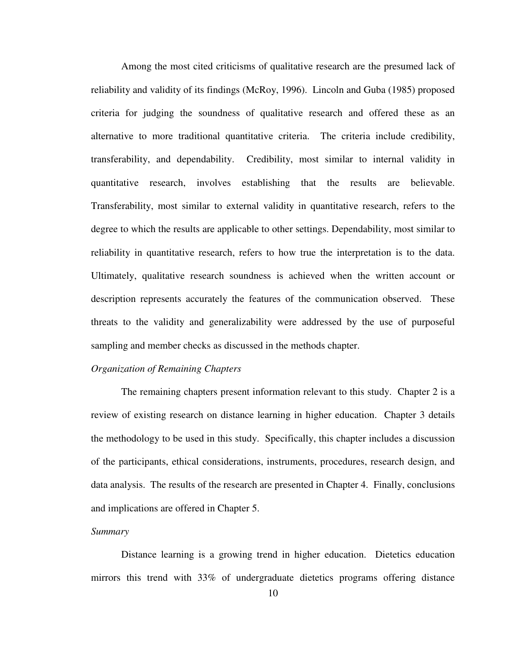Among the most cited criticisms of qualitative research are the presumed lack of reliability and validity of its findings (McRoy, 1996). Lincoln and Guba (1985) proposed criteria for judging the soundness of qualitative research and offered these as an alternative to more traditional quantitative criteria. The criteria include credibility, transferability, and dependability. Credibility, most similar to internal validity in quantitative research, involves establishing that the results are believable. Transferability, most similar to external validity in quantitative research, refers to the degree to which the results are applicable to other settings. Dependability, most similar to reliability in quantitative research, refers to how true the interpretation is to the data. Ultimately, qualitative research soundness is achieved when the written account or description represents accurately the features of the communication observed. These threats to the validity and generalizability were addressed by the use of purposeful sampling and member checks as discussed in the methods chapter.

#### *Organization of Remaining Chapters*

The remaining chapters present information relevant to this study. Chapter 2 is a review of existing research on distance learning in higher education. Chapter 3 details the methodology to be used in this study. Specifically, this chapter includes a discussion of the participants, ethical considerations, instruments, procedures, research design, and data analysis. The results of the research are presented in Chapter 4. Finally, conclusions and implications are offered in Chapter 5.

#### *Summary*

 Distance learning is a growing trend in higher education. Dietetics education mirrors this trend with 33% of undergraduate dietetics programs offering distance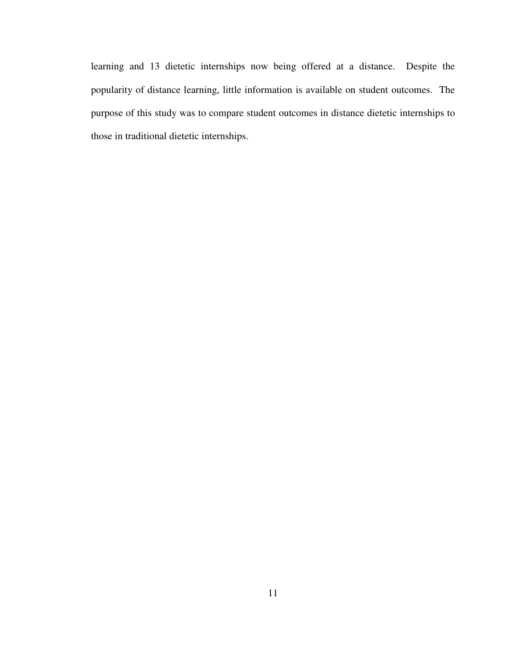learning and 13 dietetic internships now being offered at a distance. Despite the popularity of distance learning, little information is available on student outcomes. The purpose of this study was to compare student outcomes in distance dietetic internships to those in traditional dietetic internships.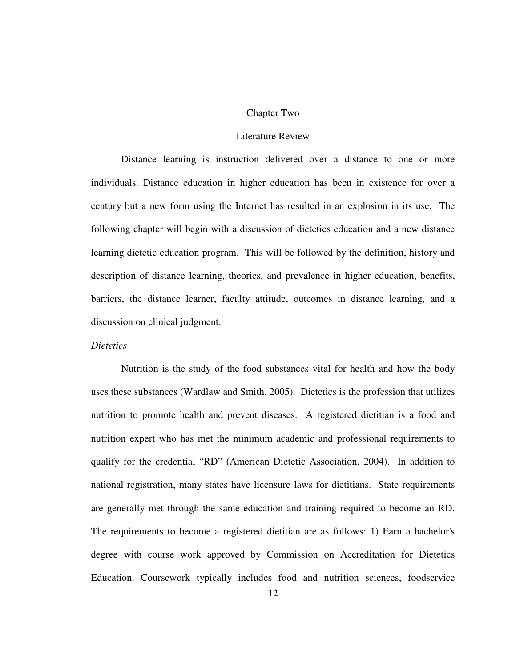#### Chapter Two

#### Literature Review

Distance learning is instruction delivered over a distance to one or more individuals. Distance education in higher education has been in existence for over a century but a new form using the Internet has resulted in an explosion in its use. The following chapter will begin with a discussion of dietetics education and a new distance learning dietetic education program. This will be followed by the definition, history and description of distance learning, theories, and prevalence in higher education, benefits, barriers, the distance learner, faculty attitude, outcomes in distance learning, and a discussion on clinical judgment.

#### *Dietetics*

 Nutrition is the study of the food substances vital for health and how the body uses these substances (Wardlaw and Smith, 2005). Dietetics is the profession that utilizes nutrition to promote health and prevent diseases. A registered dietitian is a food and nutrition expert who has met the minimum academic and professional requirements to qualify for the credential "RD" (American Dietetic Association, 2004). In addition to national registration, many states have licensure laws for dietitians. State requirements are generally met through the same education and training required to become an RD. The requirements to become a registered dietitian are as follows: 1) Earn a bachelor's degree with course work approved by Commission on Accreditation for Dietetics Education. Coursework typically includes food and nutrition sciences, foodservice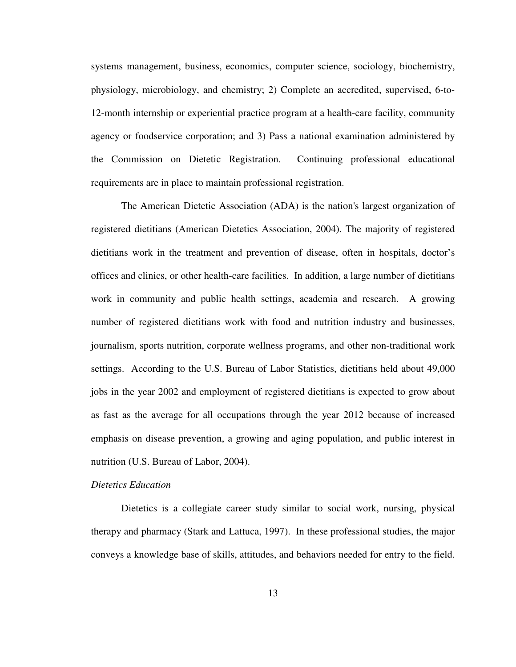systems management, business, economics, computer science, sociology, biochemistry, physiology, microbiology, and chemistry; 2) Complete an accredited, supervised, 6-to-12-month internship or experiential practice program at a health-care facility, community agency or foodservice corporation; and 3) Pass a national examination administered by the Commission on Dietetic Registration. Continuing professional educational requirements are in place to maintain professional registration.

 The American Dietetic Association (ADA) is the nation's largest organization of registered dietitians (American Dietetics Association, 2004). The majority of registered dietitians work in the treatment and prevention of disease, often in hospitals, doctor's offices and clinics, or other health-care facilities. In addition, a large number of dietitians work in community and public health settings, academia and research. A growing number of registered dietitians work with food and nutrition industry and businesses, journalism, sports nutrition, corporate wellness programs, and other non-traditional work settings. According to the U.S. Bureau of Labor Statistics, dietitians held about 49,000 jobs in the year 2002 and employment of registered dietitians is expected to grow about as fast as the average for all occupations through the year 2012 because of increased emphasis on disease prevention, a growing and aging population, and public interest in nutrition (U.S. Bureau of Labor, 2004).

#### *Dietetics Education*

 Dietetics is a collegiate career study similar to social work, nursing, physical therapy and pharmacy (Stark and Lattuca, 1997). In these professional studies, the major conveys a knowledge base of skills, attitudes, and behaviors needed for entry to the field.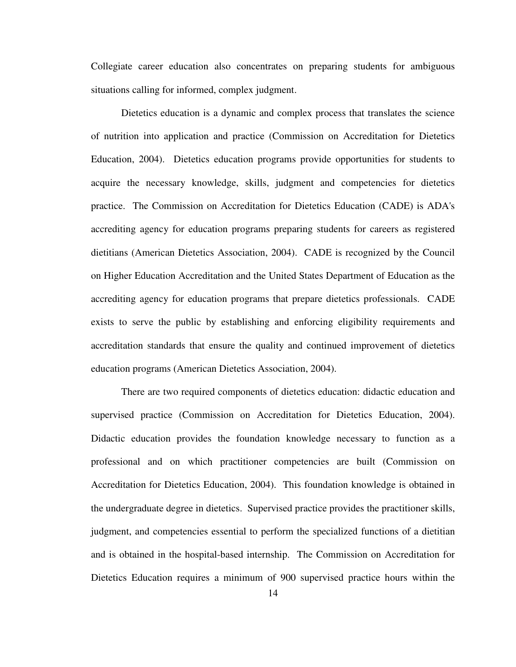Collegiate career education also concentrates on preparing students for ambiguous situations calling for informed, complex judgment.

Dietetics education is a dynamic and complex process that translates the science of nutrition into application and practice (Commission on Accreditation for Dietetics Education, 2004). Dietetics education programs provide opportunities for students to acquire the necessary knowledge, skills, judgment and competencies for dietetics practice. The Commission on Accreditation for Dietetics Education (CADE) is ADA's accrediting agency for education programs preparing students for careers as registered dietitians (American Dietetics Association, 2004). CADE is recognized by the Council on Higher Education Accreditation and the United States Department of Education as the accrediting agency for education programs that prepare dietetics professionals. CADE exists to serve the public by establishing and enforcing eligibility requirements and accreditation standards that ensure the quality and continued improvement of dietetics education programs (American Dietetics Association, 2004).

There are two required components of dietetics education: didactic education and supervised practice (Commission on Accreditation for Dietetics Education, 2004). Didactic education provides the foundation knowledge necessary to function as a professional and on which practitioner competencies are built (Commission on Accreditation for Dietetics Education, 2004). This foundation knowledge is obtained in the undergraduate degree in dietetics. Supervised practice provides the practitioner skills, judgment, and competencies essential to perform the specialized functions of a dietitian and is obtained in the hospital-based internship. The Commission on Accreditation for Dietetics Education requires a minimum of 900 supervised practice hours within the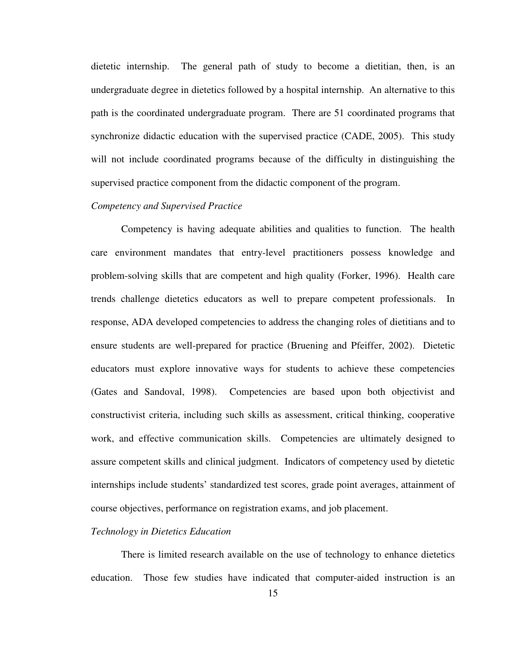dietetic internship. The general path of study to become a dietitian, then, is an undergraduate degree in dietetics followed by a hospital internship. An alternative to this path is the coordinated undergraduate program. There are 51 coordinated programs that synchronize didactic education with the supervised practice (CADE, 2005). This study will not include coordinated programs because of the difficulty in distinguishing the supervised practice component from the didactic component of the program.

#### *Competency and Supervised Practice*

 Competency is having adequate abilities and qualities to function. The health care environment mandates that entry-level practitioners possess knowledge and problem-solving skills that are competent and high quality (Forker, 1996). Health care trends challenge dietetics educators as well to prepare competent professionals. In response, ADA developed competencies to address the changing roles of dietitians and to ensure students are well-prepared for practice (Bruening and Pfeiffer, 2002). Dietetic educators must explore innovative ways for students to achieve these competencies (Gates and Sandoval, 1998). Competencies are based upon both objectivist and constructivist criteria, including such skills as assessment, critical thinking, cooperative work, and effective communication skills. Competencies are ultimately designed to assure competent skills and clinical judgment. Indicators of competency used by dietetic internships include students' standardized test scores, grade point averages, attainment of course objectives, performance on registration exams, and job placement.

#### *Technology in Dietetics Education*

 There is limited research available on the use of technology to enhance dietetics education. Those few studies have indicated that computer-aided instruction is an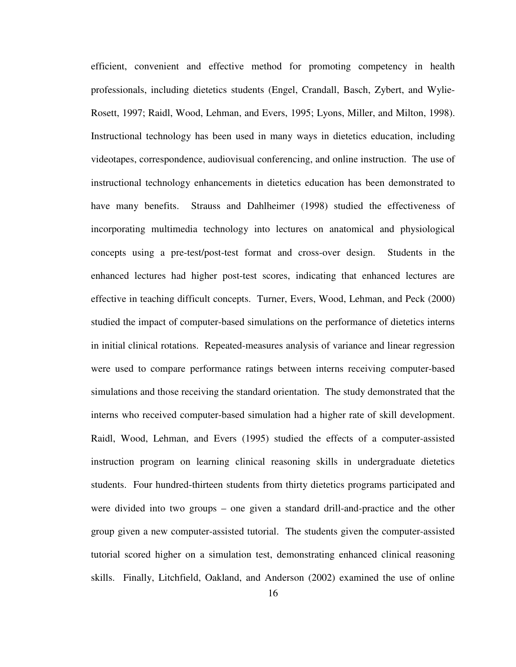efficient, convenient and effective method for promoting competency in health professionals, including dietetics students (Engel, Crandall, Basch, Zybert, and Wylie-Rosett, 1997; Raidl, Wood, Lehman, and Evers, 1995; Lyons, Miller, and Milton, 1998). Instructional technology has been used in many ways in dietetics education, including videotapes, correspondence, audiovisual conferencing, and online instruction. The use of instructional technology enhancements in dietetics education has been demonstrated to have many benefits. Strauss and Dahlheimer (1998) studied the effectiveness of incorporating multimedia technology into lectures on anatomical and physiological concepts using a pre-test/post-test format and cross-over design. Students in the enhanced lectures had higher post-test scores, indicating that enhanced lectures are effective in teaching difficult concepts. Turner, Evers, Wood, Lehman, and Peck (2000) studied the impact of computer-based simulations on the performance of dietetics interns in initial clinical rotations. Repeated-measures analysis of variance and linear regression were used to compare performance ratings between interns receiving computer-based simulations and those receiving the standard orientation. The study demonstrated that the interns who received computer-based simulation had a higher rate of skill development. Raidl, Wood, Lehman, and Evers (1995) studied the effects of a computer-assisted instruction program on learning clinical reasoning skills in undergraduate dietetics students. Four hundred-thirteen students from thirty dietetics programs participated and were divided into two groups – one given a standard drill-and-practice and the other group given a new computer-assisted tutorial. The students given the computer-assisted tutorial scored higher on a simulation test, demonstrating enhanced clinical reasoning skills. Finally, Litchfield, Oakland, and Anderson (2002) examined the use of online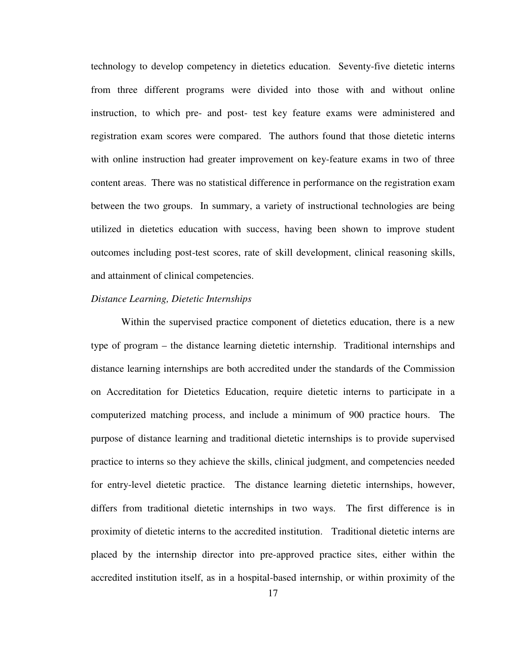technology to develop competency in dietetics education. Seventy-five dietetic interns from three different programs were divided into those with and without online instruction, to which pre- and post- test key feature exams were administered and registration exam scores were compared. The authors found that those dietetic interns with online instruction had greater improvement on key-feature exams in two of three content areas. There was no statistical difference in performance on the registration exam between the two groups. In summary, a variety of instructional technologies are being utilized in dietetics education with success, having been shown to improve student outcomes including post-test scores, rate of skill development, clinical reasoning skills, and attainment of clinical competencies.

#### *Distance Learning, Dietetic Internships*

 Within the supervised practice component of dietetics education, there is a new type of program – the distance learning dietetic internship. Traditional internships and distance learning internships are both accredited under the standards of the Commission on Accreditation for Dietetics Education, require dietetic interns to participate in a computerized matching process, and include a minimum of 900 practice hours. The purpose of distance learning and traditional dietetic internships is to provide supervised practice to interns so they achieve the skills, clinical judgment, and competencies needed for entry-level dietetic practice. The distance learning dietetic internships, however, differs from traditional dietetic internships in two ways. The first difference is in proximity of dietetic interns to the accredited institution. Traditional dietetic interns are placed by the internship director into pre-approved practice sites, either within the accredited institution itself, as in a hospital-based internship, or within proximity of the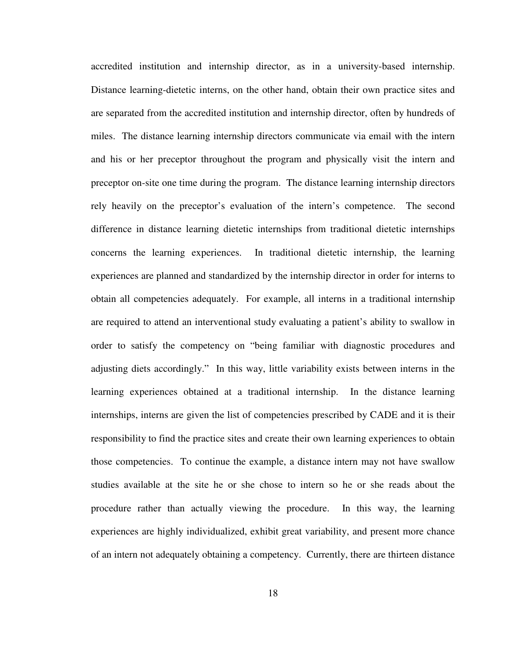accredited institution and internship director, as in a university-based internship. Distance learning-dietetic interns, on the other hand, obtain their own practice sites and are separated from the accredited institution and internship director, often by hundreds of miles. The distance learning internship directors communicate via email with the intern and his or her preceptor throughout the program and physically visit the intern and preceptor on-site one time during the program. The distance learning internship directors rely heavily on the preceptor's evaluation of the intern's competence. The second difference in distance learning dietetic internships from traditional dietetic internships concerns the learning experiences. In traditional dietetic internship, the learning experiences are planned and standardized by the internship director in order for interns to obtain all competencies adequately. For example, all interns in a traditional internship are required to attend an interventional study evaluating a patient's ability to swallow in order to satisfy the competency on "being familiar with diagnostic procedures and adjusting diets accordingly." In this way, little variability exists between interns in the learning experiences obtained at a traditional internship. In the distance learning internships, interns are given the list of competencies prescribed by CADE and it is their responsibility to find the practice sites and create their own learning experiences to obtain those competencies. To continue the example, a distance intern may not have swallow studies available at the site he or she chose to intern so he or she reads about the procedure rather than actually viewing the procedure. In this way, the learning experiences are highly individualized, exhibit great variability, and present more chance of an intern not adequately obtaining a competency. Currently, there are thirteen distance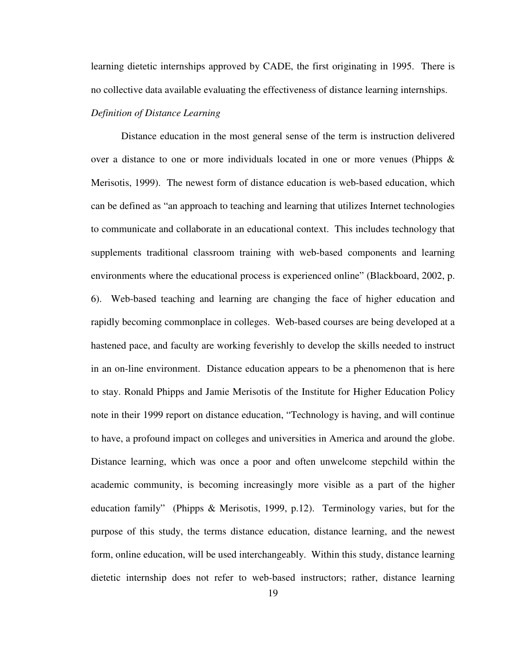learning dietetic internships approved by CADE, the first originating in 1995. There is no collective data available evaluating the effectiveness of distance learning internships.

#### *Definition of Distance Learning*

Distance education in the most general sense of the term is instruction delivered over a distance to one or more individuals located in one or more venues (Phipps & Merisotis, 1999). The newest form of distance education is web-based education, which can be defined as "an approach to teaching and learning that utilizes Internet technologies to communicate and collaborate in an educational context. This includes technology that supplements traditional classroom training with web-based components and learning environments where the educational process is experienced online" (Blackboard, 2002, p. 6). Web-based teaching and learning are changing the face of higher education and rapidly becoming commonplace in colleges. Web-based courses are being developed at a hastened pace, and faculty are working feverishly to develop the skills needed to instruct in an on-line environment. Distance education appears to be a phenomenon that is here to stay. Ronald Phipps and Jamie Merisotis of the Institute for Higher Education Policy note in their 1999 report on distance education, "Technology is having, and will continue to have, a profound impact on colleges and universities in America and around the globe. Distance learning, which was once a poor and often unwelcome stepchild within the academic community, is becoming increasingly more visible as a part of the higher education family" (Phipps & Merisotis, 1999, p.12). Terminology varies, but for the purpose of this study, the terms distance education, distance learning, and the newest form, online education, will be used interchangeably. Within this study, distance learning dietetic internship does not refer to web-based instructors; rather, distance learning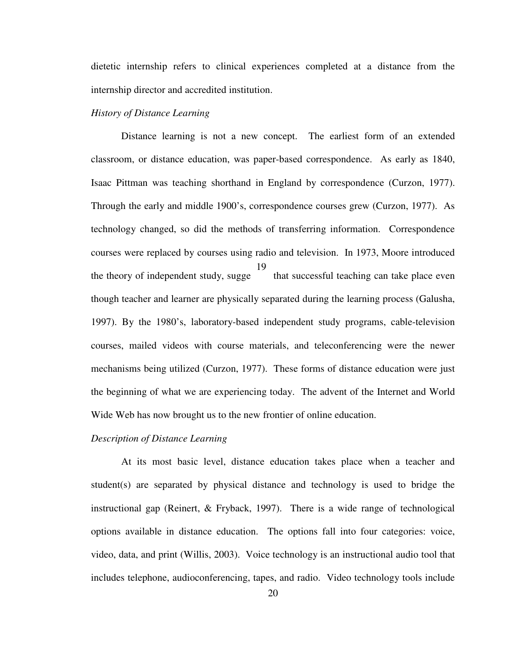dietetic internship refers to clinical experiences completed at a distance from the internship director and accredited institution.

#### *History of Distance Learning*

Distance learning is not a new concept. The earliest form of an extended classroom, or distance education, was paper-based correspondence. As early as 1840, Isaac Pittman was teaching shorthand in England by correspondence (Curzon, 1977). Through the early and middle 1900's, correspondence courses grew (Curzon, 1977). As technology changed, so did the methods of transferring information. Correspondence courses were replaced by courses using radio and television. In 1973, Moore introduced the theory of independent study, sugge that successful teaching can take place even though teacher and learner are physically separated during the learning process (Galusha, 1997). By the 1980's, laboratory-based independent study programs, cable-television courses, mailed videos with course materials, and teleconferencing were the newer mechanisms being utilized (Curzon, 1977). These forms of distance education were just the beginning of what we are experiencing today. The advent of the Internet and World Wide Web has now brought us to the new frontier of online education. 19

#### *Description of Distance Learning*

 At its most basic level, distance education takes place when a teacher and student(s) are separated by physical distance and technology is used to bridge the instructional gap (Reinert, & Fryback, 1997). There is a wide range of technological options available in distance education. The options fall into four categories: voice, video, data, and print (Willis, 2003). Voice technology is an instructional audio tool that includes telephone, audioconferencing, tapes, and radio. Video technology tools include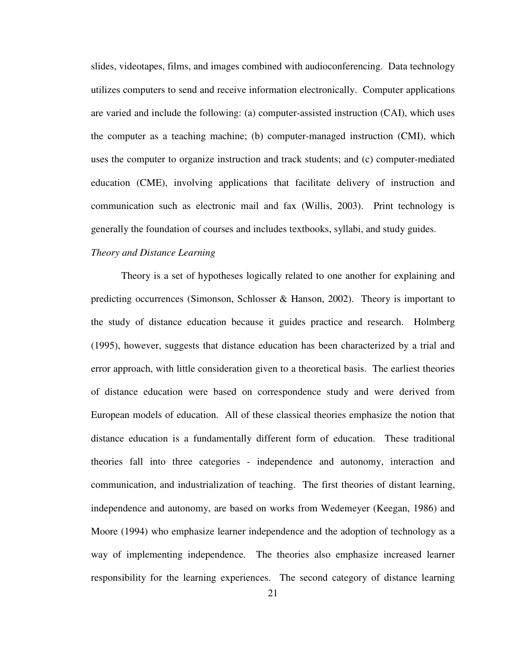slides, videotapes, films, and images combined with audioconferencing. Data technology utilizes computers to send and receive information electronically. Computer applications are varied and include the following: (a) computer-assisted instruction (CAI), which uses the computer as a teaching machine; (b) computer-managed instruction (CMI), which uses the computer to organize instruction and track students; and (c) computer-mediated education (CME), involving applications that facilitate delivery of instruction and communication such as electronic mail and fax (Willis, 2003). Print technology is generally the foundation of courses and includes textbooks, syllabi, and study guides.

#### *Theory and Distance Learning*

 Theory is a set of hypotheses logically related to one another for explaining and predicting occurrences (Simonson, Schlosser & Hanson, 2002). Theory is important to the study of distance education because it guides practice and research. Holmberg (1995), however, suggests that distance education has been characterized by a trial and error approach, with little consideration given to a theoretical basis. The earliest theories of distance education were based on correspondence study and were derived from European models of education. All of these classical theories emphasize the notion that distance education is a fundamentally different form of education. These traditional theories fall into three categories - independence and autonomy, interaction and communication, and industrialization of teaching. The first theories of distant learning, independence and autonomy, are based on works from Wedemeyer (Keegan, 1986) and Moore (1994) who emphasize learner independence and the adoption of technology as a way of implementing independence. The theories also emphasize increased learner responsibility for the learning experiences. The second category of distance learning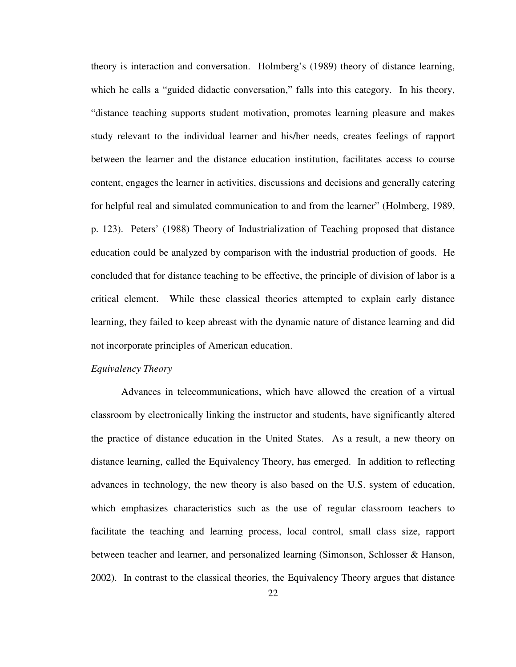theory is interaction and conversation. Holmberg's (1989) theory of distance learning, which he calls a "guided didactic conversation," falls into this category. In his theory, "distance teaching supports student motivation, promotes learning pleasure and makes study relevant to the individual learner and his/her needs, creates feelings of rapport between the learner and the distance education institution, facilitates access to course content, engages the learner in activities, discussions and decisions and generally catering for helpful real and simulated communication to and from the learner" (Holmberg, 1989, p. 123). Peters' (1988) Theory of Industrialization of Teaching proposed that distance education could be analyzed by comparison with the industrial production of goods. He concluded that for distance teaching to be effective, the principle of division of labor is a critical element. While these classical theories attempted to explain early distance learning, they failed to keep abreast with the dynamic nature of distance learning and did not incorporate principles of American education.

### *Equivalency Theory*

 Advances in telecommunications, which have allowed the creation of a virtual classroom by electronically linking the instructor and students, have significantly altered the practice of distance education in the United States. As a result, a new theory on distance learning, called the Equivalency Theory, has emerged. In addition to reflecting advances in technology, the new theory is also based on the U.S. system of education, which emphasizes characteristics such as the use of regular classroom teachers to facilitate the teaching and learning process, local control, small class size, rapport between teacher and learner, and personalized learning (Simonson, Schlosser & Hanson, 2002). In contrast to the classical theories, the Equivalency Theory argues that distance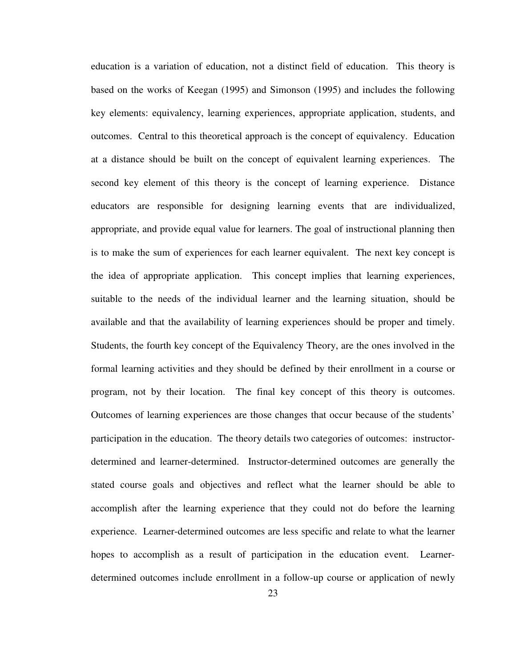education is a variation of education, not a distinct field of education. This theory is based on the works of Keegan (1995) and Simonson (1995) and includes the following key elements: equivalency, learning experiences, appropriate application, students, and outcomes. Central to this theoretical approach is the concept of equivalency. Education at a distance should be built on the concept of equivalent learning experiences. The second key element of this theory is the concept of learning experience. Distance educators are responsible for designing learning events that are individualized, appropriate, and provide equal value for learners. The goal of instructional planning then is to make the sum of experiences for each learner equivalent. The next key concept is the idea of appropriate application. This concept implies that learning experiences, suitable to the needs of the individual learner and the learning situation, should be available and that the availability of learning experiences should be proper and timely. Students, the fourth key concept of the Equivalency Theory, are the ones involved in the formal learning activities and they should be defined by their enrollment in a course or program, not by their location. The final key concept of this theory is outcomes. Outcomes of learning experiences are those changes that occur because of the students' participation in the education. The theory details two categories of outcomes: instructordetermined and learner-determined. Instructor-determined outcomes are generally the stated course goals and objectives and reflect what the learner should be able to accomplish after the learning experience that they could not do before the learning experience. Learner-determined outcomes are less specific and relate to what the learner hopes to accomplish as a result of participation in the education event. Learnerdetermined outcomes include enrollment in a follow-up course or application of newly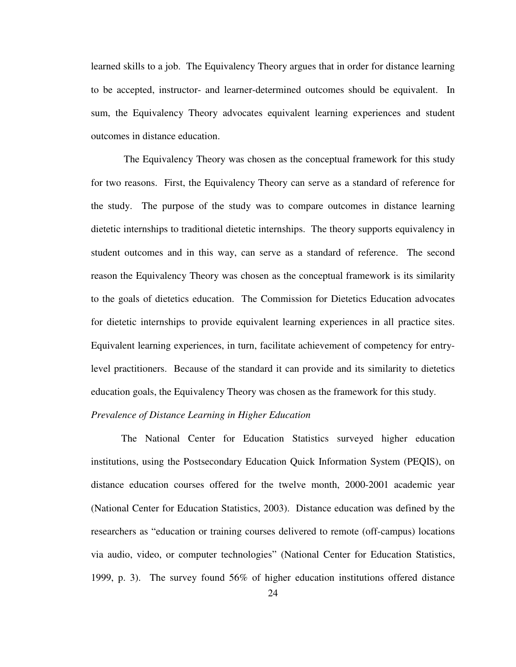learned skills to a job. The Equivalency Theory argues that in order for distance learning to be accepted, instructor- and learner-determined outcomes should be equivalent. In sum, the Equivalency Theory advocates equivalent learning experiences and student outcomes in distance education.

 The Equivalency Theory was chosen as the conceptual framework for this study for two reasons. First, the Equivalency Theory can serve as a standard of reference for the study. The purpose of the study was to compare outcomes in distance learning dietetic internships to traditional dietetic internships. The theory supports equivalency in student outcomes and in this way, can serve as a standard of reference. The second reason the Equivalency Theory was chosen as the conceptual framework is its similarity to the goals of dietetics education. The Commission for Dietetics Education advocates for dietetic internships to provide equivalent learning experiences in all practice sites. Equivalent learning experiences, in turn, facilitate achievement of competency for entrylevel practitioners. Because of the standard it can provide and its similarity to dietetics education goals, the Equivalency Theory was chosen as the framework for this study.

### *Prevalence of Distance Learning in Higher Education*

 The National Center for Education Statistics surveyed higher education institutions, using the Postsecondary Education Quick Information System (PEQIS), on distance education courses offered for the twelve month, 2000-2001 academic year (National Center for Education Statistics, 2003). Distance education was defined by the researchers as "education or training courses delivered to remote (off-campus) locations via audio, video, or computer technologies" (National Center for Education Statistics, 1999, p. 3). The survey found 56% of higher education institutions offered distance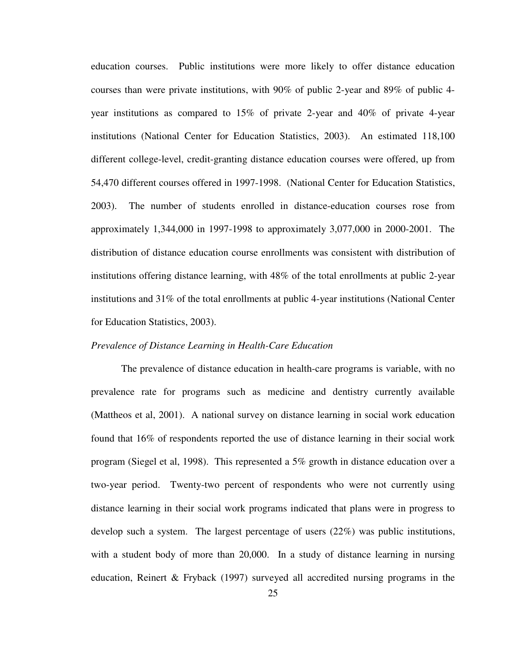education courses. Public institutions were more likely to offer distance education courses than were private institutions, with 90% of public 2-year and 89% of public 4 year institutions as compared to 15% of private 2-year and 40% of private 4-year institutions (National Center for Education Statistics, 2003). An estimated 118,100 different college-level, credit-granting distance education courses were offered, up from 54,470 different courses offered in 1997-1998. (National Center for Education Statistics, 2003). The number of students enrolled in distance-education courses rose from approximately 1,344,000 in 1997-1998 to approximately 3,077,000 in 2000-2001. The distribution of distance education course enrollments was consistent with distribution of institutions offering distance learning, with 48% of the total enrollments at public 2-year institutions and 31% of the total enrollments at public 4-year institutions (National Center for Education Statistics, 2003).

### *Prevalence of Distance Learning in Health-Care Education*

The prevalence of distance education in health-care programs is variable, with no prevalence rate for programs such as medicine and dentistry currently available (Mattheos et al, 2001). A national survey on distance learning in social work education found that 16% of respondents reported the use of distance learning in their social work program (Siegel et al, 1998). This represented a 5% growth in distance education over a two-year period. Twenty-two percent of respondents who were not currently using distance learning in their social work programs indicated that plans were in progress to develop such a system. The largest percentage of users (22%) was public institutions, with a student body of more than 20,000. In a study of distance learning in nursing education, Reinert & Fryback (1997) surveyed all accredited nursing programs in the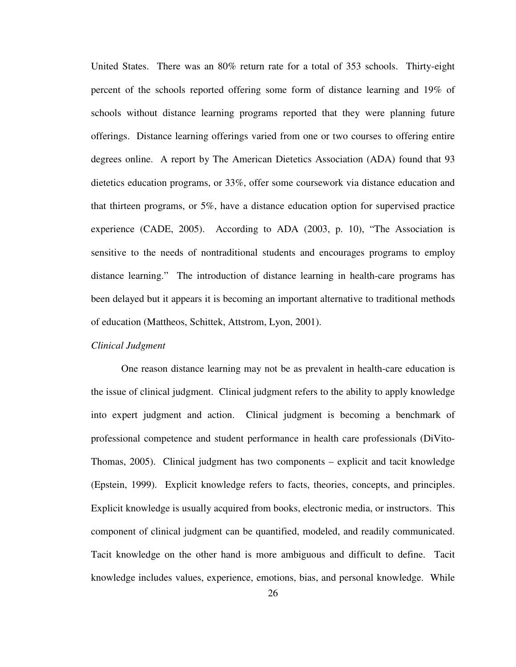United States. There was an 80% return rate for a total of 353 schools. Thirty-eight percent of the schools reported offering some form of distance learning and 19% of schools without distance learning programs reported that they were planning future offerings. Distance learning offerings varied from one or two courses to offering entire degrees online. A report by The American Dietetics Association (ADA) found that 93 dietetics education programs, or 33%, offer some coursework via distance education and that thirteen programs, or 5%, have a distance education option for supervised practice experience (CADE, 2005). According to ADA (2003, p. 10), "The Association is sensitive to the needs of nontraditional students and encourages programs to employ distance learning." The introduction of distance learning in health-care programs has been delayed but it appears it is becoming an important alternative to traditional methods of education (Mattheos, Schittek, Attstrom, Lyon, 2001).

# *Clinical Judgment*

 One reason distance learning may not be as prevalent in health-care education is the issue of clinical judgment. Clinical judgment refers to the ability to apply knowledge into expert judgment and action. Clinical judgment is becoming a benchmark of professional competence and student performance in health care professionals (DiVito-Thomas, 2005). Clinical judgment has two components – explicit and tacit knowledge (Epstein, 1999). Explicit knowledge refers to facts, theories, concepts, and principles. Explicit knowledge is usually acquired from books, electronic media, or instructors. This component of clinical judgment can be quantified, modeled, and readily communicated. Tacit knowledge on the other hand is more ambiguous and difficult to define. Tacit knowledge includes values, experience, emotions, bias, and personal knowledge. While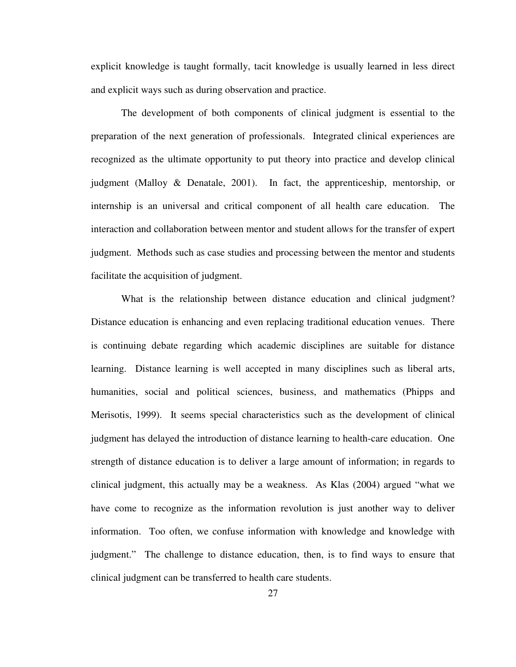explicit knowledge is taught formally, tacit knowledge is usually learned in less direct and explicit ways such as during observation and practice.

 The development of both components of clinical judgment is essential to the preparation of the next generation of professionals. Integrated clinical experiences are recognized as the ultimate opportunity to put theory into practice and develop clinical judgment (Malloy & Denatale, 2001). In fact, the apprenticeship, mentorship, or internship is an universal and critical component of all health care education. The interaction and collaboration between mentor and student allows for the transfer of expert judgment. Methods such as case studies and processing between the mentor and students facilitate the acquisition of judgment.

What is the relationship between distance education and clinical judgment? Distance education is enhancing and even replacing traditional education venues. There is continuing debate regarding which academic disciplines are suitable for distance learning. Distance learning is well accepted in many disciplines such as liberal arts, humanities, social and political sciences, business, and mathematics (Phipps and Merisotis, 1999). It seems special characteristics such as the development of clinical judgment has delayed the introduction of distance learning to health-care education. One strength of distance education is to deliver a large amount of information; in regards to clinical judgment, this actually may be a weakness. As Klas (2004) argued "what we have come to recognize as the information revolution is just another way to deliver information. Too often, we confuse information with knowledge and knowledge with judgment." The challenge to distance education, then, is to find ways to ensure that clinical judgment can be transferred to health care students.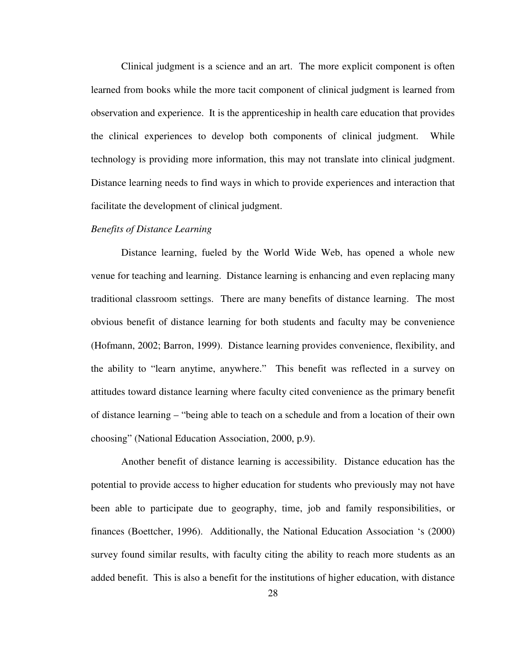Clinical judgment is a science and an art. The more explicit component is often learned from books while the more tacit component of clinical judgment is learned from observation and experience. It is the apprenticeship in health care education that provides the clinical experiences to develop both components of clinical judgment. While technology is providing more information, this may not translate into clinical judgment. Distance learning needs to find ways in which to provide experiences and interaction that facilitate the development of clinical judgment.

# *Benefits of Distance Learning*

 Distance learning, fueled by the World Wide Web, has opened a whole new venue for teaching and learning. Distance learning is enhancing and even replacing many traditional classroom settings. There are many benefits of distance learning. The most obvious benefit of distance learning for both students and faculty may be convenience (Hofmann, 2002; Barron, 1999). Distance learning provides convenience, flexibility, and the ability to "learn anytime, anywhere." This benefit was reflected in a survey on attitudes toward distance learning where faculty cited convenience as the primary benefit of distance learning – "being able to teach on a schedule and from a location of their own choosing" (National Education Association, 2000, p.9).

 Another benefit of distance learning is accessibility. Distance education has the potential to provide access to higher education for students who previously may not have been able to participate due to geography, time, job and family responsibilities, or finances (Boettcher, 1996). Additionally, the National Education Association 's (2000) survey found similar results, with faculty citing the ability to reach more students as an added benefit. This is also a benefit for the institutions of higher education, with distance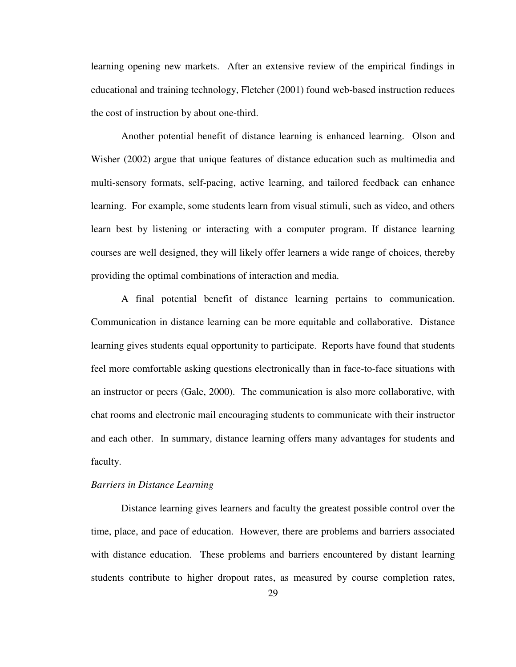learning opening new markets. After an extensive review of the empirical findings in educational and training technology, Fletcher (2001) found web-based instruction reduces the cost of instruction by about one-third.

 Another potential benefit of distance learning is enhanced learning. Olson and Wisher (2002) argue that unique features of distance education such as multimedia and multi-sensory formats, self-pacing, active learning, and tailored feedback can enhance learning. For example, some students learn from visual stimuli, such as video, and others learn best by listening or interacting with a computer program. If distance learning courses are well designed, they will likely offer learners a wide range of choices, thereby providing the optimal combinations of interaction and media.

 A final potential benefit of distance learning pertains to communication. Communication in distance learning can be more equitable and collaborative. Distance learning gives students equal opportunity to participate. Reports have found that students feel more comfortable asking questions electronically than in face-to-face situations with an instructor or peers (Gale, 2000). The communication is also more collaborative, with chat rooms and electronic mail encouraging students to communicate with their instructor and each other. In summary, distance learning offers many advantages for students and faculty.

#### *Barriers in Distance Learning*

Distance learning gives learners and faculty the greatest possible control over the time, place, and pace of education. However, there are problems and barriers associated with distance education. These problems and barriers encountered by distant learning students contribute to higher dropout rates, as measured by course completion rates,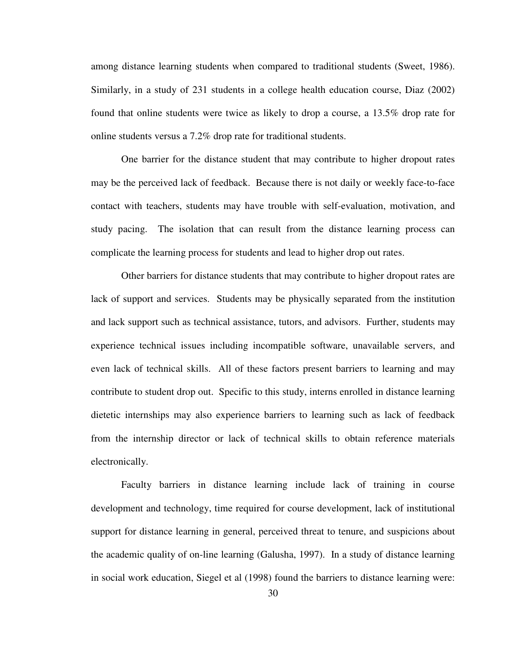among distance learning students when compared to traditional students (Sweet, 1986). Similarly, in a study of 231 students in a college health education course, Diaz (2002) found that online students were twice as likely to drop a course, a 13.5% drop rate for online students versus a 7.2% drop rate for traditional students.

One barrier for the distance student that may contribute to higher dropout rates may be the perceived lack of feedback. Because there is not daily or weekly face-to-face contact with teachers, students may have trouble with self-evaluation, motivation, and study pacing. The isolation that can result from the distance learning process can complicate the learning process for students and lead to higher drop out rates.

Other barriers for distance students that may contribute to higher dropout rates are lack of support and services. Students may be physically separated from the institution and lack support such as technical assistance, tutors, and advisors. Further, students may experience technical issues including incompatible software, unavailable servers, and even lack of technical skills. All of these factors present barriers to learning and may contribute to student drop out. Specific to this study, interns enrolled in distance learning dietetic internships may also experience barriers to learning such as lack of feedback from the internship director or lack of technical skills to obtain reference materials electronically.

Faculty barriers in distance learning include lack of training in course development and technology, time required for course development, lack of institutional support for distance learning in general, perceived threat to tenure, and suspicions about the academic quality of on-line learning (Galusha, 1997). In a study of distance learning in social work education, Siegel et al (1998) found the barriers to distance learning were: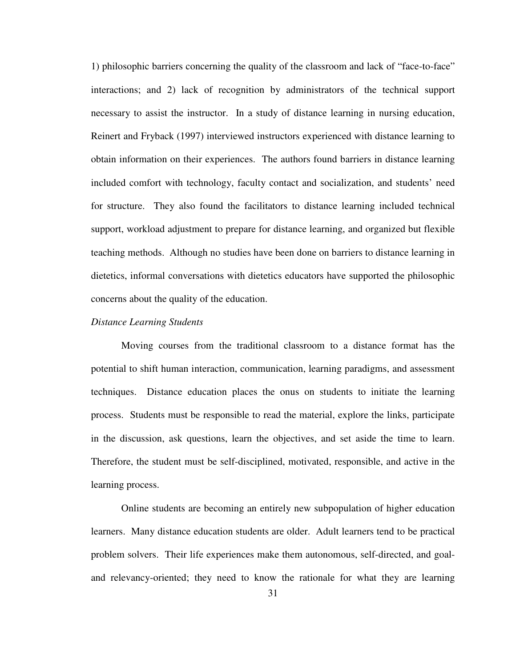1) philosophic barriers concerning the quality of the classroom and lack of "face-to-face" interactions; and 2) lack of recognition by administrators of the technical support necessary to assist the instructor. In a study of distance learning in nursing education, Reinert and Fryback (1997) interviewed instructors experienced with distance learning to obtain information on their experiences. The authors found barriers in distance learning included comfort with technology, faculty contact and socialization, and students' need for structure. They also found the facilitators to distance learning included technical support, workload adjustment to prepare for distance learning, and organized but flexible teaching methods. Although no studies have been done on barriers to distance learning in dietetics, informal conversations with dietetics educators have supported the philosophic concerns about the quality of the education.

#### *Distance Learning Students*

Moving courses from the traditional classroom to a distance format has the potential to shift human interaction, communication, learning paradigms, and assessment techniques. Distance education places the onus on students to initiate the learning process. Students must be responsible to read the material, explore the links, participate in the discussion, ask questions, learn the objectives, and set aside the time to learn. Therefore, the student must be self-disciplined, motivated, responsible, and active in the learning process.

Online students are becoming an entirely new subpopulation of higher education learners. Many distance education students are older. Adult learners tend to be practical problem solvers. Their life experiences make them autonomous, self-directed, and goaland relevancy-oriented; they need to know the rationale for what they are learning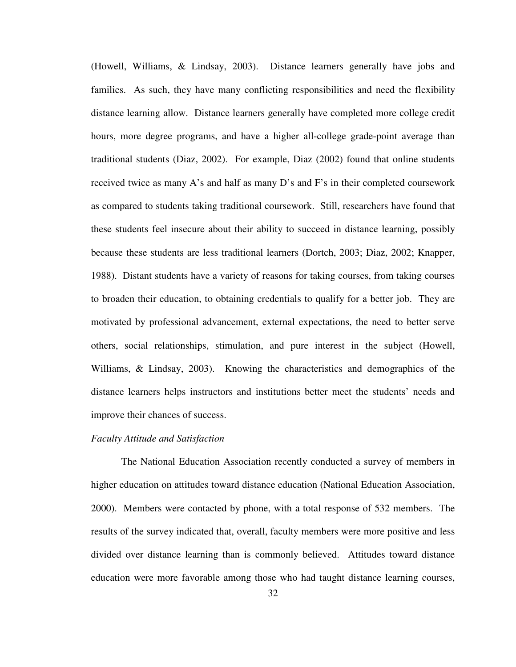(Howell, Williams, & Lindsay, 2003). Distance learners generally have jobs and families. As such, they have many conflicting responsibilities and need the flexibility distance learning allow. Distance learners generally have completed more college credit hours, more degree programs, and have a higher all-college grade-point average than traditional students (Diaz, 2002). For example, Diaz (2002) found that online students received twice as many A's and half as many D's and F's in their completed coursework as compared to students taking traditional coursework. Still, researchers have found that these students feel insecure about their ability to succeed in distance learning, possibly because these students are less traditional learners (Dortch, 2003; Diaz, 2002; Knapper, 1988). Distant students have a variety of reasons for taking courses, from taking courses to broaden their education, to obtaining credentials to qualify for a better job. They are motivated by professional advancement, external expectations, the need to better serve others, social relationships, stimulation, and pure interest in the subject (Howell, Williams, & Lindsay, 2003). Knowing the characteristics and demographics of the distance learners helps instructors and institutions better meet the students' needs and improve their chances of success.

#### *Faculty Attitude and Satisfaction*

 The National Education Association recently conducted a survey of members in higher education on attitudes toward distance education (National Education Association, 2000). Members were contacted by phone, with a total response of 532 members. The results of the survey indicated that, overall, faculty members were more positive and less divided over distance learning than is commonly believed. Attitudes toward distance education were more favorable among those who had taught distance learning courses,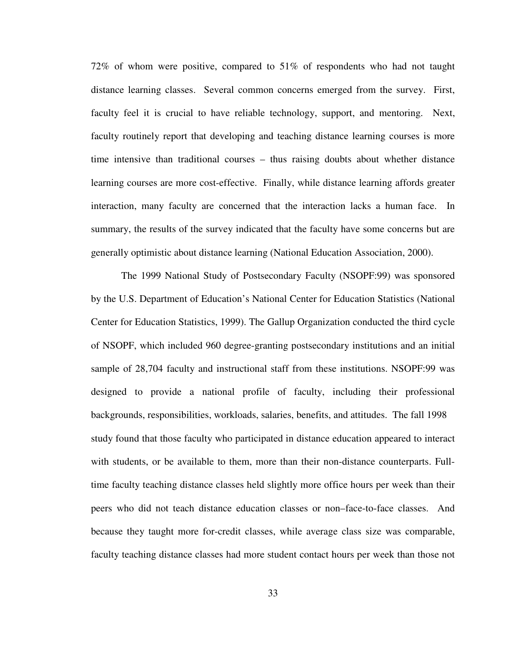72% of whom were positive, compared to 51% of respondents who had not taught distance learning classes. Several common concerns emerged from the survey. First, faculty feel it is crucial to have reliable technology, support, and mentoring. Next, faculty routinely report that developing and teaching distance learning courses is more time intensive than traditional courses – thus raising doubts about whether distance learning courses are more cost-effective. Finally, while distance learning affords greater interaction, many faculty are concerned that the interaction lacks a human face. In summary, the results of the survey indicated that the faculty have some concerns but are generally optimistic about distance learning (National Education Association, 2000).

 The 1999 National Study of Postsecondary Faculty (NSOPF:99) was sponsored by the U.S. Department of Education's National Center for Education Statistics (National Center for Education Statistics, 1999). The Gallup Organization conducted the third cycle of NSOPF, which included 960 degree-granting postsecondary institutions and an initial sample of 28,704 faculty and instructional staff from these institutions. NSOPF:99 was designed to provide a national profile of faculty, including their professional backgrounds, responsibilities, workloads, salaries, benefits, and attitudes. The fall 1998 study found that those faculty who participated in distance education appeared to interact with students, or be available to them, more than their non-distance counterparts. Fulltime faculty teaching distance classes held slightly more office hours per week than their peers who did not teach distance education classes or non–face-to-face classes. And because they taught more for-credit classes, while average class size was comparable, faculty teaching distance classes had more student contact hours per week than those not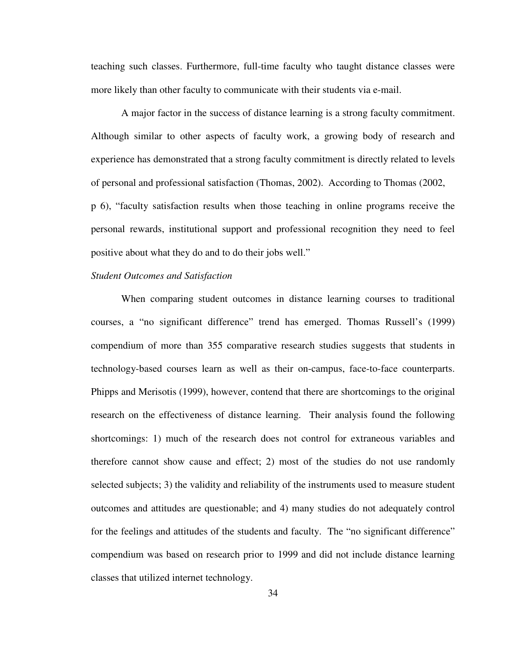teaching such classes. Furthermore, full-time faculty who taught distance classes were more likely than other faculty to communicate with their students via e-mail.

 A major factor in the success of distance learning is a strong faculty commitment. Although similar to other aspects of faculty work, a growing body of research and experience has demonstrated that a strong faculty commitment is directly related to levels of personal and professional satisfaction (Thomas, 2002). According to Thomas (2002, p 6), "faculty satisfaction results when those teaching in online programs receive the personal rewards, institutional support and professional recognition they need to feel positive about what they do and to do their jobs well."

### *Student Outcomes and Satisfaction*

When comparing student outcomes in distance learning courses to traditional courses, a "no significant difference" trend has emerged. Thomas Russell's (1999) compendium of more than 355 comparative research studies suggests that students in technology-based courses learn as well as their on-campus, face-to-face counterparts. Phipps and Merisotis (1999), however, contend that there are shortcomings to the original research on the effectiveness of distance learning. Their analysis found the following shortcomings: 1) much of the research does not control for extraneous variables and therefore cannot show cause and effect; 2) most of the studies do not use randomly selected subjects; 3) the validity and reliability of the instruments used to measure student outcomes and attitudes are questionable; and 4) many studies do not adequately control for the feelings and attitudes of the students and faculty. The "no significant difference" compendium was based on research prior to 1999 and did not include distance learning classes that utilized internet technology.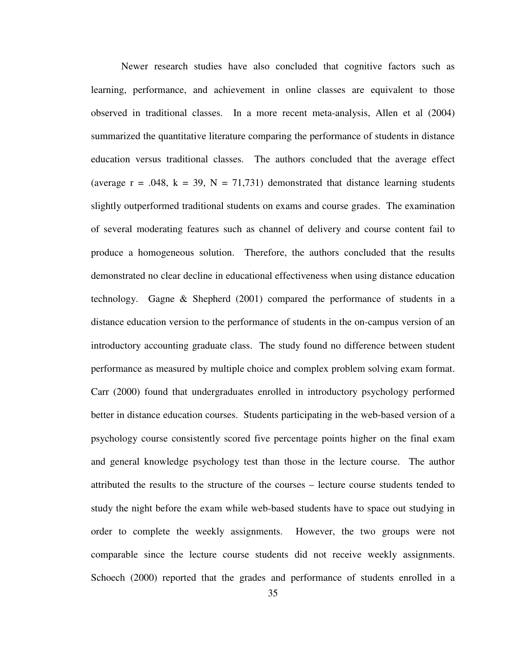Newer research studies have also concluded that cognitive factors such as learning, performance, and achievement in online classes are equivalent to those observed in traditional classes. In a more recent meta-analysis, Allen et al (2004) summarized the quantitative literature comparing the performance of students in distance education versus traditional classes. The authors concluded that the average effect (average  $r = .048$ ,  $k = 39$ ,  $N = 71,731$ ) demonstrated that distance learning students slightly outperformed traditional students on exams and course grades. The examination of several moderating features such as channel of delivery and course content fail to produce a homogeneous solution. Therefore, the authors concluded that the results demonstrated no clear decline in educational effectiveness when using distance education technology. Gagne & Shepherd (2001) compared the performance of students in a distance education version to the performance of students in the on-campus version of an introductory accounting graduate class. The study found no difference between student performance as measured by multiple choice and complex problem solving exam format. Carr (2000) found that undergraduates enrolled in introductory psychology performed better in distance education courses. Students participating in the web-based version of a psychology course consistently scored five percentage points higher on the final exam and general knowledge psychology test than those in the lecture course. The author attributed the results to the structure of the courses – lecture course students tended to study the night before the exam while web-based students have to space out studying in order to complete the weekly assignments. However, the two groups were not comparable since the lecture course students did not receive weekly assignments. Schoech (2000) reported that the grades and performance of students enrolled in a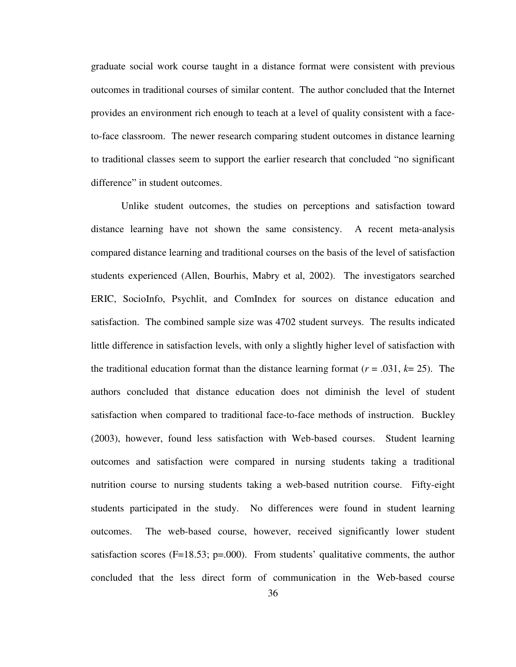graduate social work course taught in a distance format were consistent with previous outcomes in traditional courses of similar content. The author concluded that the Internet provides an environment rich enough to teach at a level of quality consistent with a faceto-face classroom. The newer research comparing student outcomes in distance learning to traditional classes seem to support the earlier research that concluded "no significant difference" in student outcomes.

 Unlike student outcomes, the studies on perceptions and satisfaction toward distance learning have not shown the same consistency. A recent meta-analysis compared distance learning and traditional courses on the basis of the level of satisfaction students experienced (Allen, Bourhis, Mabry et al, 2002). The investigators searched ERIC, SocioInfo, Psychlit, and ComIndex for sources on distance education and satisfaction. The combined sample size was 4702 student surveys. The results indicated little difference in satisfaction levels, with only a slightly higher level of satisfaction with the traditional education format than the distance learning format  $(r = .031, k = 25)$ . The authors concluded that distance education does not diminish the level of student satisfaction when compared to traditional face-to-face methods of instruction. Buckley (2003), however, found less satisfaction with Web-based courses. Student learning outcomes and satisfaction were compared in nursing students taking a traditional nutrition course to nursing students taking a web-based nutrition course. Fifty-eight students participated in the study. No differences were found in student learning outcomes. The web-based course, however, received significantly lower student satisfaction scores ( $F=18.53$ ;  $p=.000$ ). From students' qualitative comments, the author concluded that the less direct form of communication in the Web-based course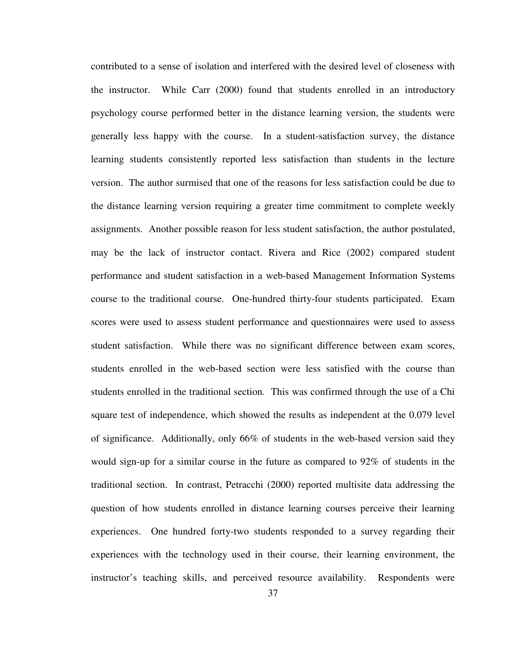contributed to a sense of isolation and interfered with the desired level of closeness with the instructor. While Carr (2000) found that students enrolled in an introductory psychology course performed better in the distance learning version, the students were generally less happy with the course. In a student-satisfaction survey, the distance learning students consistently reported less satisfaction than students in the lecture version. The author surmised that one of the reasons for less satisfaction could be due to the distance learning version requiring a greater time commitment to complete weekly assignments. Another possible reason for less student satisfaction, the author postulated, may be the lack of instructor contact. Rivera and Rice (2002) compared student performance and student satisfaction in a web-based Management Information Systems course to the traditional course. One-hundred thirty-four students participated. Exam scores were used to assess student performance and questionnaires were used to assess student satisfaction. While there was no significant difference between exam scores, students enrolled in the web-based section were less satisfied with the course than students enrolled in the traditional section. This was confirmed through the use of a Chi square test of independence, which showed the results as independent at the 0.079 level of significance. Additionally, only 66% of students in the web-based version said they would sign-up for a similar course in the future as compared to 92% of students in the traditional section. In contrast, Petracchi (2000) reported multisite data addressing the question of how students enrolled in distance learning courses perceive their learning experiences. One hundred forty-two students responded to a survey regarding their experiences with the technology used in their course, their learning environment, the instructor's teaching skills, and perceived resource availability. Respondents were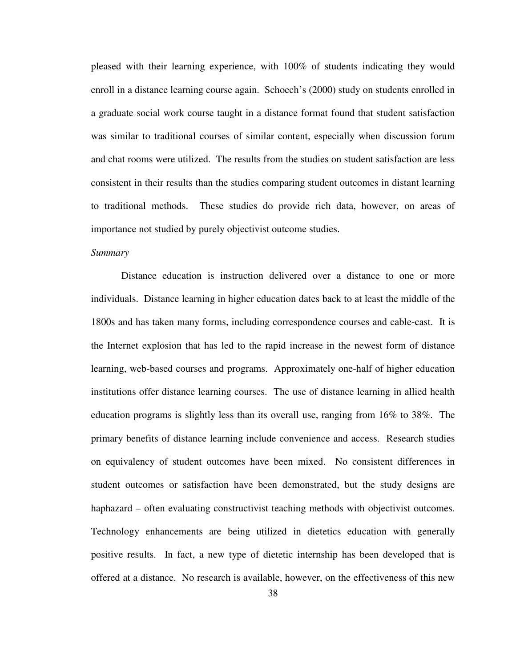pleased with their learning experience, with 100% of students indicating they would enroll in a distance learning course again. Schoech's (2000) study on students enrolled in a graduate social work course taught in a distance format found that student satisfaction was similar to traditional courses of similar content, especially when discussion forum and chat rooms were utilized. The results from the studies on student satisfaction are less consistent in their results than the studies comparing student outcomes in distant learning to traditional methods. These studies do provide rich data, however, on areas of importance not studied by purely objectivist outcome studies.

# *Summary*

 Distance education is instruction delivered over a distance to one or more individuals. Distance learning in higher education dates back to at least the middle of the 1800s and has taken many forms, including correspondence courses and cable-cast. It is the Internet explosion that has led to the rapid increase in the newest form of distance learning, web-based courses and programs. Approximately one-half of higher education institutions offer distance learning courses. The use of distance learning in allied health education programs is slightly less than its overall use, ranging from 16% to 38%. The primary benefits of distance learning include convenience and access. Research studies on equivalency of student outcomes have been mixed. No consistent differences in student outcomes or satisfaction have been demonstrated, but the study designs are haphazard – often evaluating constructivist teaching methods with objectivist outcomes. Technology enhancements are being utilized in dietetics education with generally positive results. In fact, a new type of dietetic internship has been developed that is offered at a distance. No research is available, however, on the effectiveness of this new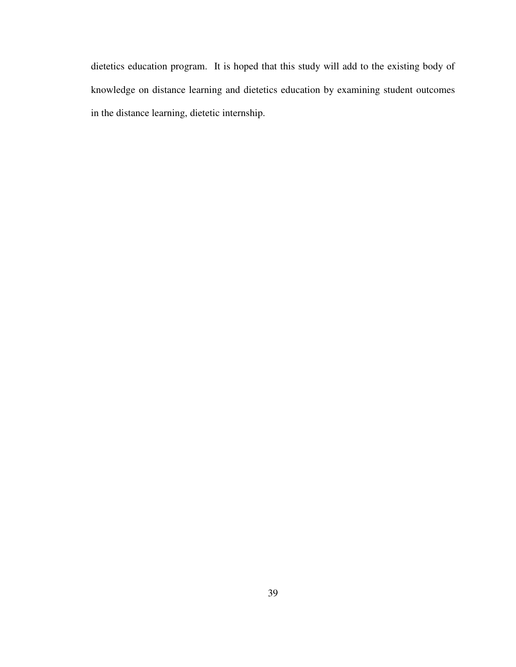dietetics education program. It is hoped that this study will add to the existing body of knowledge on distance learning and dietetics education by examining student outcomes in the distance learning, dietetic internship.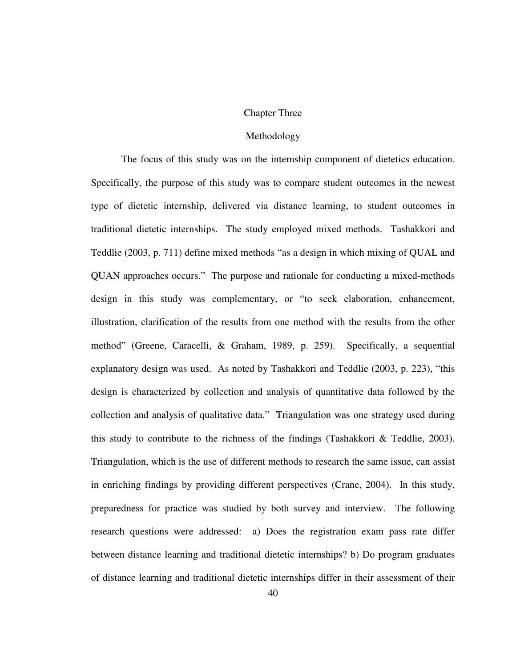#### Chapter Three

#### Methodology

The focus of this study was on the internship component of dietetics education. Specifically, the purpose of this study was to compare student outcomes in the newest type of dietetic internship, delivered via distance learning, to student outcomes in traditional dietetic internships. The study employed mixed methods. Tashakkori and Teddlie (2003, p. 711) define mixed methods "as a design in which mixing of QUAL and QUAN approaches occurs." The purpose and rationale for conducting a mixed-methods design in this study was complementary, or "to seek elaboration, enhancement, illustration, clarification of the results from one method with the results from the other method" (Greene, Caracelli, & Graham, 1989, p. 259). Specifically, a sequential explanatory design was used. As noted by Tashakkori and Teddlie (2003, p. 223), "this design is characterized by collection and analysis of quantitative data followed by the collection and analysis of qualitative data." Triangulation was one strategy used during this study to contribute to the richness of the findings (Tashakkori & Teddlie, 2003). Triangulation, which is the use of different methods to research the same issue, can assist in enriching findings by providing different perspectives (Crane, 2004). In this study, preparedness for practice was studied by both survey and interview. The following research questions were addressed: a) Does the registration exam pass rate differ between distance learning and traditional dietetic internships? b) Do program graduates of distance learning and traditional dietetic internships differ in their assessment of their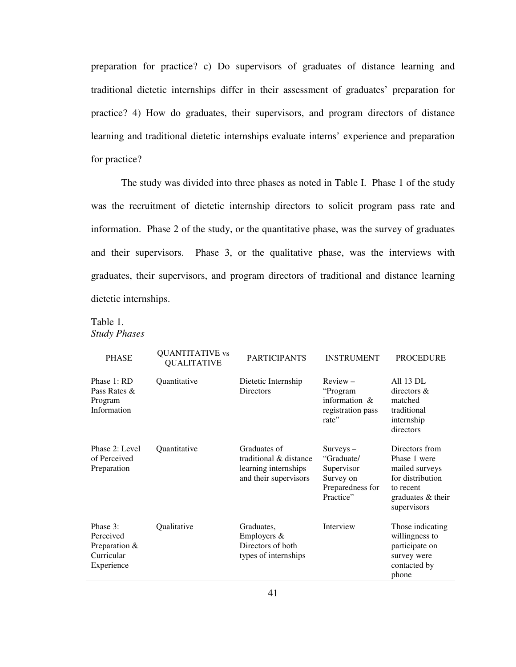preparation for practice? c) Do supervisors of graduates of distance learning and traditional dietetic internships differ in their assessment of graduates' preparation for practice? 4) How do graduates, their supervisors, and program directors of distance learning and traditional dietetic internships evaluate interns' experience and preparation for practice?

The study was divided into three phases as noted in Table I. Phase 1 of the study was the recruitment of dietetic internship directors to solicit program pass rate and information. Phase 2 of the study, or the quantitative phase, was the survey of graduates and their supervisors. Phase 3, or the qualitative phase, was the interviews with graduates, their supervisors, and program directors of traditional and distance learning dietetic internships.

Table 1. *Study Phases*

| <b>PHASE</b>                                                       | <b>QUANTITATIVE</b> vs<br><b>QUALITATIVE</b> | <b>PARTICIPANTS</b>                                                                     | <b>INSTRUMENT</b>                                                                    | <b>PROCEDURE</b>                                                                                                      |
|--------------------------------------------------------------------|----------------------------------------------|-----------------------------------------------------------------------------------------|--------------------------------------------------------------------------------------|-----------------------------------------------------------------------------------------------------------------------|
| Phase 1: RD<br>Pass Rates &<br>Program<br>Information              | Quantitative                                 | Dietetic Internship<br><b>Directors</b>                                                 | $Review -$<br>"Program<br>information $\&$<br>registration pass<br>rate"             | All 13 DL<br>directors &<br>matched<br>traditional<br>internship<br>directors                                         |
| Phase 2: Level<br>of Perceived<br>Preparation                      | <b>Quantitative</b>                          | Graduates of<br>traditional & distance<br>learning internships<br>and their supervisors | $Suvevs -$<br>"Graduate/<br>Supervisor<br>Survey on<br>Preparedness for<br>Practice" | Directors from<br>Phase 1 were<br>mailed surveys<br>for distribution<br>to recent<br>graduates & their<br>supervisors |
| Phase 3:<br>Perceived<br>Preparation &<br>Curricular<br>Experience | Qualitative                                  | Graduates,<br>Employers &<br>Directors of both<br>types of internships                  | Interview                                                                            | Those indicating<br>willingness to<br>participate on<br>survey were<br>contacted by<br>phone                          |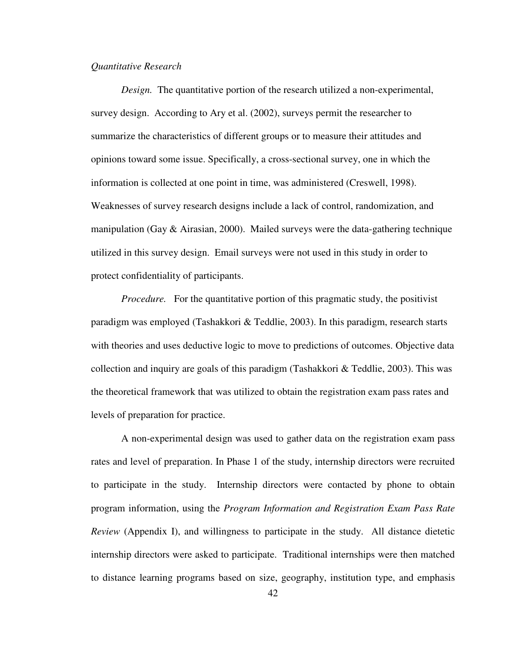#### *Quantitative Research*

*Design.* The quantitative portion of the research utilized a non-experimental, survey design. According to Ary et al. (2002), surveys permit the researcher to summarize the characteristics of different groups or to measure their attitudes and opinions toward some issue. Specifically, a cross-sectional survey, one in which the information is collected at one point in time, was administered (Creswell, 1998). Weaknesses of survey research designs include a lack of control, randomization, and manipulation (Gay  $\&$  Airasian, 2000). Mailed surveys were the data-gathering technique utilized in this survey design. Email surveys were not used in this study in order to protect confidentiality of participants.

*Procedure.* For the quantitative portion of this pragmatic study, the positivist paradigm was employed (Tashakkori & Teddlie, 2003). In this paradigm, research starts with theories and uses deductive logic to move to predictions of outcomes. Objective data collection and inquiry are goals of this paradigm (Tashakkori & Teddlie, 2003). This was the theoretical framework that was utilized to obtain the registration exam pass rates and levels of preparation for practice.

 A non-experimental design was used to gather data on the registration exam pass rates and level of preparation. In Phase 1 of the study, internship directors were recruited to participate in the study. Internship directors were contacted by phone to obtain program information, using the *Program Information and Registration Exam Pass Rate Review* (Appendix I), and willingness to participate in the study. All distance dietetic internship directors were asked to participate. Traditional internships were then matched to distance learning programs based on size, geography, institution type, and emphasis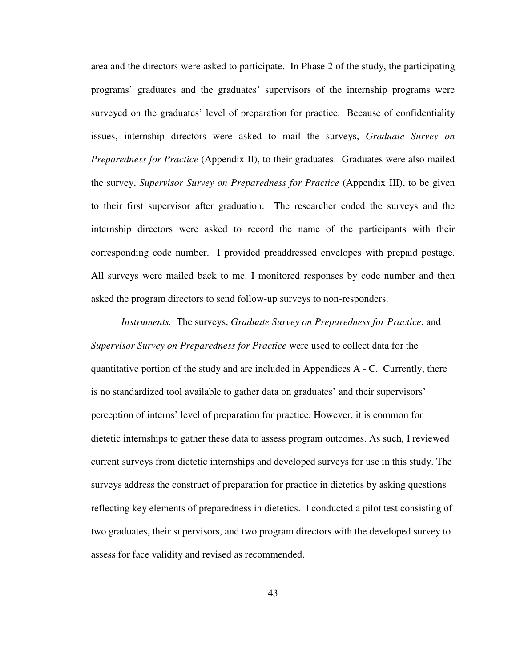area and the directors were asked to participate. In Phase 2 of the study, the participating programs' graduates and the graduates' supervisors of the internship programs were surveyed on the graduates' level of preparation for practice. Because of confidentiality issues, internship directors were asked to mail the surveys, *Graduate Survey on Preparedness for Practice* (Appendix II), to their graduates. Graduates were also mailed the survey, *Supervisor Survey on Preparedness for Practice* (Appendix III), to be given to their first supervisor after graduation. The researcher coded the surveys and the internship directors were asked to record the name of the participants with their corresponding code number. I provided preaddressed envelopes with prepaid postage. All surveys were mailed back to me. I monitored responses by code number and then asked the program directors to send follow-up surveys to non-responders.

*Instruments.* The surveys, *Graduate Survey on Preparedness for Practice*, and *Supervisor Survey on Preparedness for Practice* were used to collect data for the quantitative portion of the study and are included in Appendices A - C. Currently, there is no standardized tool available to gather data on graduates' and their supervisors' perception of interns' level of preparation for practice. However, it is common for dietetic internships to gather these data to assess program outcomes. As such, I reviewed current surveys from dietetic internships and developed surveys for use in this study. The surveys address the construct of preparation for practice in dietetics by asking questions reflecting key elements of preparedness in dietetics. I conducted a pilot test consisting of two graduates, their supervisors, and two program directors with the developed survey to assess for face validity and revised as recommended.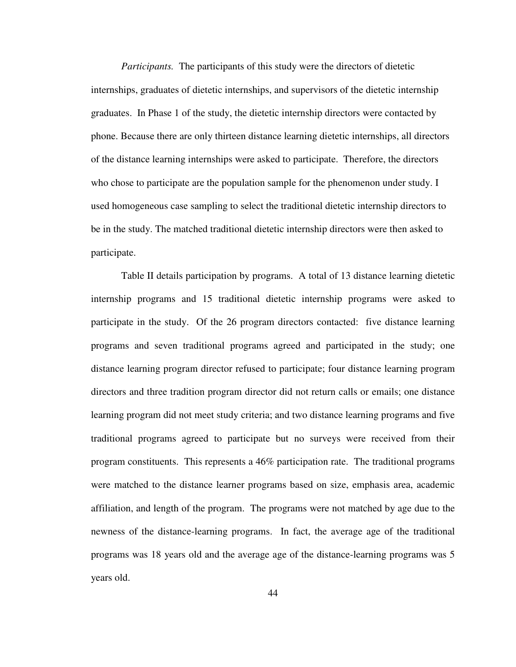*Participants.* The participants of this study were the directors of dietetic internships, graduates of dietetic internships, and supervisors of the dietetic internship graduates. In Phase 1 of the study, the dietetic internship directors were contacted by phone. Because there are only thirteen distance learning dietetic internships, all directors of the distance learning internships were asked to participate. Therefore, the directors who chose to participate are the population sample for the phenomenon under study. I used homogeneous case sampling to select the traditional dietetic internship directors to be in the study. The matched traditional dietetic internship directors were then asked to participate.

 Table II details participation by programs. A total of 13 distance learning dietetic internship programs and 15 traditional dietetic internship programs were asked to participate in the study. Of the 26 program directors contacted: five distance learning programs and seven traditional programs agreed and participated in the study; one distance learning program director refused to participate; four distance learning program directors and three tradition program director did not return calls or emails; one distance learning program did not meet study criteria; and two distance learning programs and five traditional programs agreed to participate but no surveys were received from their program constituents. This represents a 46% participation rate. The traditional programs were matched to the distance learner programs based on size, emphasis area, academic affiliation, and length of the program. The programs were not matched by age due to the newness of the distance-learning programs. In fact, the average age of the traditional programs was 18 years old and the average age of the distance-learning programs was 5 years old.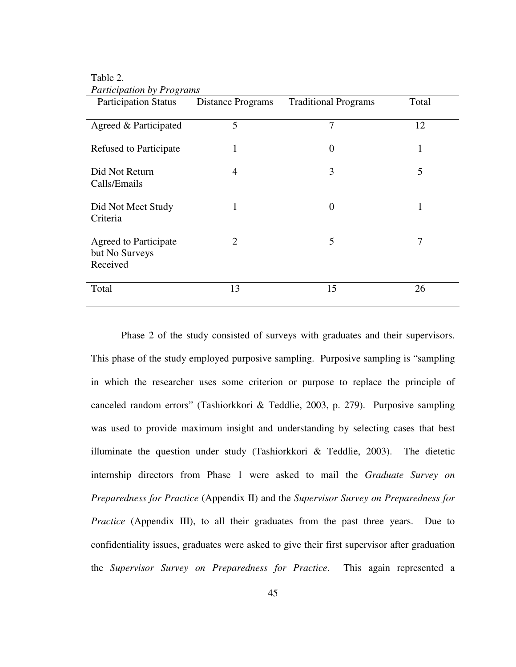| <b>Participation Status</b>                                | <b>Distance Programs</b> | <b>Traditional Programs</b> | Total        |
|------------------------------------------------------------|--------------------------|-----------------------------|--------------|
| Agreed & Participated                                      | 5                        | 7                           | 12           |
| Refused to Participate                                     | 1                        | $\overline{0}$              | $\mathbf{1}$ |
| Did Not Return<br>Calls/Emails                             | 4                        | 3                           | 5            |
| Did Not Meet Study<br>Criteria                             | $\mathbf{1}$             | $\theta$                    | $\mathbf{1}$ |
| <b>Agreed to Participate</b><br>but No Surveys<br>Received | 2                        | 5                           | 7            |
| Total                                                      | 13                       | 15                          | 26           |

# Table 2. *Participation by Programs*

Phase 2 of the study consisted of surveys with graduates and their supervisors. This phase of the study employed purposive sampling. Purposive sampling is "sampling in which the researcher uses some criterion or purpose to replace the principle of canceled random errors" (Tashiorkkori & Teddlie, 2003, p. 279). Purposive sampling was used to provide maximum insight and understanding by selecting cases that best illuminate the question under study (Tashiorkkori & Teddlie, 2003). The dietetic internship directors from Phase 1 were asked to mail the *Graduate Survey on Preparedness for Practice* (Appendix II) and the *Supervisor Survey on Preparedness for Practice* (Appendix III), to all their graduates from the past three years. Due to confidentiality issues, graduates were asked to give their first supervisor after graduation the *Supervisor Survey on Preparedness for Practice*. This again represented a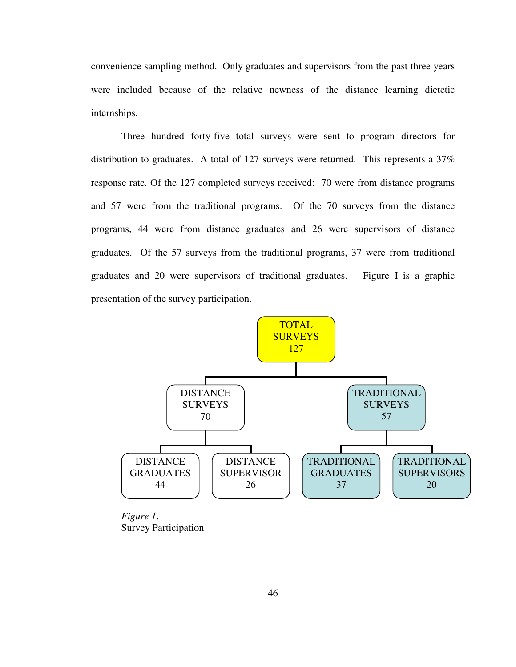convenience sampling method. Only graduates and supervisors from the past three years were included because of the relative newness of the distance learning dietetic internships.

Three hundred forty-five total surveys were sent to program directors for distribution to graduates. A total of 127 surveys were returned. This represents a 37% response rate. Of the 127 completed surveys received: 70 were from distance programs and 57 were from the traditional programs. Of the 70 surveys from the distance programs, 44 were from distance graduates and 26 were supervisors of distance graduates. Of the 57 surveys from the traditional programs, 37 were from traditional graduates and 20 were supervisors of traditional graduates. Figure I is a graphic presentation of the survey participation.



*Figure 1*. Survey Participation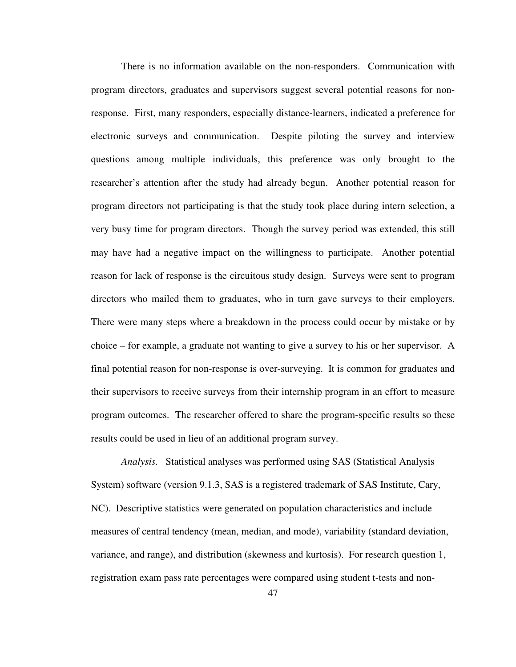There is no information available on the non-responders. Communication with program directors, graduates and supervisors suggest several potential reasons for nonresponse. First, many responders, especially distance-learners, indicated a preference for electronic surveys and communication. Despite piloting the survey and interview questions among multiple individuals, this preference was only brought to the researcher's attention after the study had already begun. Another potential reason for program directors not participating is that the study took place during intern selection, a very busy time for program directors. Though the survey period was extended, this still may have had a negative impact on the willingness to participate. Another potential reason for lack of response is the circuitous study design. Surveys were sent to program directors who mailed them to graduates, who in turn gave surveys to their employers. There were many steps where a breakdown in the process could occur by mistake or by choice – for example, a graduate not wanting to give a survey to his or her supervisor. A final potential reason for non-response is over-surveying. It is common for graduates and their supervisors to receive surveys from their internship program in an effort to measure program outcomes. The researcher offered to share the program-specific results so these results could be used in lieu of an additional program survey.

*Analysis.* Statistical analyses was performed using SAS (Statistical Analysis System) software (version 9.1.3, SAS is a registered trademark of SAS Institute, Cary, NC). Descriptive statistics were generated on population characteristics and include measures of central tendency (mean, median, and mode), variability (standard deviation, variance, and range), and distribution (skewness and kurtosis). For research question 1, registration exam pass rate percentages were compared using student t-tests and non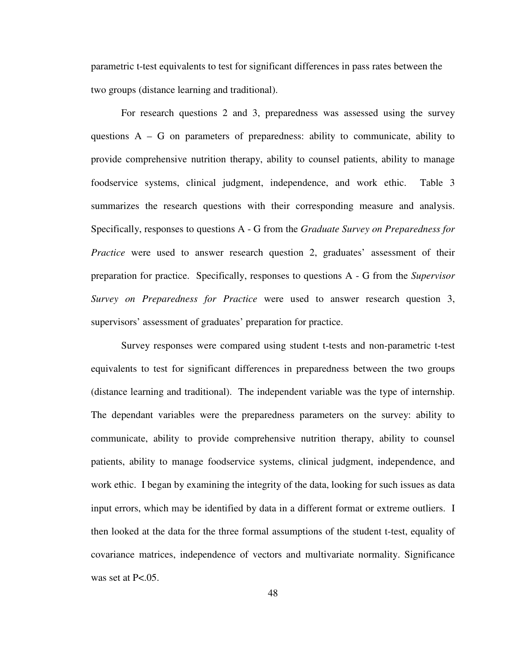parametric t-test equivalents to test for significant differences in pass rates between the two groups (distance learning and traditional).

For research questions 2 and 3, preparedness was assessed using the survey questions  $A - G$  on parameters of preparedness: ability to communicate, ability to provide comprehensive nutrition therapy, ability to counsel patients, ability to manage foodservice systems, clinical judgment, independence, and work ethic. Table 3 summarizes the research questions with their corresponding measure and analysis. Specifically, responses to questions A - G from the *Graduate Survey on Preparedness for Practice* were used to answer research question 2, graduates' assessment of their preparation for practice. Specifically, responses to questions A - G from the *Supervisor Survey on Preparedness for Practice* were used to answer research question 3, supervisors' assessment of graduates' preparation for practice.

Survey responses were compared using student t-tests and non-parametric t-test equivalents to test for significant differences in preparedness between the two groups (distance learning and traditional). The independent variable was the type of internship. The dependant variables were the preparedness parameters on the survey: ability to communicate, ability to provide comprehensive nutrition therapy, ability to counsel patients, ability to manage foodservice systems, clinical judgment, independence, and work ethic. I began by examining the integrity of the data, looking for such issues as data input errors, which may be identified by data in a different format or extreme outliers. I then looked at the data for the three formal assumptions of the student t-test, equality of covariance matrices, independence of vectors and multivariate normality. Significance was set at  $P<.05$ .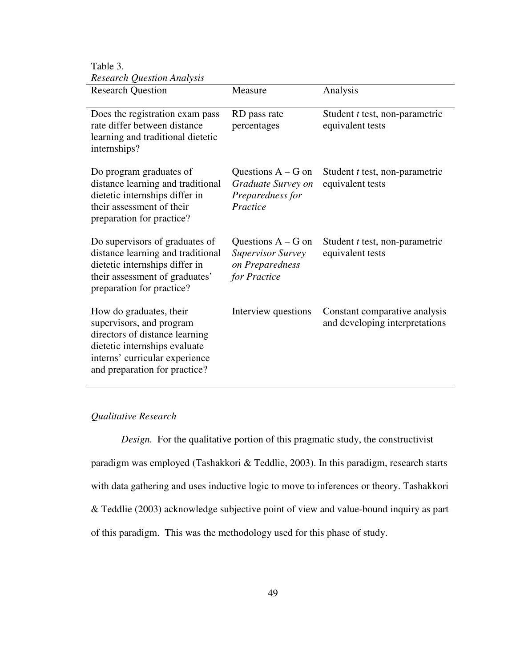Table 3. *Research Question Analysis*

| <b>Research Question</b>                                                                                                                                                                  | Measure                                                                             | Analysis                                                        |
|-------------------------------------------------------------------------------------------------------------------------------------------------------------------------------------------|-------------------------------------------------------------------------------------|-----------------------------------------------------------------|
| Does the registration exam pass<br>rate differ between distance<br>learning and traditional dietetic<br>internships?                                                                      | RD pass rate<br>percentages                                                         | Student <i>t</i> test, non-parametric<br>equivalent tests       |
| Do program graduates of<br>distance learning and traditional<br>dietetic internships differ in<br>their assessment of their<br>preparation for practice?                                  | Questions $A - G$ on<br>Graduate Survey on<br>Preparedness for<br>Practice          | Student <i>t</i> test, non-parametric<br>equivalent tests       |
| Do supervisors of graduates of<br>distance learning and traditional<br>dietetic internships differ in<br>their assessment of graduates'<br>preparation for practice?                      | Questions $A - G$ on<br><b>Supervisor Survey</b><br>on Preparedness<br>for Practice | Student <i>t</i> test, non-parametric<br>equivalent tests       |
| How do graduates, their<br>supervisors, and program<br>directors of distance learning<br>dietetic internships evaluate<br>interns' curricular experience<br>and preparation for practice? | Interview questions                                                                 | Constant comparative analysis<br>and developing interpretations |

### *Qualitative Research*

*Design.* For the qualitative portion of this pragmatic study, the constructivist paradigm was employed (Tashakkori & Teddlie, 2003). In this paradigm, research starts with data gathering and uses inductive logic to move to inferences or theory. Tashakkori & Teddlie (2003) acknowledge subjective point of view and value-bound inquiry as part of this paradigm. This was the methodology used for this phase of study.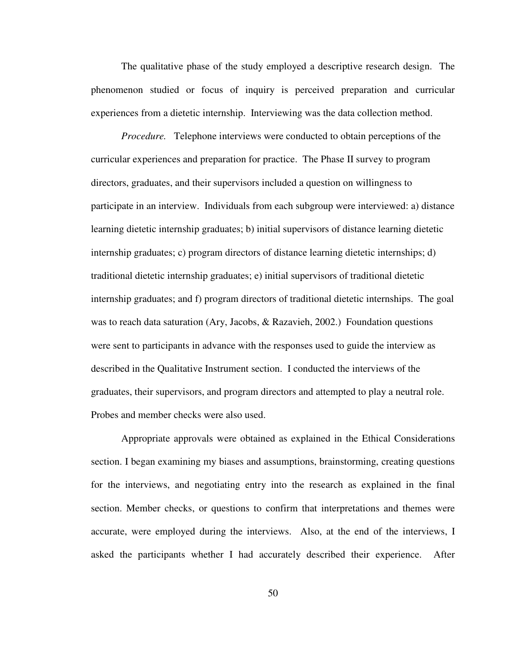The qualitative phase of the study employed a descriptive research design. The phenomenon studied or focus of inquiry is perceived preparation and curricular experiences from a dietetic internship. Interviewing was the data collection method.

*Procedure.* Telephone interviews were conducted to obtain perceptions of the curricular experiences and preparation for practice. The Phase II survey to program directors, graduates, and their supervisors included a question on willingness to participate in an interview. Individuals from each subgroup were interviewed: a) distance learning dietetic internship graduates; b) initial supervisors of distance learning dietetic internship graduates; c) program directors of distance learning dietetic internships; d) traditional dietetic internship graduates; e) initial supervisors of traditional dietetic internship graduates; and f) program directors of traditional dietetic internships. The goal was to reach data saturation (Ary, Jacobs, & Razavieh, 2002.) Foundation questions were sent to participants in advance with the responses used to guide the interview as described in the Qualitative Instrument section. I conducted the interviews of the graduates, their supervisors, and program directors and attempted to play a neutral role. Probes and member checks were also used.

Appropriate approvals were obtained as explained in the Ethical Considerations section. I began examining my biases and assumptions, brainstorming, creating questions for the interviews, and negotiating entry into the research as explained in the final section. Member checks, or questions to confirm that interpretations and themes were accurate, were employed during the interviews. Also, at the end of the interviews, I asked the participants whether I had accurately described their experience. After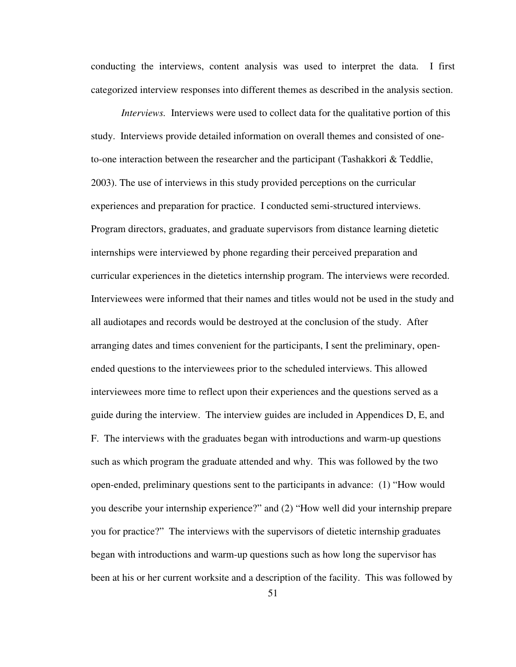conducting the interviews, content analysis was used to interpret the data. I first categorized interview responses into different themes as described in the analysis section.

*Interviews.* Interviews were used to collect data for the qualitative portion of this study. Interviews provide detailed information on overall themes and consisted of oneto-one interaction between the researcher and the participant (Tashakkori & Teddlie, 2003). The use of interviews in this study provided perceptions on the curricular experiences and preparation for practice. I conducted semi-structured interviews. Program directors, graduates, and graduate supervisors from distance learning dietetic internships were interviewed by phone regarding their perceived preparation and curricular experiences in the dietetics internship program. The interviews were recorded. Interviewees were informed that their names and titles would not be used in the study and all audiotapes and records would be destroyed at the conclusion of the study. After arranging dates and times convenient for the participants, I sent the preliminary, openended questions to the interviewees prior to the scheduled interviews. This allowed interviewees more time to reflect upon their experiences and the questions served as a guide during the interview. The interview guides are included in Appendices D, E, and F. The interviews with the graduates began with introductions and warm-up questions such as which program the graduate attended and why. This was followed by the two open-ended, preliminary questions sent to the participants in advance: (1) "How would you describe your internship experience?" and (2) "How well did your internship prepare you for practice?" The interviews with the supervisors of dietetic internship graduates began with introductions and warm-up questions such as how long the supervisor has been at his or her current worksite and a description of the facility. This was followed by

51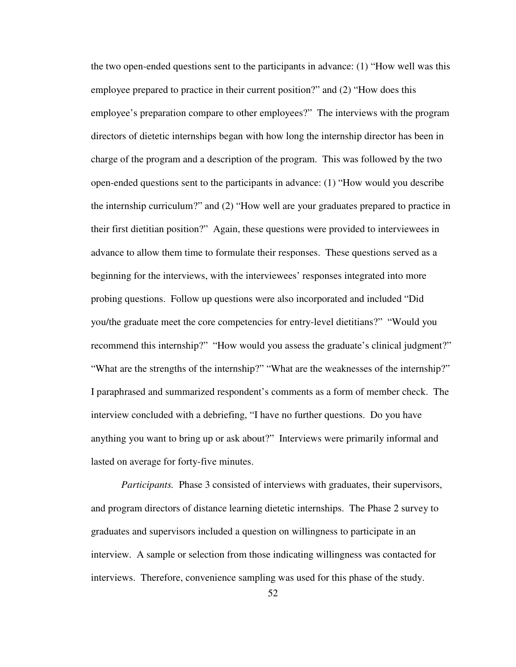the two open-ended questions sent to the participants in advance: (1) "How well was this employee prepared to practice in their current position?" and (2) "How does this employee's preparation compare to other employees?" The interviews with the program directors of dietetic internships began with how long the internship director has been in charge of the program and a description of the program. This was followed by the two open-ended questions sent to the participants in advance: (1) "How would you describe the internship curriculum?" and (2) "How well are your graduates prepared to practice in their first dietitian position?" Again, these questions were provided to interviewees in advance to allow them time to formulate their responses. These questions served as a beginning for the interviews, with the interviewees' responses integrated into more probing questions. Follow up questions were also incorporated and included "Did you/the graduate meet the core competencies for entry-level dietitians?" "Would you recommend this internship?" "How would you assess the graduate's clinical judgment?" "What are the strengths of the internship?" "What are the weaknesses of the internship?" I paraphrased and summarized respondent's comments as a form of member check. The interview concluded with a debriefing, "I have no further questions. Do you have anything you want to bring up or ask about?" Interviews were primarily informal and lasted on average for forty-five minutes.

*Participants.* Phase 3 consisted of interviews with graduates, their supervisors, and program directors of distance learning dietetic internships. The Phase 2 survey to graduates and supervisors included a question on willingness to participate in an interview. A sample or selection from those indicating willingness was contacted for interviews. Therefore, convenience sampling was used for this phase of the study.

52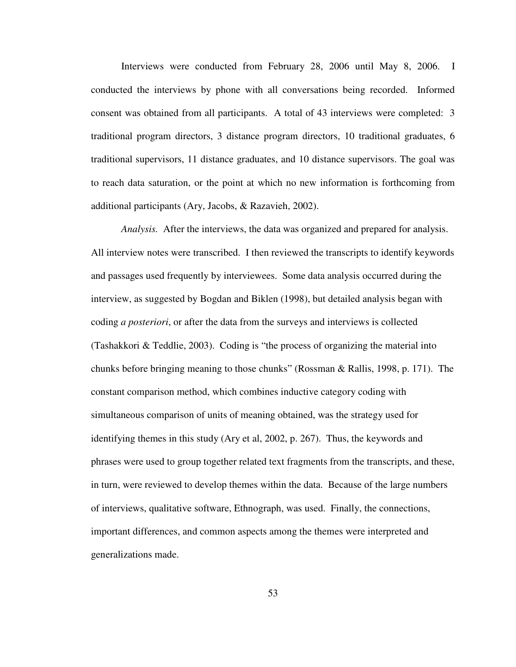Interviews were conducted from February 28, 2006 until May 8, 2006. I conducted the interviews by phone with all conversations being recorded. Informed consent was obtained from all participants. A total of 43 interviews were completed: 3 traditional program directors, 3 distance program directors, 10 traditional graduates, 6 traditional supervisors, 11 distance graduates, and 10 distance supervisors. The goal was to reach data saturation, or the point at which no new information is forthcoming from additional participants (Ary, Jacobs, & Razavieh, 2002).

*Analysis.* After the interviews, the data was organized and prepared for analysis. All interview notes were transcribed. I then reviewed the transcripts to identify keywords and passages used frequently by interviewees. Some data analysis occurred during the interview, as suggested by Bogdan and Biklen (1998), but detailed analysis began with coding *a posteriori*, or after the data from the surveys and interviews is collected (Tashakkori & Teddlie, 2003). Coding is "the process of organizing the material into chunks before bringing meaning to those chunks" (Rossman & Rallis, 1998, p. 171). The constant comparison method, which combines inductive category coding with simultaneous comparison of units of meaning obtained, was the strategy used for identifying themes in this study (Ary et al, 2002, p. 267). Thus, the keywords and phrases were used to group together related text fragments from the transcripts, and these, in turn, were reviewed to develop themes within the data. Because of the large numbers of interviews, qualitative software, Ethnograph, was used. Finally, the connections, important differences, and common aspects among the themes were interpreted and generalizations made.

53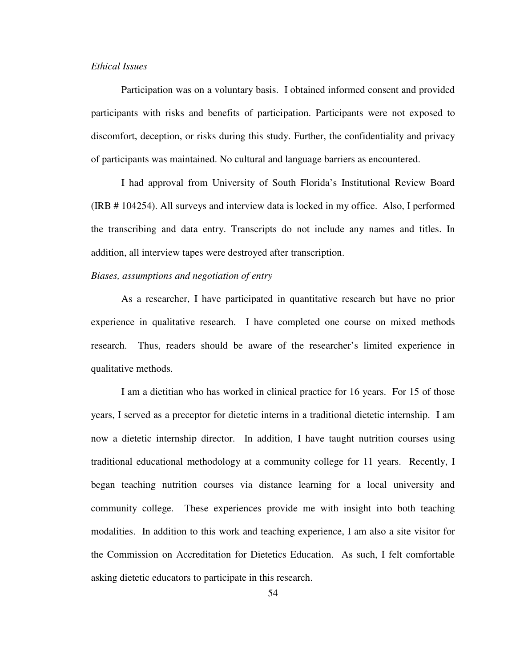# *Ethical Issues*

Participation was on a voluntary basis. I obtained informed consent and provided participants with risks and benefits of participation. Participants were not exposed to discomfort, deception, or risks during this study. Further, the confidentiality and privacy of participants was maintained. No cultural and language barriers as encountered.

 I had approval from University of South Florida's Institutional Review Board (IRB # 104254). All surveys and interview data is locked in my office. Also, I performed the transcribing and data entry. Transcripts do not include any names and titles. In addition, all interview tapes were destroyed after transcription.

### *Biases, assumptions and negotiation of entry*

As a researcher, I have participated in quantitative research but have no prior experience in qualitative research. I have completed one course on mixed methods research. Thus, readers should be aware of the researcher's limited experience in qualitative methods.

 I am a dietitian who has worked in clinical practice for 16 years. For 15 of those years, I served as a preceptor for dietetic interns in a traditional dietetic internship. I am now a dietetic internship director. In addition, I have taught nutrition courses using traditional educational methodology at a community college for 11 years. Recently, I began teaching nutrition courses via distance learning for a local university and community college. These experiences provide me with insight into both teaching modalities. In addition to this work and teaching experience, I am also a site visitor for the Commission on Accreditation for Dietetics Education. As such, I felt comfortable asking dietetic educators to participate in this research.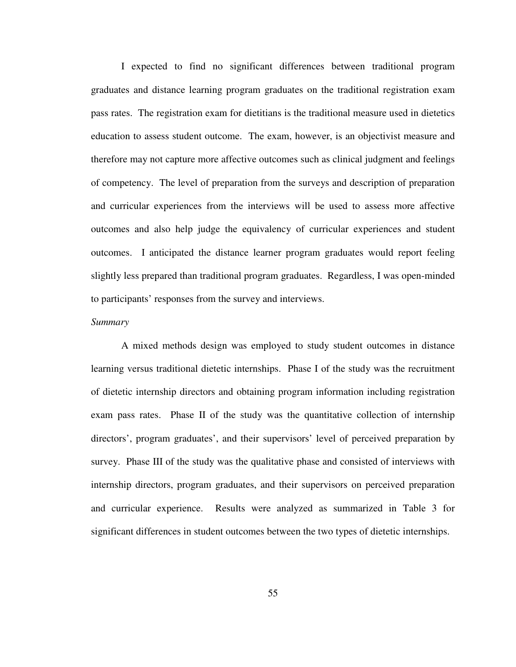I expected to find no significant differences between traditional program graduates and distance learning program graduates on the traditional registration exam pass rates. The registration exam for dietitians is the traditional measure used in dietetics education to assess student outcome. The exam, however, is an objectivist measure and therefore may not capture more affective outcomes such as clinical judgment and feelings of competency. The level of preparation from the surveys and description of preparation and curricular experiences from the interviews will be used to assess more affective outcomes and also help judge the equivalency of curricular experiences and student outcomes. I anticipated the distance learner program graduates would report feeling slightly less prepared than traditional program graduates. Regardless, I was open-minded to participants' responses from the survey and interviews.

### *Summary*

 A mixed methods design was employed to study student outcomes in distance learning versus traditional dietetic internships. Phase I of the study was the recruitment of dietetic internship directors and obtaining program information including registration exam pass rates. Phase II of the study was the quantitative collection of internship directors', program graduates', and their supervisors' level of perceived preparation by survey. Phase III of the study was the qualitative phase and consisted of interviews with internship directors, program graduates, and their supervisors on perceived preparation and curricular experience. Results were analyzed as summarized in Table 3 for significant differences in student outcomes between the two types of dietetic internships.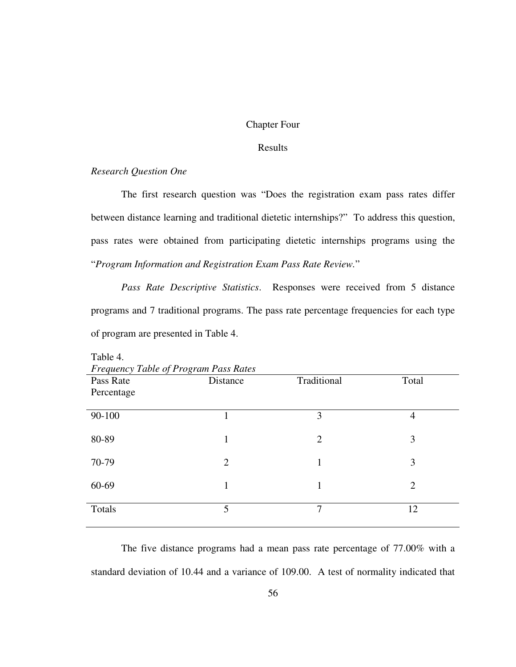# Chapter Four

## Results

# *Research Question One*

The first research question was "Does the registration exam pass rates differ between distance learning and traditional dietetic internships?" To address this question, pass rates were obtained from participating dietetic internships programs using the "*Program Information and Registration Exam Pass Rate Review.*"

*Pass Rate Descriptive Statistics*. Responses were received from 5 distance programs and 7 traditional programs. The pass rate percentage frequencies for each type of program are presented in Table 4.

| Frequency Table of Program Pass Rates |          |                |                |  |  |
|---------------------------------------|----------|----------------|----------------|--|--|
| Pass Rate                             | Distance | Traditional    | Total          |  |  |
| Percentage                            |          |                |                |  |  |
|                                       |          |                |                |  |  |
| 90-100                                |          | 3              | 4              |  |  |
|                                       |          |                |                |  |  |
| 80-89                                 | 1        | $\overline{2}$ | 3              |  |  |
|                                       |          |                |                |  |  |
| 70-79                                 | 2        |                | 3              |  |  |
| 60-69                                 | 1        | 1              | $\overline{2}$ |  |  |
|                                       |          |                |                |  |  |
| Totals                                | 5        | 7              | 12             |  |  |
|                                       |          |                |                |  |  |

Table 4.

The five distance programs had a mean pass rate percentage of 77.00% with a standard deviation of 10.44 and a variance of 109.00. A test of normality indicated that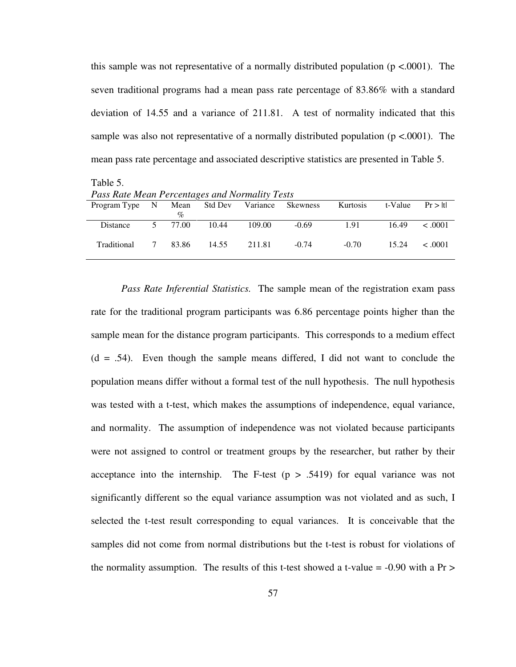this sample was not representative of a normally distributed population ( $p < .0001$ ). The seven traditional programs had a mean pass rate percentage of 83.86% with a standard deviation of 14.55 and a variance of 211.81. A test of normality indicated that this sample was also not representative of a normally distributed population ( $p < .0001$ ). The mean pass rate percentage and associated descriptive statistics are presented in Table 5.

Table 5.

| T and Rane means I or connaigh and Hormann, I cond |   |         |       |        |         |          |         |              |
|----------------------------------------------------|---|---------|-------|--------|---------|----------|---------|--------------|
| Program Type N Mean Std Dev Variance Skewness      |   |         |       |        |         | Kurtosis | t-Value | Pr >  t      |
|                                                    |   | $\%$    |       |        |         |          |         |              |
| Distance                                           |   | 5 77.00 | 10.44 | 109.00 | $-0.69$ | 1.91     | 16.49   | $\leq .0001$ |
| Traditional                                        | 7 | 83.86   | 14.55 | 211.81 | $-0.74$ | $-0.70$  | 15.24   | $\leq .0001$ |

*Pass Rate Inferential Statistics.* The sample mean of the registration exam pass rate for the traditional program participants was 6.86 percentage points higher than the sample mean for the distance program participants. This corresponds to a medium effect  $(d = .54)$ . Even though the sample means differed, I did not want to conclude the population means differ without a formal test of the null hypothesis. The null hypothesis was tested with a t-test, which makes the assumptions of independence, equal variance, and normality. The assumption of independence was not violated because participants were not assigned to control or treatment groups by the researcher, but rather by their acceptance into the internship. The F-test  $(p > .5419)$  for equal variance was not significantly different so the equal variance assumption was not violated and as such, I selected the t-test result corresponding to equal variances. It is conceivable that the samples did not come from normal distributions but the t-test is robust for violations of the normality assumption. The results of this t-test showed a t-value  $= -0.90$  with a Pr  $>$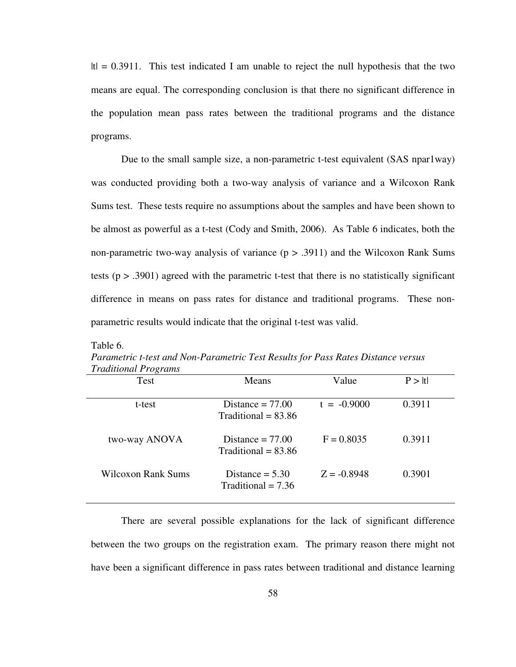$|t| = 0.3911$ . This test indicated I am unable to reject the null hypothesis that the two means are equal. The corresponding conclusion is that there no significant difference in the population mean pass rates between the traditional programs and the distance programs.

Due to the small sample size, a non-parametric t-test equivalent (SAS npar1way) was conducted providing both a two-way analysis of variance and a Wilcoxon Rank Sums test. These tests require no assumptions about the samples and have been shown to be almost as powerful as a t-test (Cody and Smith, 2006). As Table 6 indicates, both the non-parametric two-way analysis of variance  $(p > .3911)$  and the Wilcoxon Rank Sums tests ( $p > .3901$ ) agreed with the parametric t-test that there is no statistically significant difference in means on pass rates for distance and traditional programs. These nonparametric results would indicate that the original t-test was valid.

| $\overline{\phantom{a}}$<br>Test | Means                                            | Value         | P >  t |
|----------------------------------|--------------------------------------------------|---------------|--------|
| t-test                           | Distance $= 77.00$<br>Traditional $= 83.86$      | $t = -0.9000$ | 0.3911 |
| two-way ANOVA                    | Distance $= 77.00$<br>Traditional $= 83.86$      | $F = 0.8035$  | 0.3911 |
| Wilcoxon Rank Sums               | Distance $= 5.30$<br>$\text{Traditional} = 7.36$ | $Z = -0.8948$ | 0.3901 |

*Parametric t-test and Non-Parametric Test Results for Pass Rates Distance versus Traditional Programs* 

Table 6.

 There are several possible explanations for the lack of significant difference between the two groups on the registration exam. The primary reason there might not have been a significant difference in pass rates between traditional and distance learning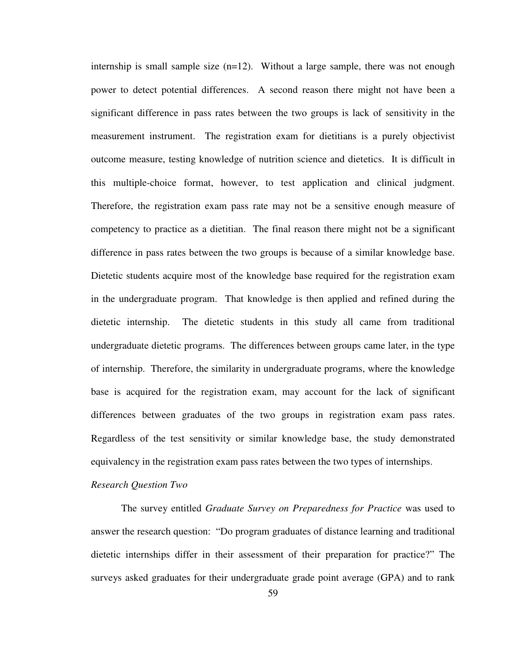internship is small sample size  $(n=12)$ . Without a large sample, there was not enough power to detect potential differences. A second reason there might not have been a significant difference in pass rates between the two groups is lack of sensitivity in the measurement instrument. The registration exam for dietitians is a purely objectivist outcome measure, testing knowledge of nutrition science and dietetics. It is difficult in this multiple-choice format, however, to test application and clinical judgment. Therefore, the registration exam pass rate may not be a sensitive enough measure of competency to practice as a dietitian. The final reason there might not be a significant difference in pass rates between the two groups is because of a similar knowledge base. Dietetic students acquire most of the knowledge base required for the registration exam in the undergraduate program. That knowledge is then applied and refined during the dietetic internship. The dietetic students in this study all came from traditional undergraduate dietetic programs. The differences between groups came later, in the type of internship. Therefore, the similarity in undergraduate programs, where the knowledge base is acquired for the registration exam, may account for the lack of significant differences between graduates of the two groups in registration exam pass rates. Regardless of the test sensitivity or similar knowledge base, the study demonstrated equivalency in the registration exam pass rates between the two types of internships.

#### *Research Question Two*

The survey entitled *Graduate Survey on Preparedness for Practice* was used to answer the research question: "Do program graduates of distance learning and traditional dietetic internships differ in their assessment of their preparation for practice?" The surveys asked graduates for their undergraduate grade point average (GPA) and to rank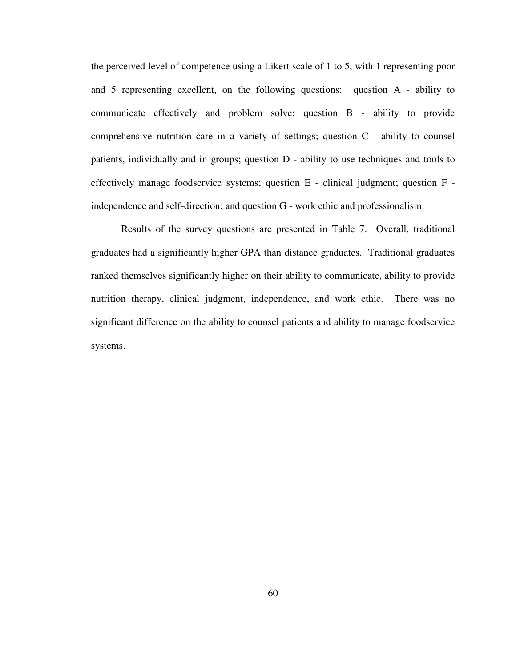the perceived level of competence using a Likert scale of 1 to 5, with 1 representing poor and 5 representing excellent, on the following questions: question A - ability to communicate effectively and problem solve; question B - ability to provide comprehensive nutrition care in a variety of settings; question C - ability to counsel patients, individually and in groups; question D - ability to use techniques and tools to effectively manage foodservice systems; question E - clinical judgment; question F independence and self-direction; and question G - work ethic and professionalism.

Results of the survey questions are presented in Table 7. Overall, traditional graduates had a significantly higher GPA than distance graduates. Traditional graduates ranked themselves significantly higher on their ability to communicate, ability to provide nutrition therapy, clinical judgment, independence, and work ethic. There was no significant difference on the ability to counsel patients and ability to manage foodservice systems.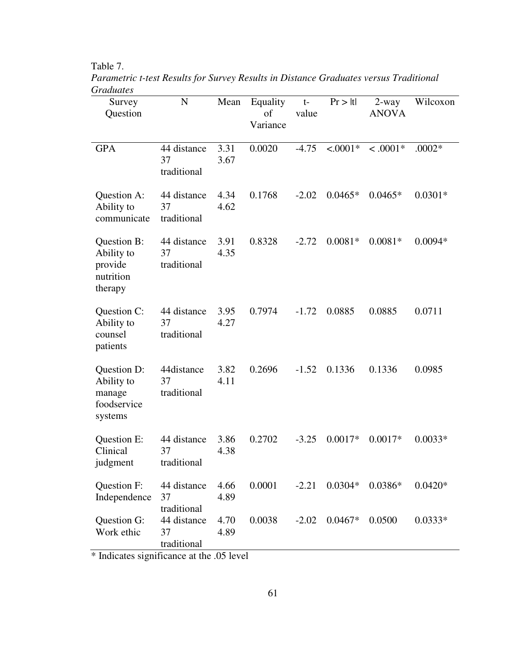Table 7.

| Survey<br>Question                                            | $\mathbf N$                      | Mean         | Equality<br>of<br>Variance | $t-$<br>value | Pr >  t    | $2$ -way<br><b>ANOVA</b> | Wilcoxon  |
|---------------------------------------------------------------|----------------------------------|--------------|----------------------------|---------------|------------|--------------------------|-----------|
| <b>GPA</b>                                                    | 44 distance<br>37<br>traditional | 3.31<br>3.67 | 0.0020                     | $-4.75$       | $< .0001*$ | $< .0001*$               | $.0002*$  |
| Question A:<br>Ability to<br>communicate                      | 44 distance<br>37<br>traditional | 4.34<br>4.62 | 0.1768                     | $-2.02$       | $0.0465*$  | $0.0465*$                | $0.0301*$ |
| Question B:<br>Ability to<br>provide<br>nutrition<br>therapy  | 44 distance<br>37<br>traditional | 3.91<br>4.35 | 0.8328                     | $-2.72$       | $0.0081*$  | $0.0081*$                | $0.0094*$ |
| Question C:<br>Ability to<br>counsel<br>patients              | 44 distance<br>37<br>traditional | 3.95<br>4.27 | 0.7974                     | $-1.72$       | 0.0885     | 0.0885                   | 0.0711    |
| Question D:<br>Ability to<br>manage<br>foodservice<br>systems | 44distance<br>37<br>traditional  | 3.82<br>4.11 | 0.2696                     | $-1.52$       | 0.1336     | 0.1336                   | 0.0985    |
| Question E:<br>Clinical<br>judgment                           | 44 distance<br>37<br>traditional | 3.86<br>4.38 | 0.2702                     | $-3.25$       | $0.0017*$  | $0.0017*$                | $0.0033*$ |
| Question F:<br>Independence                                   | 44 distance<br>37<br>traditional | 4.66<br>4.89 | 0.0001                     | $-2.21$       | $0.0304*$  | $0.0386*$                | $0.0420*$ |
| Question G:<br>Work ethic                                     | 44 distance<br>37<br>traditional | 4.70<br>4.89 | 0.0038                     | $-2.02$       | $0.0467*$  | 0.0500                   | $0.0333*$ |

*Parametric t-test Results for Survey Results in Distance Graduates versus Traditional Graduates* 

\* Indicates significance at the .05 level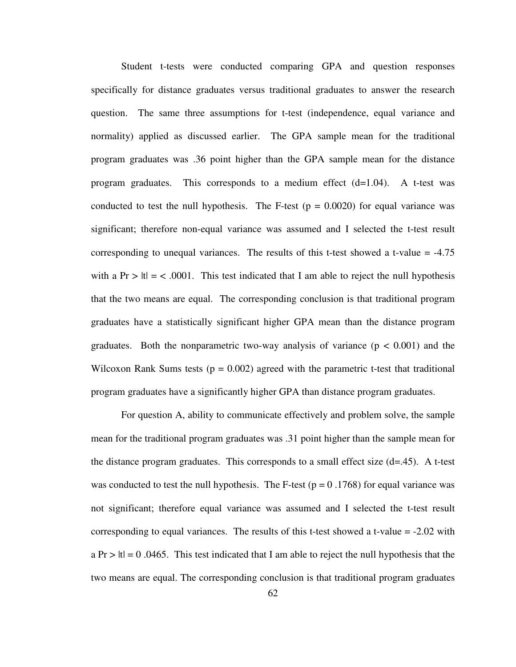Student t-tests were conducted comparing GPA and question responses specifically for distance graduates versus traditional graduates to answer the research question. The same three assumptions for t-test (independence, equal variance and normality) applied as discussed earlier. The GPA sample mean for the traditional program graduates was .36 point higher than the GPA sample mean for the distance program graduates. This corresponds to a medium effect  $(d=1.04)$ . A t-test was conducted to test the null hypothesis. The F-test  $(p = 0.0020)$  for equal variance was significant; therefore non-equal variance was assumed and I selected the t-test result corresponding to unequal variances. The results of this t-test showed a t-value  $= -4.75$ with a Pr  $> |t| = < .0001$ . This test indicated that I am able to reject the null hypothesis that the two means are equal. The corresponding conclusion is that traditional program graduates have a statistically significant higher GPA mean than the distance program graduates. Both the nonparametric two-way analysis of variance  $(p < 0.001)$  and the Wilcoxon Rank Sums tests ( $p = 0.002$ ) agreed with the parametric t-test that traditional program graduates have a significantly higher GPA than distance program graduates.

For question A, ability to communicate effectively and problem solve, the sample mean for the traditional program graduates was .31 point higher than the sample mean for the distance program graduates. This corresponds to a small effect size  $(d=.45)$ . A t-test was conducted to test the null hypothesis. The F-test ( $p = 0.1768$ ) for equal variance was not significant; therefore equal variance was assumed and I selected the t-test result corresponding to equal variances. The results of this t-test showed a t-value  $= -2.02$  with  $a \text{ Pr} > |t| = 0.0465$ . This test indicated that I am able to reject the null hypothesis that the two means are equal. The corresponding conclusion is that traditional program graduates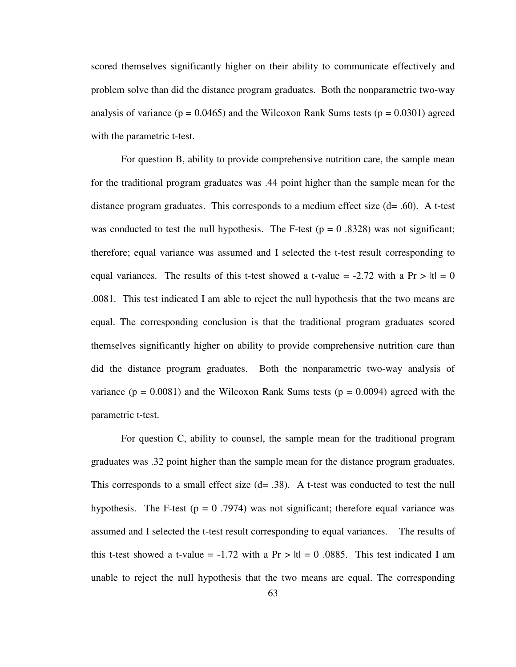scored themselves significantly higher on their ability to communicate effectively and problem solve than did the distance program graduates. Both the nonparametric two-way analysis of variance ( $p = 0.0465$ ) and the Wilcoxon Rank Sums tests ( $p = 0.0301$ ) agreed with the parametric t-test.

For question B, ability to provide comprehensive nutrition care, the sample mean for the traditional program graduates was .44 point higher than the sample mean for the distance program graduates. This corresponds to a medium effect size  $(d= .60)$ . A t-test was conducted to test the null hypothesis. The F-test  $(p = 0.8328)$  was not significant; therefore; equal variance was assumed and I selected the t-test result corresponding to equal variances. The results of this t-test showed a t-value  $= -2.72$  with a Pr  $> |t| = 0$ .0081. This test indicated I am able to reject the null hypothesis that the two means are equal. The corresponding conclusion is that the traditional program graduates scored themselves significantly higher on ability to provide comprehensive nutrition care than did the distance program graduates. Both the nonparametric two-way analysis of variance ( $p = 0.0081$ ) and the Wilcoxon Rank Sums tests ( $p = 0.0094$ ) agreed with the parametric t-test.

For question C, ability to counsel, the sample mean for the traditional program graduates was .32 point higher than the sample mean for the distance program graduates. This corresponds to a small effect size  $(d= .38)$ . A t-test was conducted to test the null hypothesis. The F-test ( $p = 0.7974$ ) was not significant; therefore equal variance was assumed and I selected the t-test result corresponding to equal variances. The results of this t-test showed a t-value =  $-1.72$  with a Pr  $>$  ltl = 0.0885. This test indicated I am unable to reject the null hypothesis that the two means are equal. The corresponding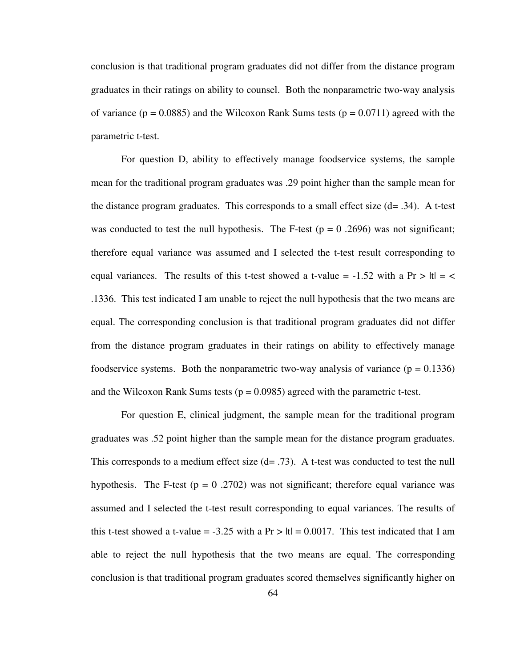conclusion is that traditional program graduates did not differ from the distance program graduates in their ratings on ability to counsel. Both the nonparametric two-way analysis of variance ( $p = 0.0885$ ) and the Wilcoxon Rank Sums tests ( $p = 0.0711$ ) agreed with the parametric t-test.

For question D, ability to effectively manage foodservice systems, the sample mean for the traditional program graduates was .29 point higher than the sample mean for the distance program graduates. This corresponds to a small effect size  $(d= .34)$ . A t-test was conducted to test the null hypothesis. The F-test  $(p = 0.2696)$  was not significant; therefore equal variance was assumed and I selected the t-test result corresponding to equal variances. The results of this t-test showed a t-value =  $-1.52$  with a Pr > |t| = < .1336. This test indicated I am unable to reject the null hypothesis that the two means are equal. The corresponding conclusion is that traditional program graduates did not differ from the distance program graduates in their ratings on ability to effectively manage foodservice systems. Both the nonparametric two-way analysis of variance  $(p = 0.1336)$ and the Wilcoxon Rank Sums tests ( $p = 0.0985$ ) agreed with the parametric t-test.

For question E, clinical judgment, the sample mean for the traditional program graduates was .52 point higher than the sample mean for the distance program graduates. This corresponds to a medium effect size  $(d= .73)$ . A t-test was conducted to test the null hypothesis. The F-test ( $p = 0.2702$ ) was not significant; therefore equal variance was assumed and I selected the t-test result corresponding to equal variances. The results of this t-test showed a t-value = -3.25 with a  $Pr > |t| = 0.0017$ . This test indicated that I am able to reject the null hypothesis that the two means are equal. The corresponding conclusion is that traditional program graduates scored themselves significantly higher on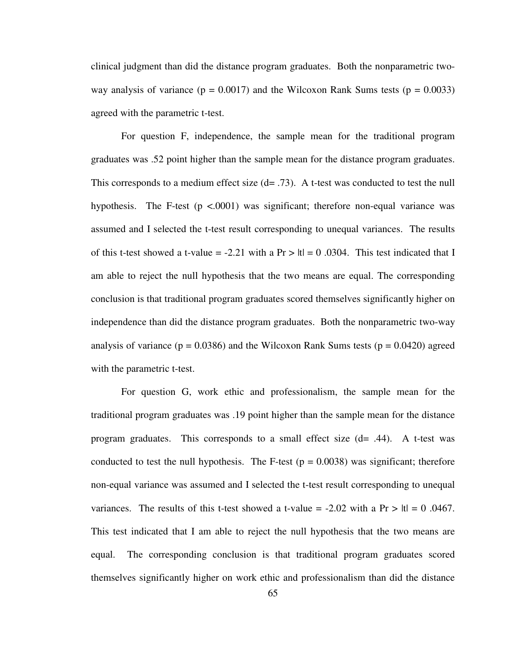clinical judgment than did the distance program graduates. Both the nonparametric twoway analysis of variance ( $p = 0.0017$ ) and the Wilcoxon Rank Sums tests ( $p = 0.0033$ ) agreed with the parametric t-test.

For question F, independence, the sample mean for the traditional program graduates was .52 point higher than the sample mean for the distance program graduates. This corresponds to a medium effect size  $(d= .73)$ . A t-test was conducted to test the null hypothesis. The F-test  $(p \le 0.0001)$  was significant; therefore non-equal variance was assumed and I selected the t-test result corresponding to unequal variances. The results of this t-test showed a t-value = -2.21 with a Pr  $>$  |t| = 0 .0304. This test indicated that I am able to reject the null hypothesis that the two means are equal. The corresponding conclusion is that traditional program graduates scored themselves significantly higher on independence than did the distance program graduates. Both the nonparametric two-way analysis of variance ( $p = 0.0386$ ) and the Wilcoxon Rank Sums tests ( $p = 0.0420$ ) agreed with the parametric t-test.

For question G, work ethic and professionalism, the sample mean for the traditional program graduates was .19 point higher than the sample mean for the distance program graduates. This corresponds to a small effect size  $(d= .44)$ . A t-test was conducted to test the null hypothesis. The F-test  $(p = 0.0038)$  was significant; therefore non-equal variance was assumed and I selected the t-test result corresponding to unequal variances. The results of this t-test showed a t-value = -2.02 with a Pr  $> |t| = 0$ .0467. This test indicated that I am able to reject the null hypothesis that the two means are equal. The corresponding conclusion is that traditional program graduates scored themselves significantly higher on work ethic and professionalism than did the distance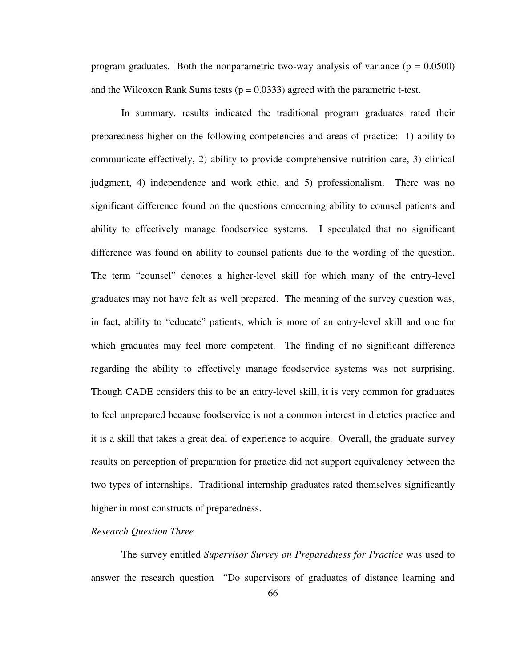program graduates. Both the nonparametric two-way analysis of variance  $(p = 0.0500)$ and the Wilcoxon Rank Sums tests ( $p = 0.0333$ ) agreed with the parametric t-test.

 In summary, results indicated the traditional program graduates rated their preparedness higher on the following competencies and areas of practice: 1) ability to communicate effectively, 2) ability to provide comprehensive nutrition care, 3) clinical judgment, 4) independence and work ethic, and 5) professionalism. There was no significant difference found on the questions concerning ability to counsel patients and ability to effectively manage foodservice systems. I speculated that no significant difference was found on ability to counsel patients due to the wording of the question. The term "counsel" denotes a higher-level skill for which many of the entry-level graduates may not have felt as well prepared. The meaning of the survey question was, in fact, ability to "educate" patients, which is more of an entry-level skill and one for which graduates may feel more competent. The finding of no significant difference regarding the ability to effectively manage foodservice systems was not surprising. Though CADE considers this to be an entry-level skill, it is very common for graduates to feel unprepared because foodservice is not a common interest in dietetics practice and it is a skill that takes a great deal of experience to acquire. Overall, the graduate survey results on perception of preparation for practice did not support equivalency between the two types of internships. Traditional internship graduates rated themselves significantly higher in most constructs of preparedness.

## *Research Question Three*

The survey entitled *Supervisor Survey on Preparedness for Practice* was used to answer the research question "Do supervisors of graduates of distance learning and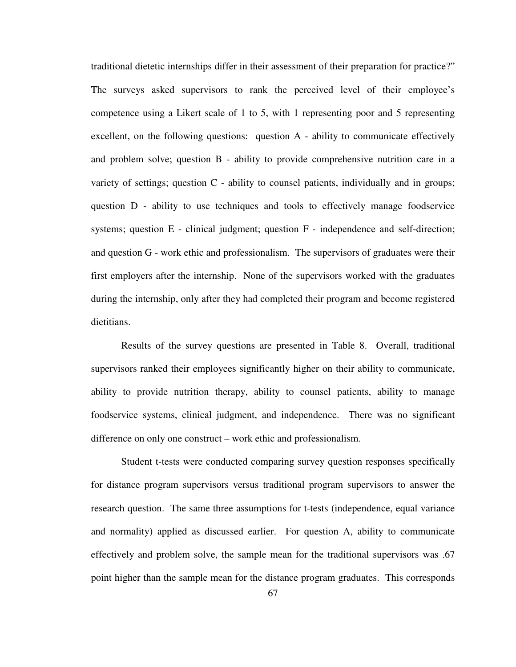traditional dietetic internships differ in their assessment of their preparation for practice?" The surveys asked supervisors to rank the perceived level of their employee's competence using a Likert scale of 1 to 5, with 1 representing poor and 5 representing excellent, on the following questions: question A - ability to communicate effectively and problem solve; question B - ability to provide comprehensive nutrition care in a variety of settings; question  $C$  - ability to counsel patients, individually and in groups; question D - ability to use techniques and tools to effectively manage foodservice systems; question E - clinical judgment; question F - independence and self-direction; and question G - work ethic and professionalism. The supervisors of graduates were their first employers after the internship. None of the supervisors worked with the graduates during the internship, only after they had completed their program and become registered dietitians.

Results of the survey questions are presented in Table 8. Overall, traditional supervisors ranked their employees significantly higher on their ability to communicate, ability to provide nutrition therapy, ability to counsel patients, ability to manage foodservice systems, clinical judgment, and independence. There was no significant difference on only one construct – work ethic and professionalism.

Student t-tests were conducted comparing survey question responses specifically for distance program supervisors versus traditional program supervisors to answer the research question. The same three assumptions for t-tests (independence, equal variance and normality) applied as discussed earlier. For question A, ability to communicate effectively and problem solve, the sample mean for the traditional supervisors was .67 point higher than the sample mean for the distance program graduates. This corresponds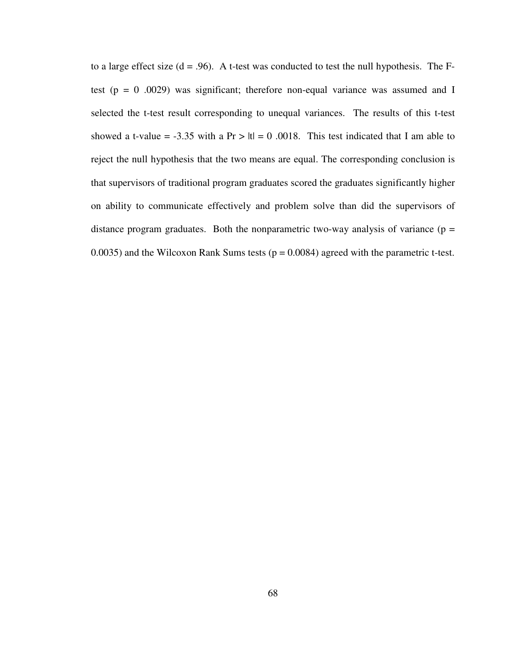to a large effect size  $(d = .96)$ . A t-test was conducted to test the null hypothesis. The Ftest ( $p = 0$  .0029) was significant; therefore non-equal variance was assumed and I selected the t-test result corresponding to unequal variances. The results of this t-test showed a t-value = -3.35 with a  $Pr > |t| = 0.0018$ . This test indicated that I am able to reject the null hypothesis that the two means are equal. The corresponding conclusion is that supervisors of traditional program graduates scored the graduates significantly higher on ability to communicate effectively and problem solve than did the supervisors of distance program graduates. Both the nonparametric two-way analysis of variance  $(p =$ 0.0035) and the Wilcoxon Rank Sums tests ( $p = 0.0084$ ) agreed with the parametric t-test.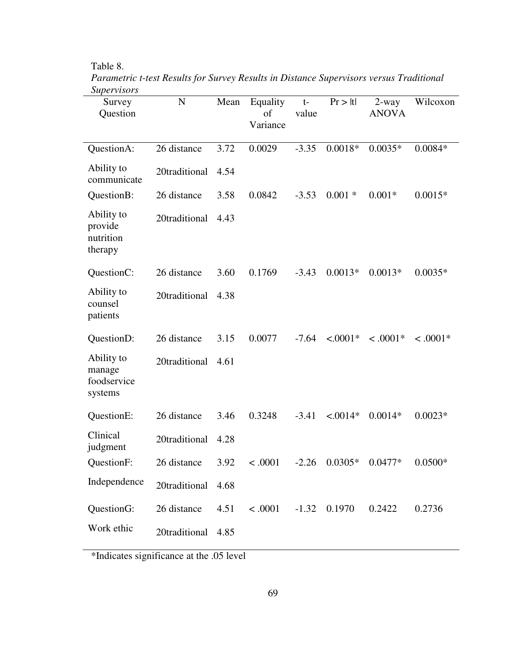Table 8.

| <i>Supervisors</i><br>Survey<br>Question       | $\mathbf N$        | Mean | Equality<br>of<br>Variance | $t-$<br>value | Pr >  t    | $2$ -way<br><b>ANOVA</b> | Wilcoxon   |
|------------------------------------------------|--------------------|------|----------------------------|---------------|------------|--------------------------|------------|
| QuestionA:                                     | 26 distance        | 3.72 | 0.0029                     | $-3.35$       | $0.0018*$  | $0.0035*$                | $0.0084*$  |
| Ability to<br>communicate                      | 20traditional      | 4.54 |                            |               |            |                          |            |
| QuestionB:                                     | 26 distance        | 3.58 | 0.0842                     | $-3.53$       | $0.001*$   | $0.001*$                 | $0.0015*$  |
| Ability to<br>provide<br>nutrition<br>therapy  | 20traditional      | 4.43 |                            |               |            |                          |            |
| QuestionC:                                     | 26 distance        | 3.60 | 0.1769                     | $-3.43$       | $0.0013*$  | $0.0013*$                | $0.0035*$  |
| Ability to<br>counsel<br>patients              | 20traditional      | 4.38 |                            |               |            |                          |            |
| QuestionD:                                     | 26 distance        | 3.15 | 0.0077                     | $-7.64$       | $< .0001*$ | $< .0001*$               | $< .0001*$ |
| Ability to<br>manage<br>foodservice<br>systems | 20traditional      | 4.61 |                            |               |            |                          |            |
| QuestionE:                                     | 26 distance        | 3.46 | 0.3248                     | $-3.41$       | $< .0014*$ | $0.0014*$                | $0.0023*$  |
| Clinical<br>judgment                           | 20traditional      | 4.28 |                            |               |            |                          |            |
| QuestionF:                                     | 26 distance        | 3.92 | < .0001                    | $-2.26$       | $0.0305*$  | $0.0477*$                | $0.0500*$  |
| Independence                                   | 20traditional 4.68 |      |                            |               |            |                          |            |
| QuestionG:                                     | 26 distance        | 4.51 | < .0001                    | $-1.32$       | 0.1970     | 0.2422                   | 0.2736     |
| Work ethic                                     | 20traditional      | 4.85 |                            |               |            |                          |            |

*Parametric t-test Results for Survey Results in Distance Supervisors versus Traditional Supervisors*

\*Indicates significance at the .05 level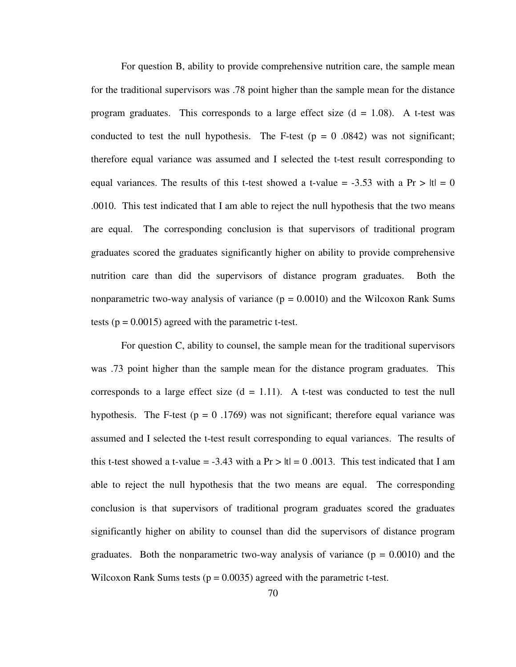For question B, ability to provide comprehensive nutrition care, the sample mean for the traditional supervisors was .78 point higher than the sample mean for the distance program graduates. This corresponds to a large effect size  $(d = 1.08)$ . A t-test was conducted to test the null hypothesis. The F-test  $(p = 0.0842)$  was not significant; therefore equal variance was assumed and I selected the t-test result corresponding to equal variances. The results of this t-test showed a t-value = -3.53 with a Pr  $> |t| = 0$ .0010. This test indicated that I am able to reject the null hypothesis that the two means are equal. The corresponding conclusion is that supervisors of traditional program graduates scored the graduates significantly higher on ability to provide comprehensive nutrition care than did the supervisors of distance program graduates. Both the nonparametric two-way analysis of variance  $(p = 0.0010)$  and the Wilcoxon Rank Sums tests ( $p = 0.0015$ ) agreed with the parametric t-test.

For question C, ability to counsel, the sample mean for the traditional supervisors was .73 point higher than the sample mean for the distance program graduates. This corresponds to a large effect size  $(d = 1.11)$ . A t-test was conducted to test the null hypothesis. The F-test ( $p = 0.1769$ ) was not significant; therefore equal variance was assumed and I selected the t-test result corresponding to equal variances. The results of this t-test showed a t-value = -3.43 with a  $Pr > |t| = 0.0013$ . This test indicated that I am able to reject the null hypothesis that the two means are equal. The corresponding conclusion is that supervisors of traditional program graduates scored the graduates significantly higher on ability to counsel than did the supervisors of distance program graduates. Both the nonparametric two-way analysis of variance  $(p = 0.0010)$  and the Wilcoxon Rank Sums tests ( $p = 0.0035$ ) agreed with the parametric t-test.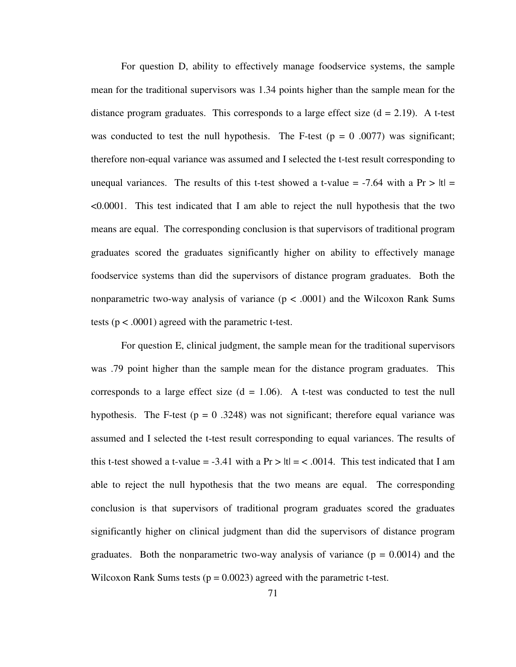For question D, ability to effectively manage foodservice systems, the sample mean for the traditional supervisors was 1.34 points higher than the sample mean for the distance program graduates. This corresponds to a large effect size  $(d = 2.19)$ . A t-test was conducted to test the null hypothesis. The F-test  $(p = 0.0077)$  was significant; therefore non-equal variance was assumed and I selected the t-test result corresponding to unequal variances. The results of this t-test showed a t-value = -7.64 with a Pr >  $|t|$  = <0.0001. This test indicated that I am able to reject the null hypothesis that the two means are equal. The corresponding conclusion is that supervisors of traditional program graduates scored the graduates significantly higher on ability to effectively manage foodservice systems than did the supervisors of distance program graduates. Both the nonparametric two-way analysis of variance  $(p < .0001)$  and the Wilcoxon Rank Sums tests (p < .0001) agreed with the parametric t-test.

For question E, clinical judgment, the sample mean for the traditional supervisors was .79 point higher than the sample mean for the distance program graduates. This corresponds to a large effect size  $(d = 1.06)$ . A t-test was conducted to test the null hypothesis. The F-test ( $p = 0.3248$ ) was not significant; therefore equal variance was assumed and I selected the t-test result corresponding to equal variances. The results of this t-test showed a t-value = -3.41 with a  $Pr > |t| = \langle .0014$ . This test indicated that I am able to reject the null hypothesis that the two means are equal. The corresponding conclusion is that supervisors of traditional program graduates scored the graduates significantly higher on clinical judgment than did the supervisors of distance program graduates. Both the nonparametric two-way analysis of variance  $(p = 0.0014)$  and the Wilcoxon Rank Sums tests ( $p = 0.0023$ ) agreed with the parametric t-test.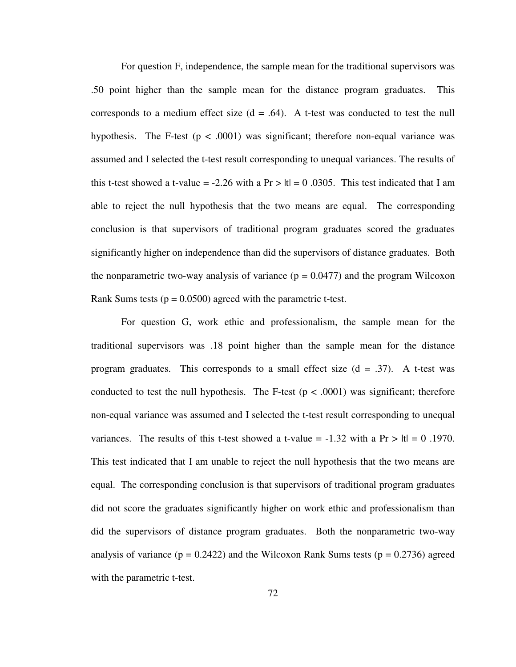For question F, independence, the sample mean for the traditional supervisors was .50 point higher than the sample mean for the distance program graduates. This corresponds to a medium effect size  $(d = .64)$ . A t-test was conducted to test the null hypothesis. The F-test  $(p < .0001)$  was significant; therefore non-equal variance was assumed and I selected the t-test result corresponding to unequal variances. The results of this t-test showed a t-value = -2.26 with a  $Pr > |t| = 0.0305$ . This test indicated that I am able to reject the null hypothesis that the two means are equal. The corresponding conclusion is that supervisors of traditional program graduates scored the graduates significantly higher on independence than did the supervisors of distance graduates. Both the nonparametric two-way analysis of variance ( $p = 0.0477$ ) and the program Wilcoxon Rank Sums tests ( $p = 0.0500$ ) agreed with the parametric t-test.

For question G, work ethic and professionalism, the sample mean for the traditional supervisors was .18 point higher than the sample mean for the distance program graduates. This corresponds to a small effect size  $(d = .37)$ . A t-test was conducted to test the null hypothesis. The F-test  $(p < .0001)$  was significant; therefore non-equal variance was assumed and I selected the t-test result corresponding to unequal variances. The results of this t-test showed a t-value =  $-1.32$  with a Pr  $> |t| = 0.1970$ . This test indicated that I am unable to reject the null hypothesis that the two means are equal. The corresponding conclusion is that supervisors of traditional program graduates did not score the graduates significantly higher on work ethic and professionalism than did the supervisors of distance program graduates. Both the nonparametric two-way analysis of variance ( $p = 0.2422$ ) and the Wilcoxon Rank Sums tests ( $p = 0.2736$ ) agreed with the parametric t-test.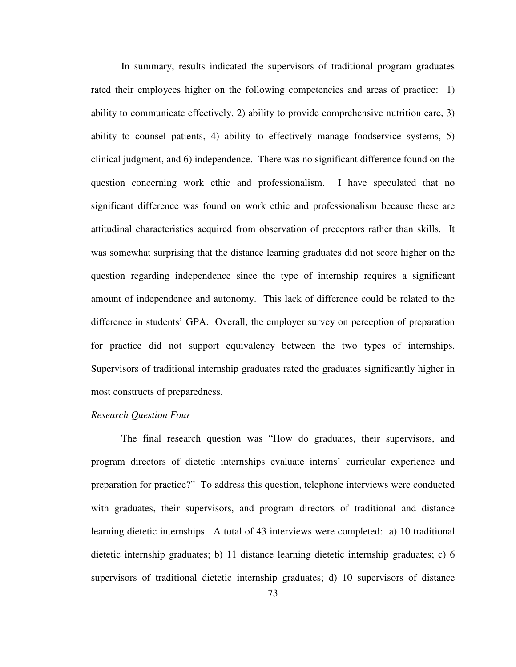In summary, results indicated the supervisors of traditional program graduates rated their employees higher on the following competencies and areas of practice: 1) ability to communicate effectively, 2) ability to provide comprehensive nutrition care, 3) ability to counsel patients, 4) ability to effectively manage foodservice systems, 5) clinical judgment, and 6) independence. There was no significant difference found on the question concerning work ethic and professionalism. I have speculated that no significant difference was found on work ethic and professionalism because these are attitudinal characteristics acquired from observation of preceptors rather than skills. It was somewhat surprising that the distance learning graduates did not score higher on the question regarding independence since the type of internship requires a significant amount of independence and autonomy. This lack of difference could be related to the difference in students' GPA. Overall, the employer survey on perception of preparation for practice did not support equivalency between the two types of internships. Supervisors of traditional internship graduates rated the graduates significantly higher in most constructs of preparedness.

## *Research Question Four*

The final research question was "How do graduates, their supervisors, and program directors of dietetic internships evaluate interns' curricular experience and preparation for practice?" To address this question, telephone interviews were conducted with graduates, their supervisors, and program directors of traditional and distance learning dietetic internships. A total of 43 interviews were completed: a) 10 traditional dietetic internship graduates; b) 11 distance learning dietetic internship graduates; c) 6 supervisors of traditional dietetic internship graduates; d) 10 supervisors of distance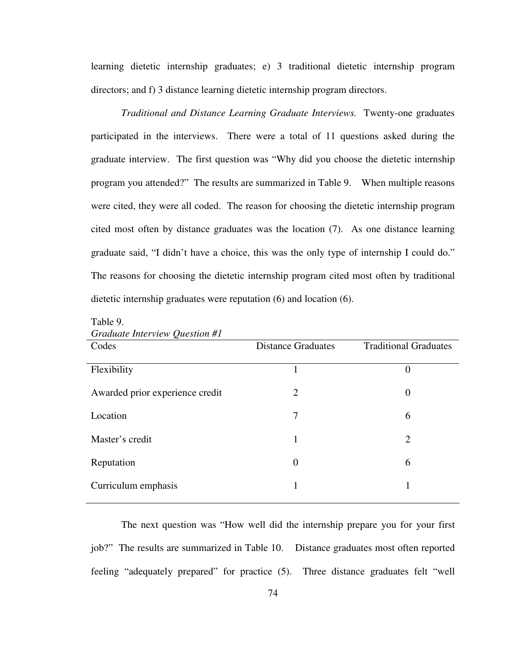learning dietetic internship graduates; e) 3 traditional dietetic internship program directors; and f) 3 distance learning dietetic internship program directors.

*Traditional and Distance Learning Graduate Interviews.* Twenty-one graduates participated in the interviews. There were a total of 11 questions asked during the graduate interview. The first question was "Why did you choose the dietetic internship program you attended?" The results are summarized in Table 9. When multiple reasons were cited, they were all coded. The reason for choosing the dietetic internship program cited most often by distance graduates was the location (7). As one distance learning graduate said, "I didn't have a choice, this was the only type of internship I could do." The reasons for choosing the dietetic internship program cited most often by traditional dietetic internship graduates were reputation (6) and location (6).

| <b>Distance Graduates</b> | <b>Traditional Graduates</b> |
|---------------------------|------------------------------|
|                           | $\theta$                     |
| 2                         | $\theta$                     |
| 7                         | 6                            |
| 1                         | $\overline{2}$               |
| $\Omega$                  | 6                            |
|                           |                              |
|                           |                              |

Table 9. *Graduate Interview Question #1*

The next question was "How well did the internship prepare you for your first job?" The results are summarized in Table 10. Distance graduates most often reported feeling "adequately prepared" for practice (5). Three distance graduates felt "well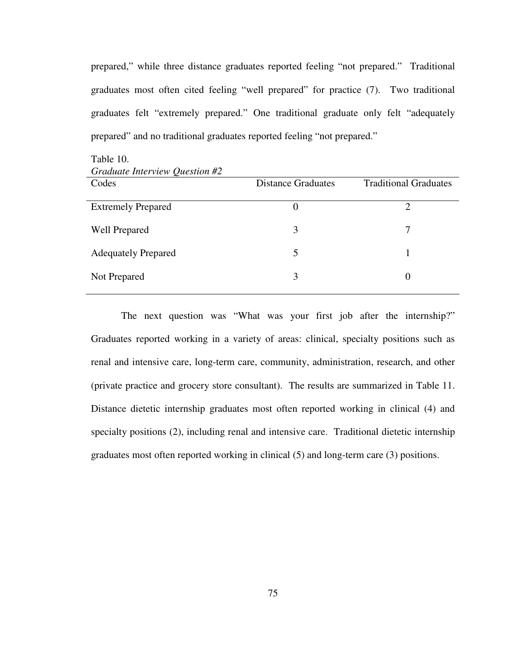prepared," while three distance graduates reported feeling "not prepared." Traditional graduates most often cited feeling "well prepared" for practice (7). Two traditional graduates felt "extremely prepared." One traditional graduate only felt "adequately prepared" and no traditional graduates reported feeling "not prepared."

| Graauate Interview Question #2 |                           |                              |
|--------------------------------|---------------------------|------------------------------|
| Codes                          | <b>Distance Graduates</b> | <b>Traditional Graduates</b> |
| <b>Extremely Prepared</b>      | 0                         | 2                            |
| <b>Well Prepared</b>           | 3                         | 7                            |
| <b>Adequately Prepared</b>     | 5                         |                              |
| Not Prepared                   | 3                         | $\theta$                     |

Table 10. *Graduate Interview Question #2* 

The next question was "What was your first job after the internship?" Graduates reported working in a variety of areas: clinical, specialty positions such as renal and intensive care, long-term care, community, administration, research, and other (private practice and grocery store consultant). The results are summarized in Table 11. Distance dietetic internship graduates most often reported working in clinical (4) and specialty positions (2), including renal and intensive care. Traditional dietetic internship graduates most often reported working in clinical (5) and long-term care (3) positions.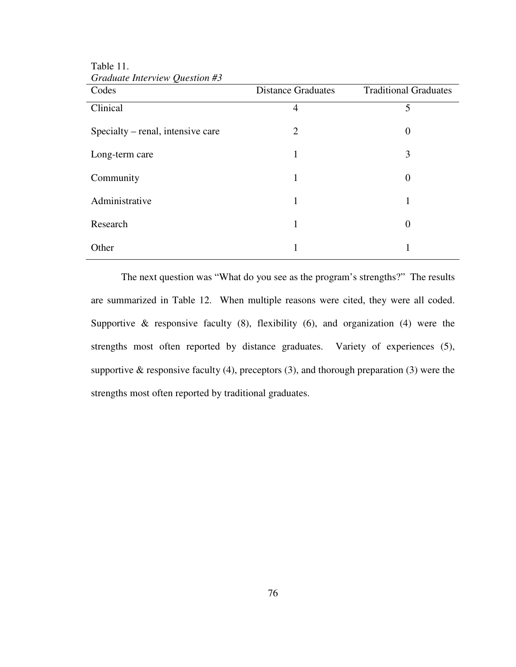| $S$ <i>cannone more view</i> $\chi$ <i>acsiton is</i><br>Codes | <b>Distance Graduates</b> | <b>Traditional Graduates</b> |
|----------------------------------------------------------------|---------------------------|------------------------------|
| Clinical                                                       | 4                         | 5                            |
| Specialty – renal, intensive care                              | 2                         | $\boldsymbol{0}$             |
| Long-term care                                                 | 1                         | 3                            |
| Community                                                      | 1                         | $\theta$                     |
| Administrative                                                 | 1                         |                              |
| Research                                                       | 1                         | $\theta$                     |
| Other                                                          |                           |                              |

Table 11. *Graduate Interview Question #3* 

The next question was "What do you see as the program's strengths?" The results are summarized in Table 12. When multiple reasons were cited, they were all coded. Supportive  $\&$  responsive faculty (8), flexibility (6), and organization (4) were the strengths most often reported by distance graduates. Variety of experiences (5), supportive  $\&$  responsive faculty (4), preceptors (3), and thorough preparation (3) were the strengths most often reported by traditional graduates.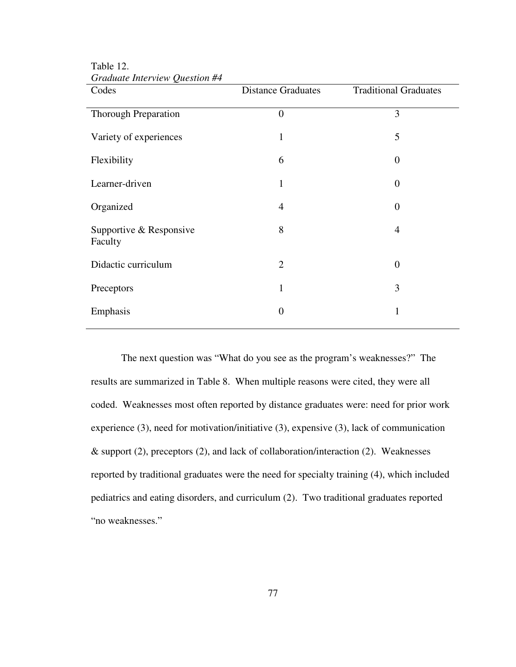| .<br>Codes                         | <b>Distance Graduates</b> | <b>Traditional Graduates</b> |
|------------------------------------|---------------------------|------------------------------|
| Thorough Preparation               | $\overline{0}$            | 3                            |
| Variety of experiences             | 1                         | 5                            |
| Flexibility                        | 6                         | $\theta$                     |
| Learner-driven                     | 1                         | $\Omega$                     |
| Organized                          | $\overline{4}$            | $\overline{0}$               |
| Supportive & Responsive<br>Faculty | 8                         | 4                            |
| Didactic curriculum                | $\overline{2}$            | $\overline{0}$               |
| Preceptors                         | 1                         | 3                            |
| Emphasis                           | $\boldsymbol{0}$          | 1                            |

Table 12. *Graduate Interview Question #4* 

The next question was "What do you see as the program's weaknesses?" The results are summarized in Table 8. When multiple reasons were cited, they were all coded. Weaknesses most often reported by distance graduates were: need for prior work experience (3), need for motivation/initiative (3), expensive (3), lack of communication & support (2), preceptors (2), and lack of collaboration/interaction (2). Weaknesses reported by traditional graduates were the need for specialty training (4), which included pediatrics and eating disorders, and curriculum (2). Two traditional graduates reported "no weaknesses."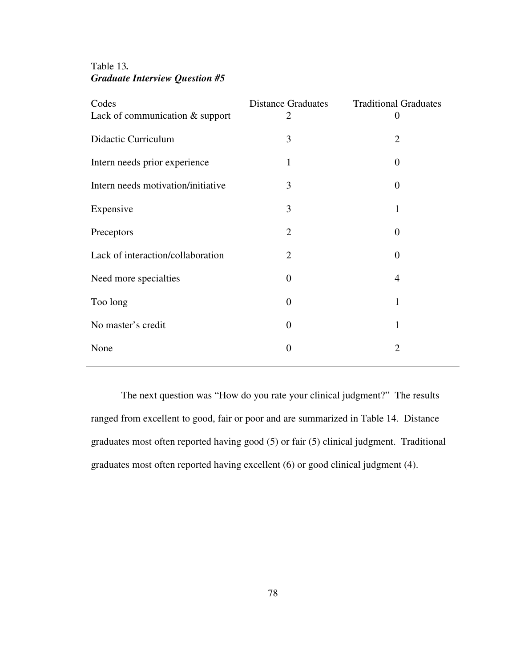Table 13*. Graduate Interview Question #5* 

| Codes                              | <b>Distance Graduates</b> | <b>Traditional Graduates</b> |
|------------------------------------|---------------------------|------------------------------|
| Lack of communication & support    | $\overline{2}$            | $\theta$                     |
| Didactic Curriculum                | 3                         | $\overline{2}$               |
| Intern needs prior experience      | 1                         | $\Omega$                     |
| Intern needs motivation/initiative | 3                         | $\theta$                     |
| Expensive                          | 3                         | 1                            |
| Preceptors                         | $\overline{2}$            | $\overline{0}$               |
| Lack of interaction/collaboration  | $\overline{2}$            | $\Omega$                     |
| Need more specialties              | $\overline{0}$            | 4                            |
| Too long                           | $\overline{0}$            | 1                            |
| No master's credit                 | $\overline{0}$            | 1                            |
| None                               | $\boldsymbol{0}$          | 2                            |
|                                    |                           |                              |

The next question was "How do you rate your clinical judgment?" The results ranged from excellent to good, fair or poor and are summarized in Table 14. Distance graduates most often reported having good (5) or fair (5) clinical judgment. Traditional graduates most often reported having excellent (6) or good clinical judgment (4).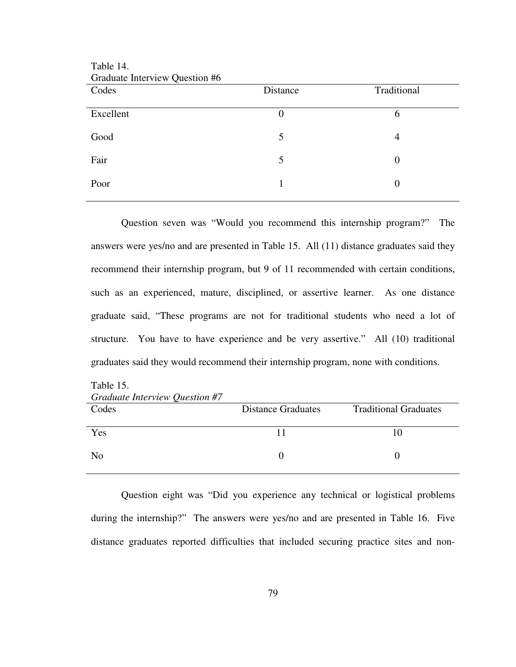| Graduate Interview Question #6 |          |                |
|--------------------------------|----------|----------------|
| Codes                          | Distance | Traditional    |
| Excellent                      | $\theta$ | 6              |
| Good                           | 5        | 4              |
| Fair                           | 5        | $\overline{0}$ |
| Poor                           |          | $\theta$       |

Question seven was "Would you recommend this internship program?" The answers were yes/no and are presented in Table 15. All (11) distance graduates said they recommend their internship program, but 9 of 11 recommended with certain conditions, such as an experienced, mature, disciplined, or assertive learner. As one distance graduate said, "These programs are not for traditional students who need a lot of structure. You have to have experience and be very assertive." All (10) traditional graduates said they would recommend their internship program, none with conditions.

| Graduate Interview Question #7 |                           |                              |  |
|--------------------------------|---------------------------|------------------------------|--|
| Codes                          | <b>Distance Graduates</b> | <b>Traditional Graduates</b> |  |
|                                |                           |                              |  |
| Yes                            |                           | 10                           |  |
|                                |                           |                              |  |
| N <sub>0</sub>                 |                           |                              |  |
|                                |                           |                              |  |

*Graduate Interview Question #7* 

Table 15.

Table 14.

Question eight was "Did you experience any technical or logistical problems during the internship?" The answers were yes/no and are presented in Table 16. Five distance graduates reported difficulties that included securing practice sites and non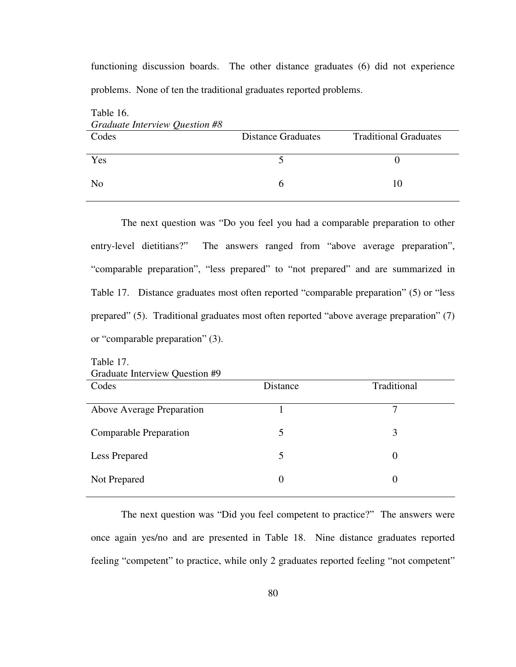functioning discussion boards. The other distance graduates (6) did not experience problems. None of ten the traditional graduates reported problems.

| Table 16.<br>Graduate Interview Question #8 |                           |                              |
|---------------------------------------------|---------------------------|------------------------------|
| Codes                                       | <b>Distance Graduates</b> | <b>Traditional Graduates</b> |
| Yes                                         |                           |                              |
| N <sub>0</sub>                              | h                         | 10                           |

The next question was "Do you feel you had a comparable preparation to other entry-level dietitians?" The answers ranged from "above average preparation", "comparable preparation", "less prepared" to "not prepared" and are summarized in Table 17. Distance graduates most often reported "comparable preparation" (5) or "less prepared" (5). Traditional graduates most often reported "above average preparation" (7) or "comparable preparation" (3).

| Craquate HItel VIEW QUESTION #7 |          |             |
|---------------------------------|----------|-------------|
| Codes                           | Distance | Traditional |
|                                 |          |             |
| Above Average Preparation       |          |             |
|                                 |          |             |
| Comparable Preparation          |          | 3           |
|                                 |          |             |
| <b>Less Prepared</b>            |          | $\theta$    |
|                                 |          |             |
| Not Prepared                    |          | $\Omega$    |
|                                 |          |             |
|                                 |          |             |

Table 17. Graduate Interview Question #9

 The next question was "Did you feel competent to practice?" The answers were once again yes/no and are presented in Table 18. Nine distance graduates reported feeling "competent" to practice, while only 2 graduates reported feeling "not competent"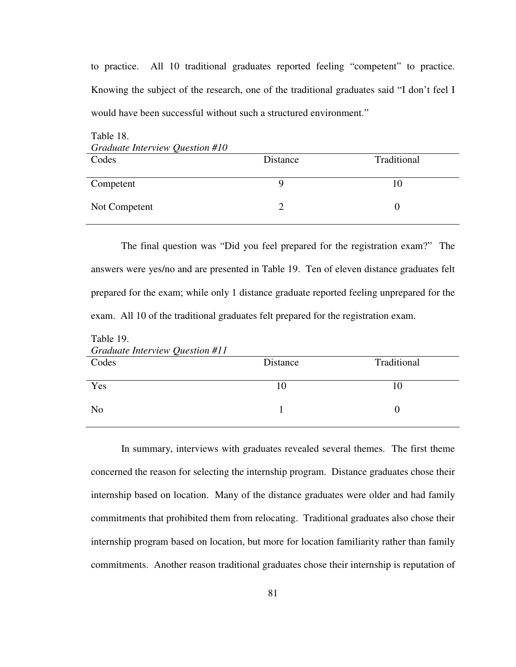to practice. All 10 traditional graduates reported feeling "competent" to practice. Knowing the subject of the research, one of the traditional graduates said "I don't feel I would have been successful without such a structured environment."

| Table 18.                       |          |             |  |  |
|---------------------------------|----------|-------------|--|--|
| Graduate Interview Question #10 |          |             |  |  |
| Codes                           | Distance | Traditional |  |  |
|                                 |          |             |  |  |
| Competent                       |          | 10          |  |  |
|                                 |          |             |  |  |
| Not Competent                   |          |             |  |  |
|                                 |          |             |  |  |

The final question was "Did you feel prepared for the registration exam?" The answers were yes/no and are presented in Table 19. Ten of eleven distance graduates felt prepared for the exam; while only 1 distance graduate reported feeling unprepared for the exam. All 10 of the traditional graduates felt prepared for the registration exam.

| Table 19.                       |          |                   |
|---------------------------------|----------|-------------------|
| Graduate Interview Question #11 |          |                   |
| Codes                           | Distance | Traditional       |
|                                 |          |                   |
| Yes                             | 10       | 10                |
|                                 |          |                   |
| N <sub>o</sub>                  |          | $\mathbf{\Omega}$ |
|                                 |          |                   |

In summary, interviews with graduates revealed several themes. The first theme concerned the reason for selecting the internship program. Distance graduates chose their internship based on location. Many of the distance graduates were older and had family commitments that prohibited them from relocating. Traditional graduates also chose their internship program based on location, but more for location familiarity rather than family commitments. Another reason traditional graduates chose their internship is reputation of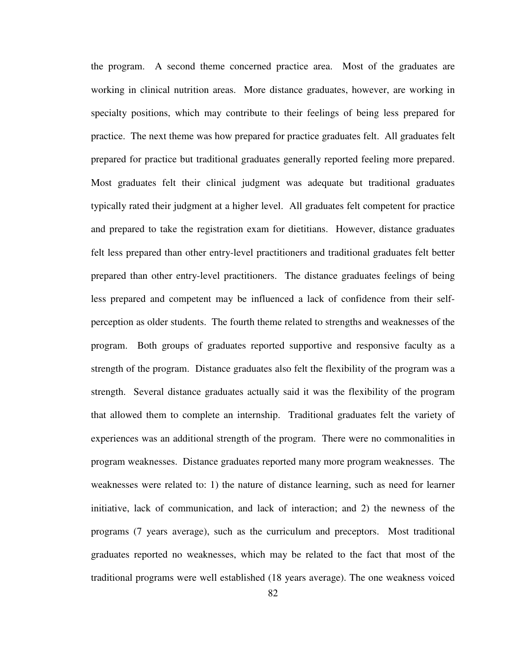the program. A second theme concerned practice area. Most of the graduates are working in clinical nutrition areas. More distance graduates, however, are working in specialty positions, which may contribute to their feelings of being less prepared for practice. The next theme was how prepared for practice graduates felt. All graduates felt prepared for practice but traditional graduates generally reported feeling more prepared. Most graduates felt their clinical judgment was adequate but traditional graduates typically rated their judgment at a higher level. All graduates felt competent for practice and prepared to take the registration exam for dietitians. However, distance graduates felt less prepared than other entry-level practitioners and traditional graduates felt better prepared than other entry-level practitioners. The distance graduates feelings of being less prepared and competent may be influenced a lack of confidence from their selfperception as older students. The fourth theme related to strengths and weaknesses of the program. Both groups of graduates reported supportive and responsive faculty as a strength of the program. Distance graduates also felt the flexibility of the program was a strength. Several distance graduates actually said it was the flexibility of the program that allowed them to complete an internship. Traditional graduates felt the variety of experiences was an additional strength of the program. There were no commonalities in program weaknesses. Distance graduates reported many more program weaknesses. The weaknesses were related to: 1) the nature of distance learning, such as need for learner initiative, lack of communication, and lack of interaction; and 2) the newness of the programs (7 years average), such as the curriculum and preceptors. Most traditional graduates reported no weaknesses, which may be related to the fact that most of the traditional programs were well established (18 years average). The one weakness voiced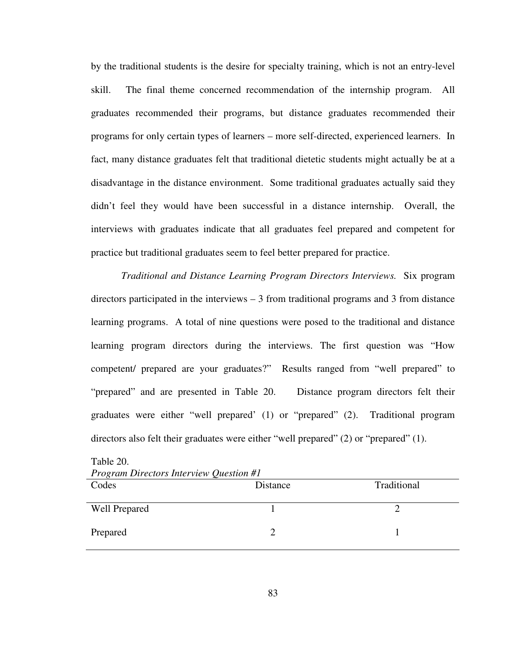by the traditional students is the desire for specialty training, which is not an entry-level skill. The final theme concerned recommendation of the internship program. All graduates recommended their programs, but distance graduates recommended their programs for only certain types of learners – more self-directed, experienced learners. In fact, many distance graduates felt that traditional dietetic students might actually be at a disadvantage in the distance environment. Some traditional graduates actually said they didn't feel they would have been successful in a distance internship. Overall, the interviews with graduates indicate that all graduates feel prepared and competent for practice but traditional graduates seem to feel better prepared for practice.

*Traditional and Distance Learning Program Directors Interviews.* Six program directors participated in the interviews – 3 from traditional programs and 3 from distance learning programs. A total of nine questions were posed to the traditional and distance learning program directors during the interviews. The first question was "How competent/ prepared are your graduates?" Results ranged from "well prepared" to "prepared" and are presented in Table 20. Distance program directors felt their graduates were either "well prepared' (1) or "prepared" (2). Traditional program directors also felt their graduates were either "well prepared" (2) or "prepared" (1).

| <b>Program Directors Interview Question #1</b> |          |             |
|------------------------------------------------|----------|-------------|
| Codes                                          | Distance | Traditional |
| <b>Well Prepared</b>                           |          |             |
| Prepared                                       |          |             |

| Table 20.                                      |  |  |
|------------------------------------------------|--|--|
| <b>Program Directors Interview Question #1</b> |  |  |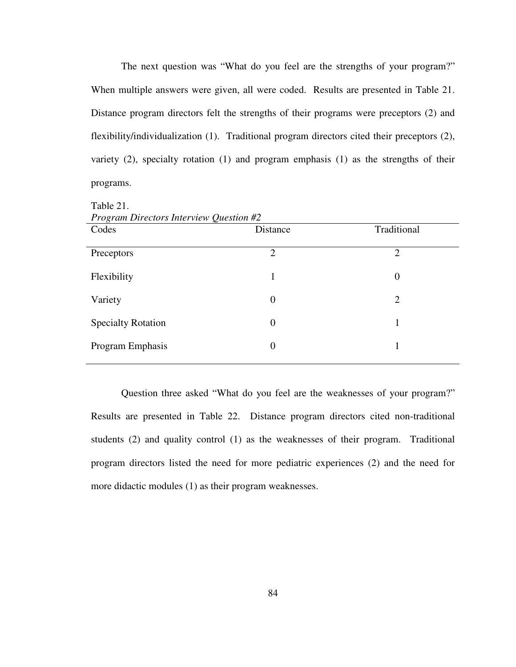The next question was "What do you feel are the strengths of your program?" When multiple answers were given, all were coded. Results are presented in Table 21. Distance program directors felt the strengths of their programs were preceptors (2) and flexibility/individualization (1). Traditional program directors cited their preceptors (2), variety (2), specialty rotation (1) and program emphasis (1) as the strengths of their programs.

| <i>Program Directors Interview Question #2</i> |                  |                |  |
|------------------------------------------------|------------------|----------------|--|
| Codes                                          | Distance         | Traditional    |  |
| Preceptors                                     | $\overline{2}$   | $\overline{2}$ |  |
| Flexibility                                    | 1                | $\overline{0}$ |  |
| Variety                                        | $\theta$         | 2              |  |
| <b>Specialty Rotation</b>                      | $\theta$         |                |  |
| Program Emphasis                               | $\boldsymbol{0}$ |                |  |

Table 21.

*Program Directors Interview Question #2*

 Question three asked "What do you feel are the weaknesses of your program?" Results are presented in Table 22. Distance program directors cited non-traditional students (2) and quality control (1) as the weaknesses of their program. Traditional program directors listed the need for more pediatric experiences (2) and the need for more didactic modules (1) as their program weaknesses.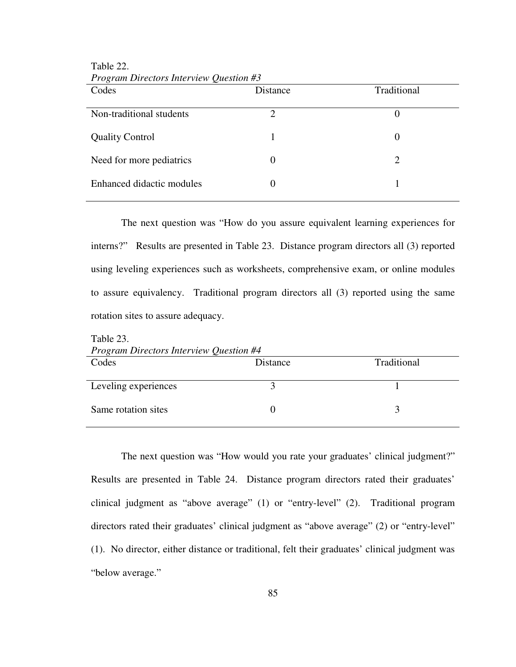| Codes                     | Distance | Traditional |
|---------------------------|----------|-------------|
| Non-traditional students  | 2        | $\theta$    |
| <b>Quality Control</b>    |          | $\theta$    |
| Need for more pediatrics  | 0        |             |
| Enhanced didactic modules |          |             |

*Program Directors Interview Question #3*

Table 22.

The next question was "How do you assure equivalent learning experiences for interns?" Results are presented in Table 23. Distance program directors all (3) reported using leveling experiences such as worksheets, comprehensive exam, or online modules to assure equivalency. Traditional program directors all (3) reported using the same rotation sites to assure adequacy.

| $10010 \ \omega$<br><b>Program Directors Interview Question #4</b> |             |  |  |
|--------------------------------------------------------------------|-------------|--|--|
| Distance                                                           | Traditional |  |  |
|                                                                    |             |  |  |
|                                                                    |             |  |  |
|                                                                    |             |  |  |

Table 23.

 The next question was "How would you rate your graduates' clinical judgment?" Results are presented in Table 24. Distance program directors rated their graduates' clinical judgment as "above average" (1) or "entry-level" (2). Traditional program directors rated their graduates' clinical judgment as "above average" (2) or "entry-level" (1). No director, either distance or traditional, felt their graduates' clinical judgment was "below average."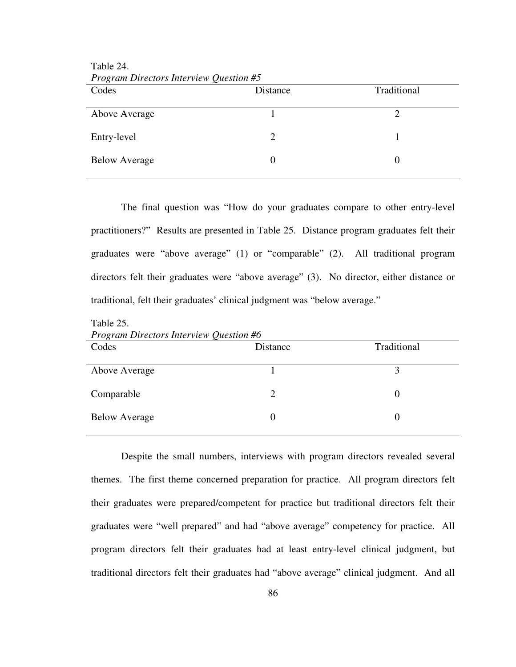| <i>L</i> rogram Directors Interview Question #5 |                 |             |
|-------------------------------------------------|-----------------|-------------|
| Codes                                           | <b>Distance</b> | Traditional |
| Above Average                                   |                 |             |
| Entry-level                                     |                 |             |
| <b>Below Average</b>                            |                 |             |

Table 24. *Program Directors Interview Question #5*

Table 25.

 The final question was "How do your graduates compare to other entry-level practitioners?" Results are presented in Table 25. Distance program graduates felt their graduates were "above average" (1) or "comparable" (2). All traditional program directors felt their graduates were "above average" (3). No director, either distance or traditional, felt their graduates' clinical judgment was "below average."

*Program Directors Interview Question #6* Codes Distance Traditional Above Average 1 3 Comparable 2 0 Below Average 0 0

Despite the small numbers, interviews with program directors revealed several themes. The first theme concerned preparation for practice. All program directors felt their graduates were prepared/competent for practice but traditional directors felt their graduates were "well prepared" and had "above average" competency for practice. All program directors felt their graduates had at least entry-level clinical judgment, but traditional directors felt their graduates had "above average" clinical judgment. And all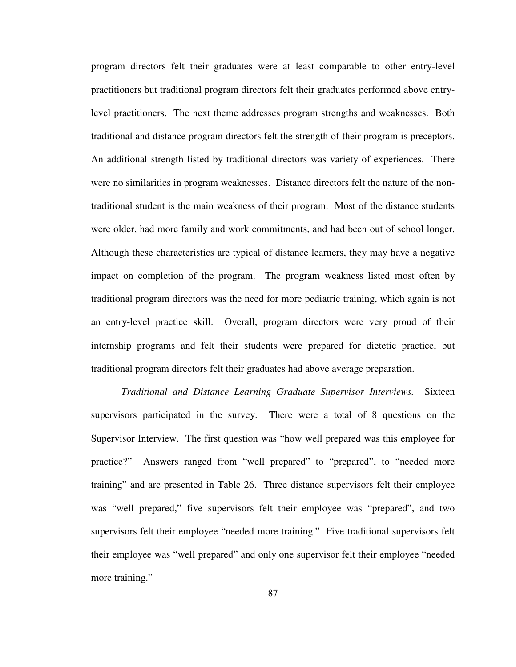program directors felt their graduates were at least comparable to other entry-level practitioners but traditional program directors felt their graduates performed above entrylevel practitioners. The next theme addresses program strengths and weaknesses. Both traditional and distance program directors felt the strength of their program is preceptors. An additional strength listed by traditional directors was variety of experiences. There were no similarities in program weaknesses. Distance directors felt the nature of the nontraditional student is the main weakness of their program. Most of the distance students were older, had more family and work commitments, and had been out of school longer. Although these characteristics are typical of distance learners, they may have a negative impact on completion of the program. The program weakness listed most often by traditional program directors was the need for more pediatric training, which again is not an entry-level practice skill. Overall, program directors were very proud of their internship programs and felt their students were prepared for dietetic practice, but traditional program directors felt their graduates had above average preparation.

*Traditional and Distance Learning Graduate Supervisor Interviews.* Sixteen supervisors participated in the survey. There were a total of 8 questions on the Supervisor Interview. The first question was "how well prepared was this employee for practice?" Answers ranged from "well prepared" to "prepared", to "needed more training" and are presented in Table 26. Three distance supervisors felt their employee was "well prepared," five supervisors felt their employee was "prepared", and two supervisors felt their employee "needed more training." Five traditional supervisors felt their employee was "well prepared" and only one supervisor felt their employee "needed more training."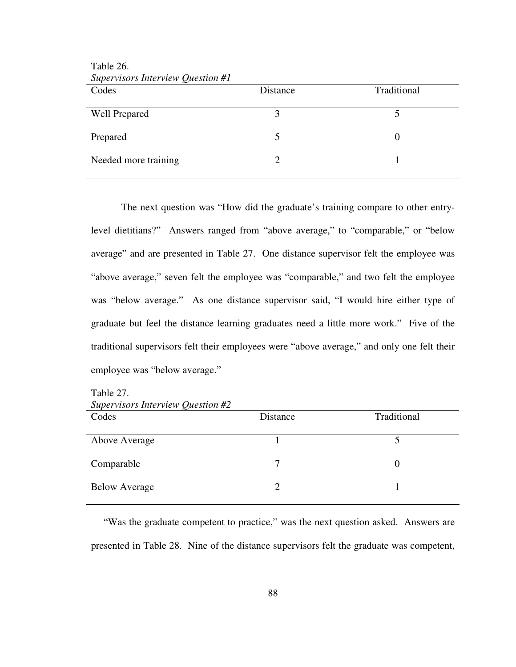| Supervisors Interview Question #1 |          |             |
|-----------------------------------|----------|-------------|
| Codes                             | Distance | Traditional |
| <b>Well Prepared</b>              |          |             |
| Prepared                          |          |             |
| Needed more training              |          |             |

Table 26. *Supervisors Interview Question #1*

The next question was "How did the graduate's training compare to other entrylevel dietitians?" Answers ranged from "above average," to "comparable," or "below average" and are presented in Table 27. One distance supervisor felt the employee was "above average," seven felt the employee was "comparable," and two felt the employee was "below average." As one distance supervisor said, "I would hire either type of graduate but feel the distance learning graduates need a little more work." Five of the traditional supervisors felt their employees were "above average," and only one felt their employee was "below average."

Table 27.

*Supervisors Interview Question #2*

| Codes                | Distance                    | Traditional |
|----------------------|-----------------------------|-------------|
| Above Average        |                             |             |
| Comparable           | 7                           |             |
| <b>Below Average</b> | $\mathcal{D}_{\mathcal{L}}$ |             |

 "Was the graduate competent to practice," was the next question asked. Answers are presented in Table 28. Nine of the distance supervisors felt the graduate was competent,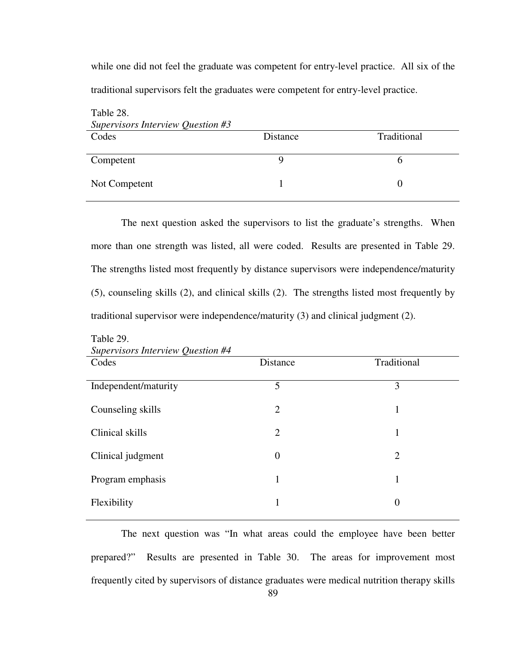while one did not feel the graduate was competent for entry-level practice. All six of the traditional supervisors felt the graduates were competent for entry-level practice.

| Table 28.<br>Supervisors Interview Question #3 |          |             |
|------------------------------------------------|----------|-------------|
| Codes                                          | Distance | Traditional |
| Competent                                      |          |             |
| Not Competent                                  |          |             |

 The next question asked the supervisors to list the graduate's strengths. When more than one strength was listed, all were coded. Results are presented in Table 29. The strengths listed most frequently by distance supervisors were independence/maturity (5), counseling skills (2), and clinical skills (2). The strengths listed most frequently by traditional supervisor were independence/maturity (3) and clinical judgment (2).

| Supervisors Interview Question #4 |                |                |
|-----------------------------------|----------------|----------------|
| Codes                             | Distance       | Traditional    |
| Independent/maturity              | 5              | 3              |
| Counseling skills                 | 2              | 1              |
| Clinical skills                   | 2              | 1              |
| Clinical judgment                 | $\overline{0}$ | $\overline{2}$ |
| Program emphasis                  |                | 1              |
| Flexibility                       |                | 0              |

Table 29. *Supervisors Interview Question #4* 

ֺ֖֚֝֬

89 The next question was "In what areas could the employee have been better prepared?" Results are presented in Table 30. The areas for improvement most frequently cited by supervisors of distance graduates were medical nutrition therapy skills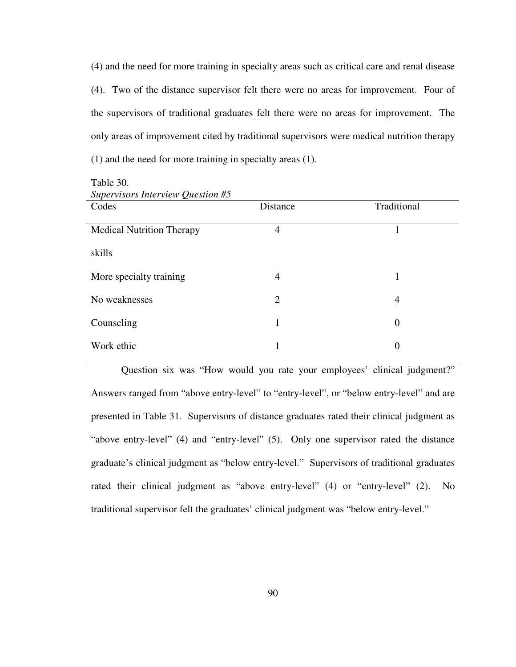(4) and the need for more training in specialty areas such as critical care and renal disease (4). Two of the distance supervisor felt there were no areas for improvement. Four of the supervisors of traditional graduates felt there were no areas for improvement. The only areas of improvement cited by traditional supervisors were medical nutrition therapy (1) and the need for more training in specialty areas (1).

| Supervisors Interview Question #5 |                |                  |
|-----------------------------------|----------------|------------------|
| Codes                             | Distance       | Traditional      |
|                                   |                |                  |
| <b>Medical Nutrition Therapy</b>  | 4              |                  |
|                                   |                |                  |
| skills                            |                |                  |
|                                   |                |                  |
| More specialty training           | 4              |                  |
| No weaknesses                     | $\overline{2}$ | 4                |
|                                   |                |                  |
| Counseling                        | 1              | $\overline{0}$   |
|                                   |                |                  |
| Work ethic                        |                | $\boldsymbol{0}$ |
|                                   |                |                  |

Table 30.

Question six was "How would you rate your employees' clinical judgment?" Answers ranged from "above entry-level" to "entry-level", or "below entry-level" and are presented in Table 31. Supervisors of distance graduates rated their clinical judgment as "above entry-level" (4) and "entry-level" (5). Only one supervisor rated the distance graduate's clinical judgment as "below entry-level." Supervisors of traditional graduates rated their clinical judgment as "above entry-level" (4) or "entry-level" (2). No traditional supervisor felt the graduates' clinical judgment was "below entry-level."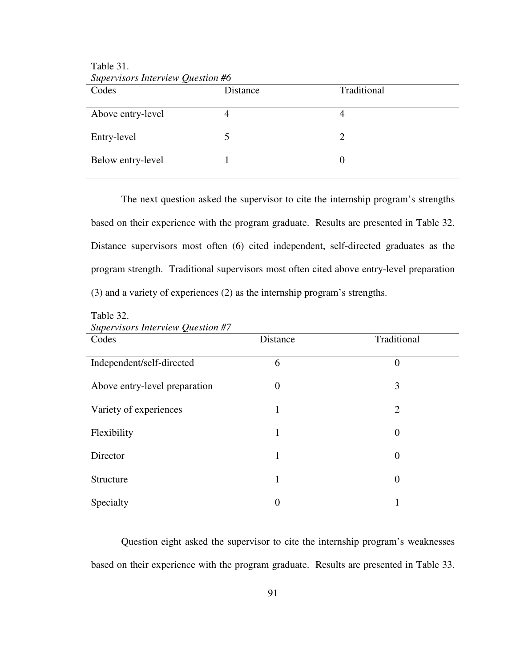| Supervisors Interview Question #6<br>Codes | Distance | Traditional |
|--------------------------------------------|----------|-------------|
| Above entry-level                          |          |             |
| Entry-level                                |          |             |
| Below entry-level                          |          |             |

Table 31. *Supervisors Interview Question #6*

ֺ֖֚֝֬

ֺ֖֚֝֬

The next question asked the supervisor to cite the internship program's strengths based on their experience with the program graduate. Results are presented in Table 32. Distance supervisors most often (6) cited independent, self-directed graduates as the program strength. Traditional supervisors most often cited above entry-level preparation (3) and a variety of experiences (2) as the internship program's strengths.

| Supervisors Interview Question #7 |                |                  |  |  |
|-----------------------------------|----------------|------------------|--|--|
| Codes                             | Distance       | Traditional      |  |  |
| Independent/self-directed         | 6              | $\overline{0}$   |  |  |
| Above entry-level preparation     | $\overline{0}$ | 3                |  |  |
| Variety of experiences            | 1              | $\overline{2}$   |  |  |
| Flexibility                       | 1              | $\overline{0}$   |  |  |
| Director                          | 1              | $\boldsymbol{0}$ |  |  |
| Structure                         | $\mathbf{1}$   | $\overline{0}$   |  |  |
| Specialty                         | 0              |                  |  |  |
|                                   |                |                  |  |  |

Table 32.

Question eight asked the supervisor to cite the internship program's weaknesses based on their experience with the program graduate. Results are presented in Table 33.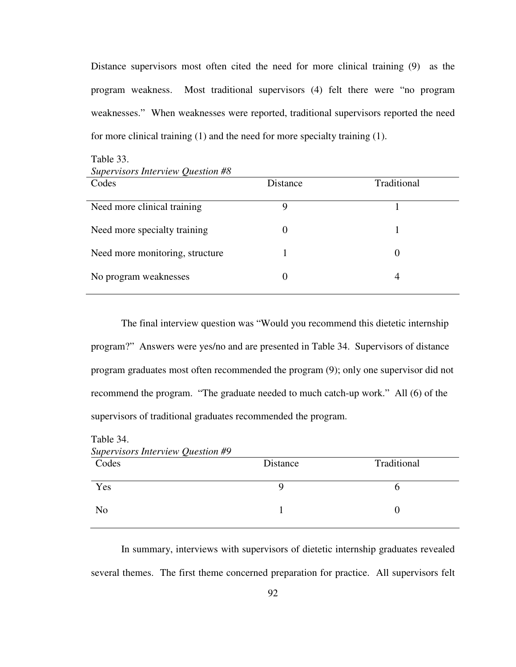Distance supervisors most often cited the need for more clinical training (9) as the program weakness. Most traditional supervisors (4) felt there were "no program weaknesses." When weaknesses were reported, traditional supervisors reported the need for more clinical training (1) and the need for more specialty training (1).

| $\mathcal{L}$ . The state of $\mathcal{L}$ is the state of $\mathcal{L}$<br>Codes | Distance     | Traditional |
|-----------------------------------------------------------------------------------|--------------|-------------|
| Need more clinical training                                                       | Q            |             |
| Need more specialty training                                                      |              |             |
| Need more monitoring, structure                                                   |              | 0           |
| No program weaknesses                                                             | $\mathbf{0}$ | 4           |

Table 33. *Supervisors Interview Question #8*

The final interview question was "Would you recommend this dietetic internship program?" Answers were yes/no and are presented in Table 34. Supervisors of distance program graduates most often recommended the program (9); only one supervisor did not recommend the program. "The graduate needed to much catch-up work." All (6) of the supervisors of traditional graduates recommended the program.

| Table 34.<br>Supervisors Interview Question #9 |  |   |  |  |
|------------------------------------------------|--|---|--|--|
|                                                |  |   |  |  |
| Yes                                            |  | n |  |  |
| N <sub>0</sub>                                 |  |   |  |  |

In summary, interviews with supervisors of dietetic internship graduates revealed several themes. The first theme concerned preparation for practice. All supervisors felt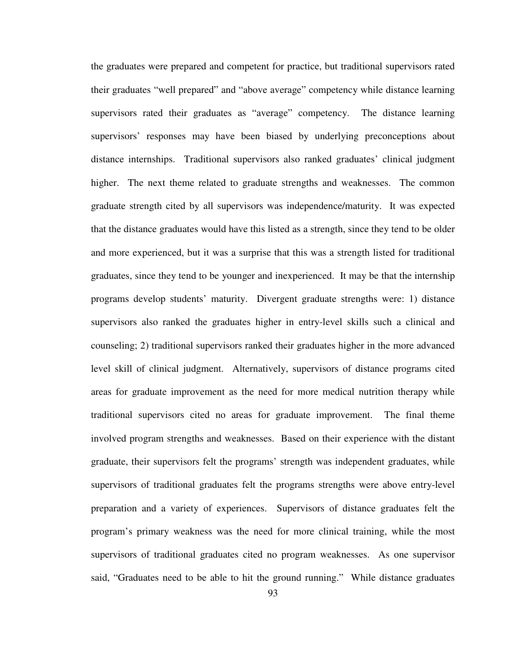the graduates were prepared and competent for practice, but traditional supervisors rated their graduates "well prepared" and "above average" competency while distance learning supervisors rated their graduates as "average" competency. The distance learning supervisors' responses may have been biased by underlying preconceptions about distance internships. Traditional supervisors also ranked graduates' clinical judgment higher. The next theme related to graduate strengths and weaknesses. The common graduate strength cited by all supervisors was independence/maturity. It was expected that the distance graduates would have this listed as a strength, since they tend to be older and more experienced, but it was a surprise that this was a strength listed for traditional graduates, since they tend to be younger and inexperienced. It may be that the internship programs develop students' maturity. Divergent graduate strengths were: 1) distance supervisors also ranked the graduates higher in entry-level skills such a clinical and counseling; 2) traditional supervisors ranked their graduates higher in the more advanced level skill of clinical judgment. Alternatively, supervisors of distance programs cited areas for graduate improvement as the need for more medical nutrition therapy while traditional supervisors cited no areas for graduate improvement. The final theme involved program strengths and weaknesses. Based on their experience with the distant graduate, their supervisors felt the programs' strength was independent graduates, while supervisors of traditional graduates felt the programs strengths were above entry-level preparation and a variety of experiences. Supervisors of distance graduates felt the program's primary weakness was the need for more clinical training, while the most supervisors of traditional graduates cited no program weaknesses. As one supervisor said, "Graduates need to be able to hit the ground running." While distance graduates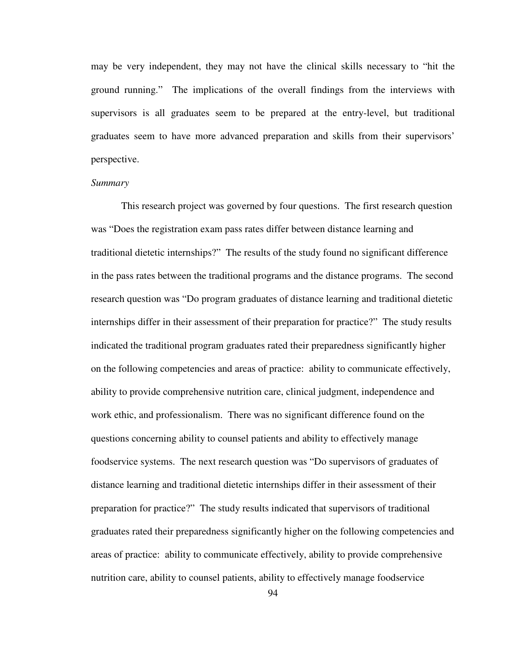may be very independent, they may not have the clinical skills necessary to "hit the ground running." The implications of the overall findings from the interviews with supervisors is all graduates seem to be prepared at the entry-level, but traditional graduates seem to have more advanced preparation and skills from their supervisors' perspective.

## *Summary*

This research project was governed by four questions. The first research question was "Does the registration exam pass rates differ between distance learning and traditional dietetic internships?" The results of the study found no significant difference in the pass rates between the traditional programs and the distance programs. The second research question was "Do program graduates of distance learning and traditional dietetic internships differ in their assessment of their preparation for practice?" The study results indicated the traditional program graduates rated their preparedness significantly higher on the following competencies and areas of practice: ability to communicate effectively, ability to provide comprehensive nutrition care, clinical judgment, independence and work ethic, and professionalism. There was no significant difference found on the questions concerning ability to counsel patients and ability to effectively manage foodservice systems. The next research question was "Do supervisors of graduates of distance learning and traditional dietetic internships differ in their assessment of their preparation for practice?" The study results indicated that supervisors of traditional graduates rated their preparedness significantly higher on the following competencies and areas of practice: ability to communicate effectively, ability to provide comprehensive nutrition care, ability to counsel patients, ability to effectively manage foodservice

94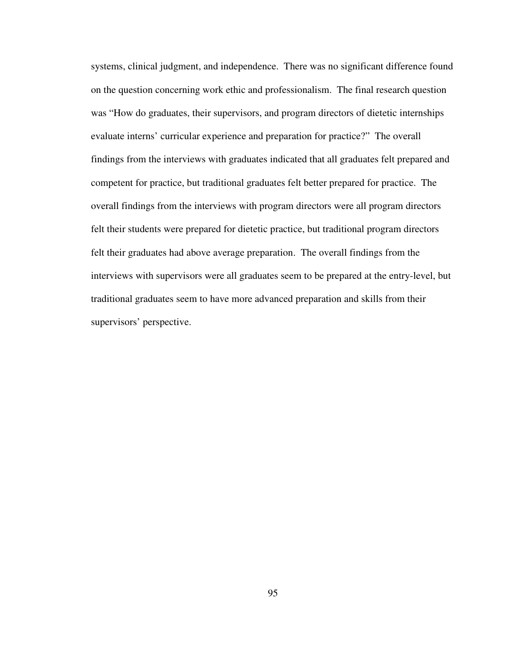systems, clinical judgment, and independence. There was no significant difference found on the question concerning work ethic and professionalism. The final research question was "How do graduates, their supervisors, and program directors of dietetic internships evaluate interns' curricular experience and preparation for practice?" The overall findings from the interviews with graduates indicated that all graduates felt prepared and competent for practice, but traditional graduates felt better prepared for practice. The overall findings from the interviews with program directors were all program directors felt their students were prepared for dietetic practice, but traditional program directors felt their graduates had above average preparation. The overall findings from the interviews with supervisors were all graduates seem to be prepared at the entry-level, but traditional graduates seem to have more advanced preparation and skills from their supervisors' perspective.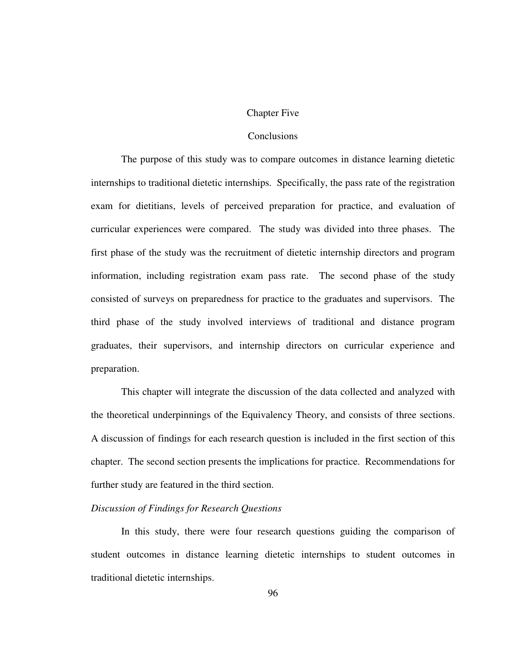#### Chapter Five

## **Conclusions**

The purpose of this study was to compare outcomes in distance learning dietetic internships to traditional dietetic internships. Specifically, the pass rate of the registration exam for dietitians, levels of perceived preparation for practice, and evaluation of curricular experiences were compared. The study was divided into three phases. The first phase of the study was the recruitment of dietetic internship directors and program information, including registration exam pass rate. The second phase of the study consisted of surveys on preparedness for practice to the graduates and supervisors. The third phase of the study involved interviews of traditional and distance program graduates, their supervisors, and internship directors on curricular experience and preparation.

This chapter will integrate the discussion of the data collected and analyzed with the theoretical underpinnings of the Equivalency Theory, and consists of three sections. A discussion of findings for each research question is included in the first section of this chapter. The second section presents the implications for practice. Recommendations for further study are featured in the third section.

# *Discussion of Findings for Research Questions*

 In this study, there were four research questions guiding the comparison of student outcomes in distance learning dietetic internships to student outcomes in traditional dietetic internships.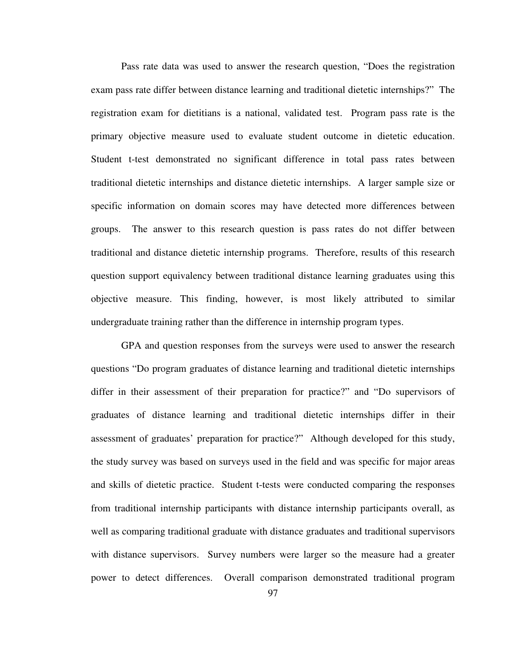Pass rate data was used to answer the research question, "Does the registration exam pass rate differ between distance learning and traditional dietetic internships?" The registration exam for dietitians is a national, validated test. Program pass rate is the primary objective measure used to evaluate student outcome in dietetic education. Student t-test demonstrated no significant difference in total pass rates between traditional dietetic internships and distance dietetic internships. A larger sample size or specific information on domain scores may have detected more differences between groups. The answer to this research question is pass rates do not differ between traditional and distance dietetic internship programs. Therefore, results of this research question support equivalency between traditional distance learning graduates using this objective measure. This finding, however, is most likely attributed to similar undergraduate training rather than the difference in internship program types.

GPA and question responses from the surveys were used to answer the research questions "Do program graduates of distance learning and traditional dietetic internships differ in their assessment of their preparation for practice?" and "Do supervisors of graduates of distance learning and traditional dietetic internships differ in their assessment of graduates' preparation for practice?" Although developed for this study, the study survey was based on surveys used in the field and was specific for major areas and skills of dietetic practice. Student t-tests were conducted comparing the responses from traditional internship participants with distance internship participants overall, as well as comparing traditional graduate with distance graduates and traditional supervisors with distance supervisors. Survey numbers were larger so the measure had a greater power to detect differences. Overall comparison demonstrated traditional program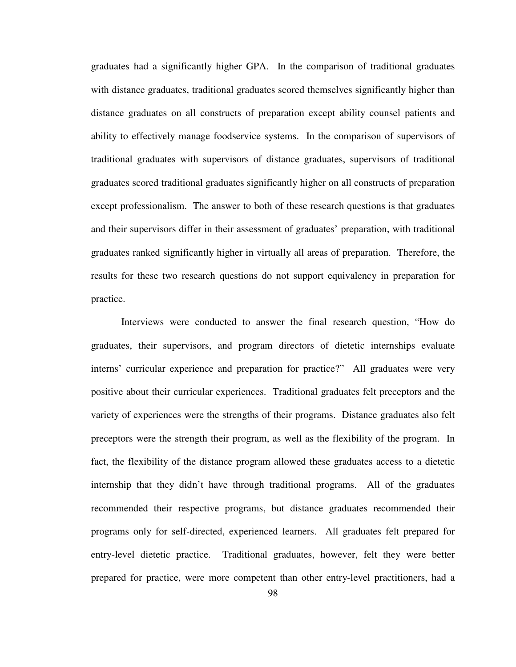graduates had a significantly higher GPA. In the comparison of traditional graduates with distance graduates, traditional graduates scored themselves significantly higher than distance graduates on all constructs of preparation except ability counsel patients and ability to effectively manage foodservice systems. In the comparison of supervisors of traditional graduates with supervisors of distance graduates, supervisors of traditional graduates scored traditional graduates significantly higher on all constructs of preparation except professionalism. The answer to both of these research questions is that graduates and their supervisors differ in their assessment of graduates' preparation, with traditional graduates ranked significantly higher in virtually all areas of preparation. Therefore, the results for these two research questions do not support equivalency in preparation for practice.

 Interviews were conducted to answer the final research question, "How do graduates, their supervisors, and program directors of dietetic internships evaluate interns' curricular experience and preparation for practice?" All graduates were very positive about their curricular experiences. Traditional graduates felt preceptors and the variety of experiences were the strengths of their programs. Distance graduates also felt preceptors were the strength their program, as well as the flexibility of the program. In fact, the flexibility of the distance program allowed these graduates access to a dietetic internship that they didn't have through traditional programs. All of the graduates recommended their respective programs, but distance graduates recommended their programs only for self-directed, experienced learners. All graduates felt prepared for entry-level dietetic practice. Traditional graduates, however, felt they were better prepared for practice, were more competent than other entry-level practitioners, had a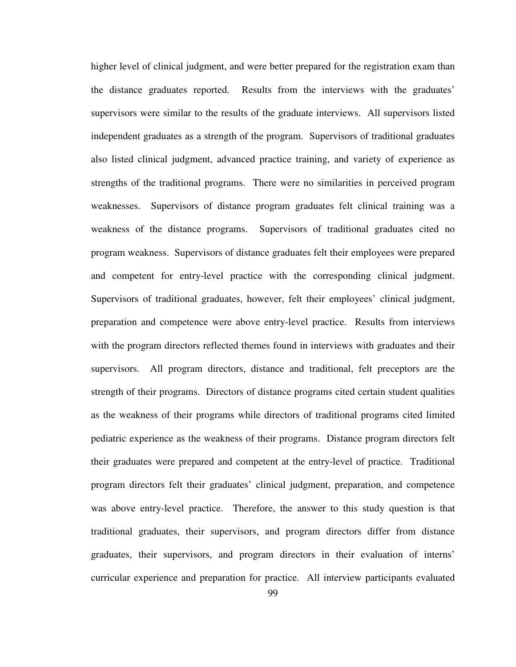higher level of clinical judgment, and were better prepared for the registration exam than the distance graduates reported. Results from the interviews with the graduates' supervisors were similar to the results of the graduate interviews. All supervisors listed independent graduates as a strength of the program. Supervisors of traditional graduates also listed clinical judgment, advanced practice training, and variety of experience as strengths of the traditional programs. There were no similarities in perceived program weaknesses. Supervisors of distance program graduates felt clinical training was a weakness of the distance programs. Supervisors of traditional graduates cited no program weakness. Supervisors of distance graduates felt their employees were prepared and competent for entry-level practice with the corresponding clinical judgment. Supervisors of traditional graduates, however, felt their employees' clinical judgment, preparation and competence were above entry-level practice. Results from interviews with the program directors reflected themes found in interviews with graduates and their supervisors. All program directors, distance and traditional, felt preceptors are the strength of their programs. Directors of distance programs cited certain student qualities as the weakness of their programs while directors of traditional programs cited limited pediatric experience as the weakness of their programs. Distance program directors felt their graduates were prepared and competent at the entry-level of practice. Traditional program directors felt their graduates' clinical judgment, preparation, and competence was above entry-level practice. Therefore, the answer to this study question is that traditional graduates, their supervisors, and program directors differ from distance graduates, their supervisors, and program directors in their evaluation of interns' curricular experience and preparation for practice. All interview participants evaluated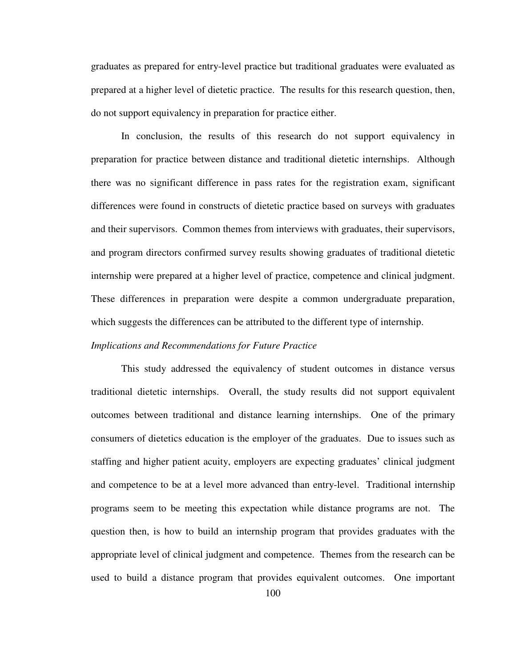graduates as prepared for entry-level practice but traditional graduates were evaluated as prepared at a higher level of dietetic practice. The results for this research question, then, do not support equivalency in preparation for practice either.

 In conclusion, the results of this research do not support equivalency in preparation for practice between distance and traditional dietetic internships. Although there was no significant difference in pass rates for the registration exam, significant differences were found in constructs of dietetic practice based on surveys with graduates and their supervisors. Common themes from interviews with graduates, their supervisors, and program directors confirmed survey results showing graduates of traditional dietetic internship were prepared at a higher level of practice, competence and clinical judgment. These differences in preparation were despite a common undergraduate preparation, which suggests the differences can be attributed to the different type of internship.

### *Implications and Recommendations for Future Practice*

This study addressed the equivalency of student outcomes in distance versus traditional dietetic internships. Overall, the study results did not support equivalent outcomes between traditional and distance learning internships. One of the primary consumers of dietetics education is the employer of the graduates. Due to issues such as staffing and higher patient acuity, employers are expecting graduates' clinical judgment and competence to be at a level more advanced than entry-level. Traditional internship programs seem to be meeting this expectation while distance programs are not. The question then, is how to build an internship program that provides graduates with the appropriate level of clinical judgment and competence. Themes from the research can be used to build a distance program that provides equivalent outcomes. One important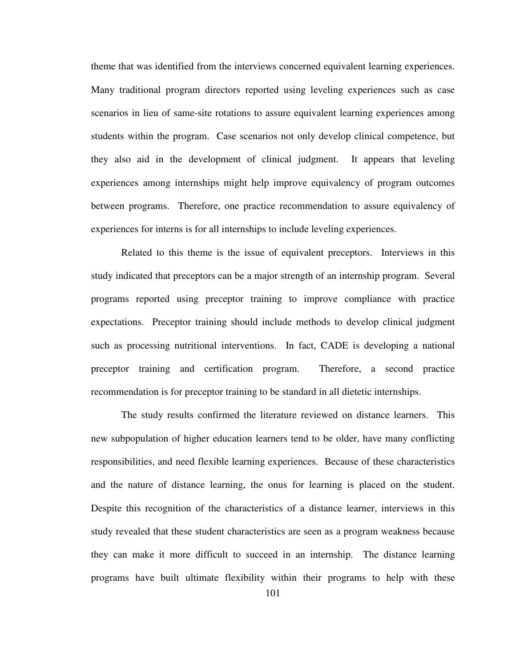theme that was identified from the interviews concerned equivalent learning experiences. Many traditional program directors reported using leveling experiences such as case scenarios in lieu of same-site rotations to assure equivalent learning experiences among students within the program. Case scenarios not only develop clinical competence, but they also aid in the development of clinical judgment. It appears that leveling experiences among internships might help improve equivalency of program outcomes between programs. Therefore, one practice recommendation to assure equivalency of experiences for interns is for all internships to include leveling experiences.

Related to this theme is the issue of equivalent preceptors. Interviews in this study indicated that preceptors can be a major strength of an internship program. Several programs reported using preceptor training to improve compliance with practice expectations. Preceptor training should include methods to develop clinical judgment such as processing nutritional interventions. In fact, CADE is developing a national preceptor training and certification program. Therefore, a second practice recommendation is for preceptor training to be standard in all dietetic internships.

The study results confirmed the literature reviewed on distance learners. This new subpopulation of higher education learners tend to be older, have many conflicting responsibilities, and need flexible learning experiences. Because of these characteristics and the nature of distance learning, the onus for learning is placed on the student. Despite this recognition of the characteristics of a distance learner, interviews in this study revealed that these student characteristics are seen as a program weakness because they can make it more difficult to succeed in an internship. The distance learning programs have built ultimate flexibility within their programs to help with these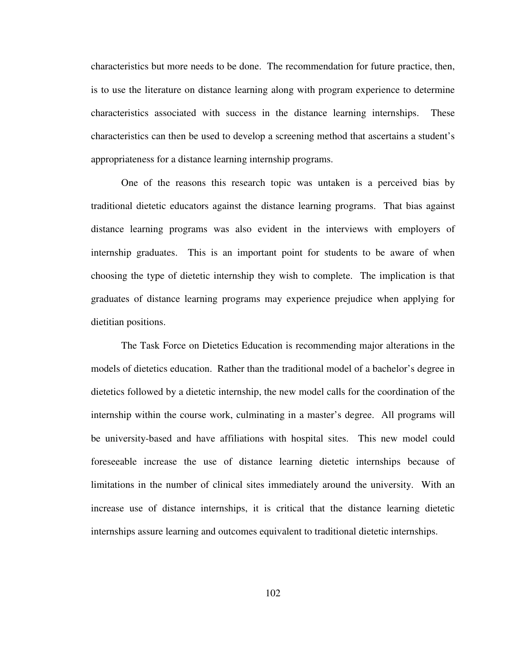characteristics but more needs to be done. The recommendation for future practice, then, is to use the literature on distance learning along with program experience to determine characteristics associated with success in the distance learning internships. These characteristics can then be used to develop a screening method that ascertains a student's appropriateness for a distance learning internship programs.

One of the reasons this research topic was untaken is a perceived bias by traditional dietetic educators against the distance learning programs. That bias against distance learning programs was also evident in the interviews with employers of internship graduates. This is an important point for students to be aware of when choosing the type of dietetic internship they wish to complete. The implication is that graduates of distance learning programs may experience prejudice when applying for dietitian positions.

The Task Force on Dietetics Education is recommending major alterations in the models of dietetics education. Rather than the traditional model of a bachelor's degree in dietetics followed by a dietetic internship, the new model calls for the coordination of the internship within the course work, culminating in a master's degree. All programs will be university-based and have affiliations with hospital sites. This new model could foreseeable increase the use of distance learning dietetic internships because of limitations in the number of clinical sites immediately around the university. With an increase use of distance internships, it is critical that the distance learning dietetic internships assure learning and outcomes equivalent to traditional dietetic internships.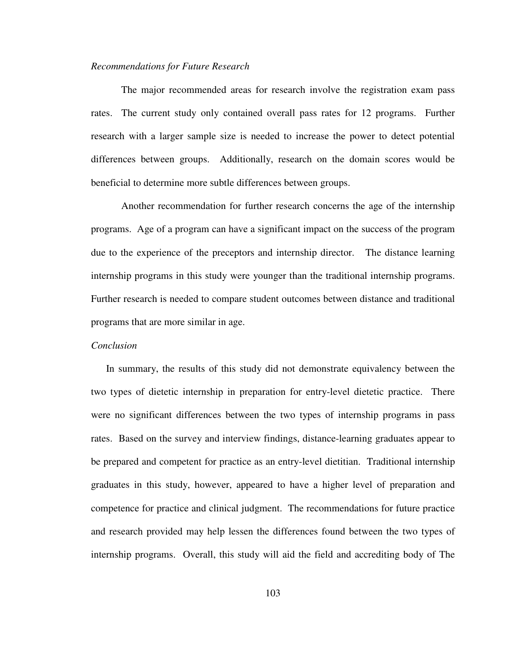#### *Recommendations for Future Research*

 The major recommended areas for research involve the registration exam pass rates. The current study only contained overall pass rates for 12 programs. Further research with a larger sample size is needed to increase the power to detect potential differences between groups. Additionally, research on the domain scores would be beneficial to determine more subtle differences between groups.

Another recommendation for further research concerns the age of the internship programs. Age of a program can have a significant impact on the success of the program due to the experience of the preceptors and internship director. The distance learning internship programs in this study were younger than the traditional internship programs. Further research is needed to compare student outcomes between distance and traditional programs that are more similar in age.

#### *Conclusion*

In summary, the results of this study did not demonstrate equivalency between the two types of dietetic internship in preparation for entry-level dietetic practice. There were no significant differences between the two types of internship programs in pass rates. Based on the survey and interview findings, distance-learning graduates appear to be prepared and competent for practice as an entry-level dietitian. Traditional internship graduates in this study, however, appeared to have a higher level of preparation and competence for practice and clinical judgment. The recommendations for future practice and research provided may help lessen the differences found between the two types of internship programs. Overall, this study will aid the field and accrediting body of The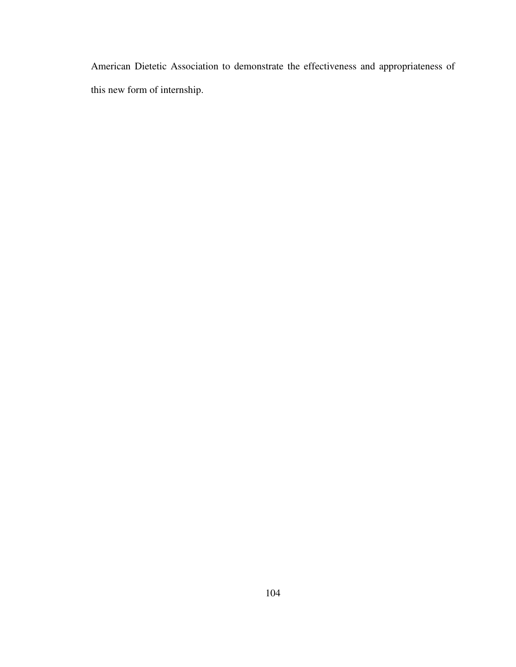American Dietetic Association to demonstrate the effectiveness and appropriateness of this new form of internship.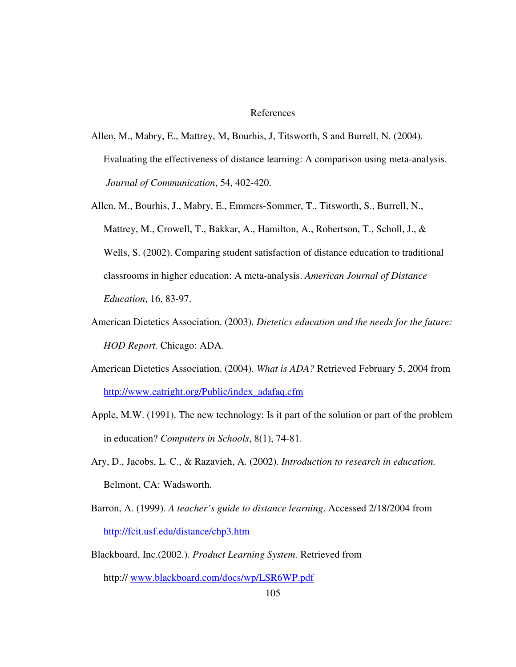#### References

- Allen, M., Mabry, E., Mattrey, M, Bourhis, J, Titsworth, S and Burrell, N. (2004). Evaluating the effectiveness of distance learning: A comparison using meta-analysis. *Journal of Communication*, 54, 402-420.
- Allen, M., Bourhis, J., Mabry, E., Emmers-Sommer, T., Titsworth, S., Burrell, N., Mattrey, M., Crowell, T., Bakkar, A., Hamilton, A., Robertson, T., Scholl, J., & Wells, S. (2002). Comparing student satisfaction of distance education to traditional classrooms in higher education: A meta-analysis. *American Journal of Distance Education*, 16, 83-97.
- American Dietetics Association. (2003). *Dietetics education and the needs for the future: HOD Report*. Chicago: ADA.
- American Dietetics Association. (2004). *What is ADA?* Retrieved February 5, 2004 from http://www.eatright.org/Public/index\_adafaq.cfm
- Apple, M.W. (1991). The new technology: Is it part of the solution or part of the problem in education? *Computers in Schools*, 8(1), 74-81.
- Ary, D., Jacobs, L. C., & Razavieh, A. (2002). *Introduction to research in education.* Belmont, CA: Wadsworth.
- Barron, A. (1999). *A teacher's guide to distance learning*. Accessed 2/18/2004 from http://fcit.usf.edu/distance/chp3.htm
- Blackboard, Inc.(2002.). *Product Learning System.* Retrieved from http:// www.blackboard.com/docs/wp/LSR6WP.pdf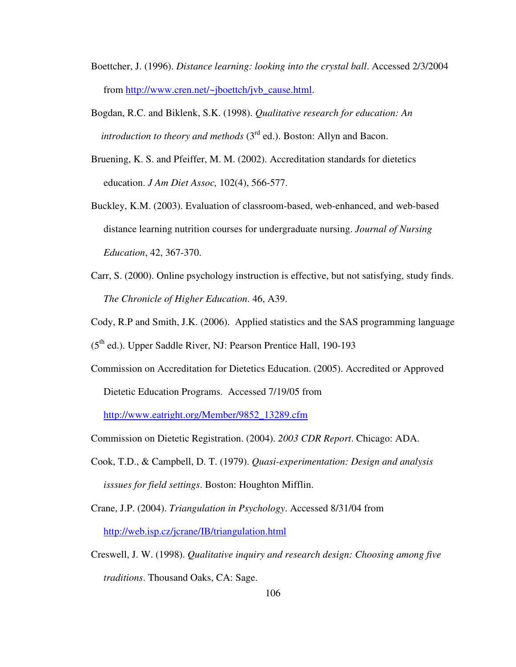- Boettcher, J. (1996). *Distance learning: looking into the crystal ball*. Accessed 2/3/2004 from http://www.cren.net/~jboettch/jvb\_cause.html.
- Bogdan, R.C. and Biklenk, S.K. (1998). *Qualitative research for education: An introduction to theory and methods*  $(3<sup>rd</sup>$  ed.). Boston: Allyn and Bacon.
- Bruening, K. S. and Pfeiffer, M. M. (2002). Accreditation standards for dietetics education. *J Am Diet Assoc,* 102(4), 566-577.
- Buckley, K.M. (2003). Evaluation of classroom-based, web-enhanced, and web-based distance learning nutrition courses for undergraduate nursing. *Journal of Nursing Education*, 42, 367-370.
- Carr, S. (2000). Online psychology instruction is effective, but not satisfying, study finds. *The Chronicle of Higher Education*. 46, A39.
- Cody, R.P and Smith, J.K. (2006). Applied statistics and the SAS programming language

(5th ed.). Upper Saddle River, NJ: Pearson Prentice Hall, 190-193

Commission on Accreditation for Dietetics Education. (2005). Accredited or Approved Dietetic Education Programs. Accessed 7/19/05 from

http://www.eatright.org/Member/9852\_13289.cfm

- Commission on Dietetic Registration. (2004). *2003 CDR Report*. Chicago: ADA.
- Cook, T.D., & Campbell, D. T. (1979). *Quasi-experimentation: Design and analysis isssues for field settings*. Boston: Houghton Mifflin.
- Crane, J.P. (2004). *Triangulation in Psychology*. Accessed 8/31/04 from http://web.isp.cz/jcrane/IB/triangulation.html
- Creswell, J. W. (1998). *Qualitative inquiry and research design: Choosing among five traditions*. Thousand Oaks, CA: Sage.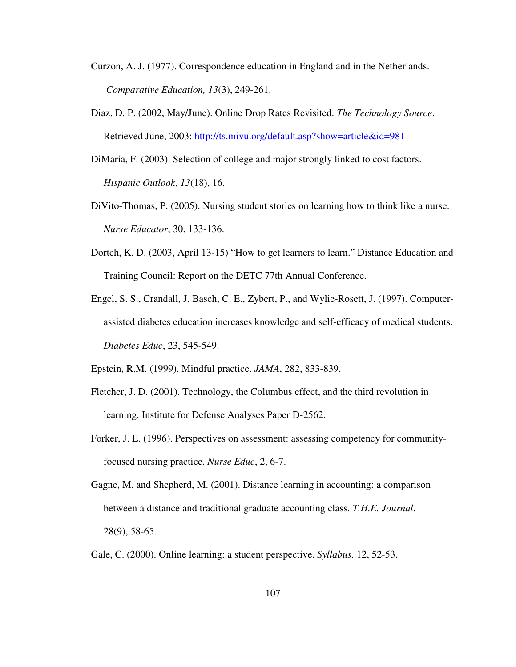- Curzon, A. J. (1977). Correspondence education in England and in the Netherlands. *Comparative Education, 13*(3), 249-261.
- Diaz, D. P. (2002, May/June). Online Drop Rates Revisited. *The Technology Source*. Retrieved June, 2003: http://ts.mivu.org/default.asp?show=article&id=981
- DiMaria, F. (2003). Selection of college and major strongly linked to cost factors. *Hispanic Outlook*, *13*(18), 16.
- DiVito-Thomas, P. (2005). Nursing student stories on learning how to think like a nurse.  *Nurse Educator*, 30, 133-136.
- Dortch, K. D. (2003, April 13-15) "How to get learners to learn." Distance Education and Training Council: Report on the DETC 77th Annual Conference.
- Engel, S. S., Crandall, J. Basch, C. E., Zybert, P., and Wylie-Rosett, J. (1997). Computer assisted diabetes education increases knowledge and self-efficacy of medical students. *Diabetes Educ*, 23, 545-549.
- Epstein, R.M. (1999). Mindful practice. *JAMA*, 282, 833-839.
- Fletcher, J. D. (2001). Technology, the Columbus effect, and the third revolution in learning. Institute for Defense Analyses Paper D-2562.
- Forker, J. E. (1996). Perspectives on assessment: assessing competency for community focused nursing practice. *Nurse Educ*, 2, 6-7.
- Gagne, M. and Shepherd, M. (2001). Distance learning in accounting: a comparison between a distance and traditional graduate accounting class. *T.H.E. Journal*. 28(9), 58-65.
- Gale, C. (2000). Online learning: a student perspective. *Syllabus*. 12, 52-53.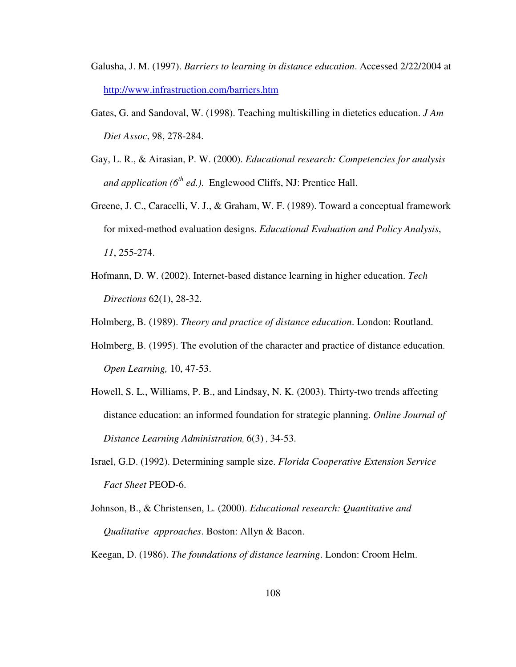- Galusha, J. M. (1997). *Barriers to learning in distance education*. Accessed 2/22/2004 at http://www.infrastruction.com/barriers.htm
- Gates, G. and Sandoval, W. (1998). Teaching multiskilling in dietetics education. *J Am Diet Assoc*, 98, 278-284.
- Gay, L. R., & Airasian, P. W. (2000). *Educational research: Competencies for analysis and application (6th ed.)*. Englewood Cliffs, NJ: Prentice Hall.
- Greene, J. C., Caracelli, V. J., & Graham, W. F. (1989). Toward a conceptual framework for mixed-method evaluation designs. *Educational Evaluation and Policy Analysis*, *11*, 255-274.
- Hofmann, D. W. (2002). Internet-based distance learning in higher education. *Tech Directions* 62(1), 28-32.

Holmberg, B. (1989). *Theory and practice of distance education*. London: Routland.

- Holmberg, B. (1995). The evolution of the character and practice of distance education. *Open Learning,* 10, 47-53.
- Howell, S. L., Williams, P. B., and Lindsay, N. K. (2003). Thirty-two trends affecting distance education: an informed foundation for strategic planning. *Online Journal of Distance Learning Administration,* 6(3) *,* 34-53.
- Israel, G.D. (1992). Determining sample size. *Florida Cooperative Extension Service Fact Sheet* PEOD-6.
- Johnson, B., & Christensen, L. (2000). *Educational research: Quantitative and Qualitative approaches*. Boston: Allyn & Bacon.

Keegan, D. (1986). *The foundations of distance learning*. London: Croom Helm.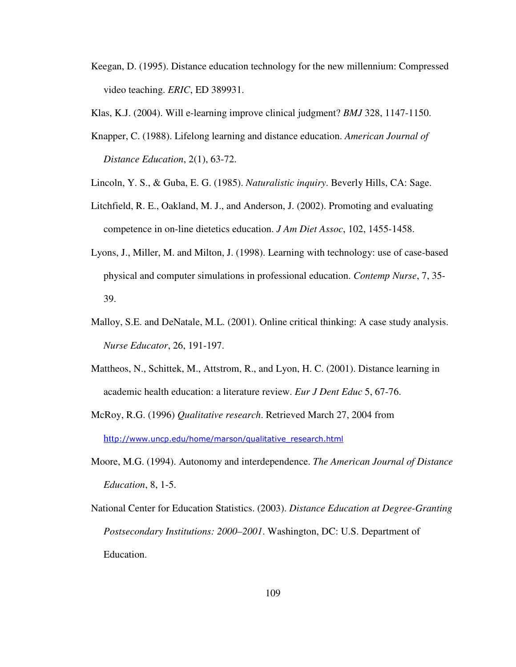- Keegan, D. (1995). Distance education technology for the new millennium: Compressed video teaching. *ERIC*, ED 389931.
- Klas, K.J. (2004). Will e-learning improve clinical judgment? *BMJ* 328, 1147-1150.
- Knapper, C. (1988). Lifelong learning and distance education. *American Journal of Distance Education*, 2(1), 63-72.
- Lincoln, Y. S., & Guba, E. G. (1985). *Naturalistic inquiry*. Beverly Hills, CA: Sage.
- Litchfield, R. E., Oakland, M. J., and Anderson, J. (2002). Promoting and evaluating competence in on-line dietetics education. *J Am Diet Assoc*, 102, 1455-1458.
- Lyons, J., Miller, M. and Milton, J. (1998). Learning with technology: use of case-based physical and computer simulations in professional education. *Contemp Nurse*, 7, 35- 39.
- Malloy, S.E. and DeNatale, M.L. (2001). Online critical thinking: A case study analysis.  *Nurse Educator*, 26, 191-197.
- Mattheos, N., Schittek, M., Attstrom, R., and Lyon, H. C. (2001). Distance learning in academic health education: a literature review. *Eur J Dent Educ* 5, 67-76.
- McRoy, R.G. (1996) *Qualitative research*. Retrieved March 27, 2004 from http://www.uncp.edu/home/marson/qualitative\_research.html
- Moore, M.G. (1994). Autonomy and interdependence. *The American Journal of Distance Education*, 8, 1-5.
- National Center for Education Statistics. (2003). *Distance Education at Degree-Granting Postsecondary Institutions: 2000–2001*. Washington, DC: U.S. Department of Education.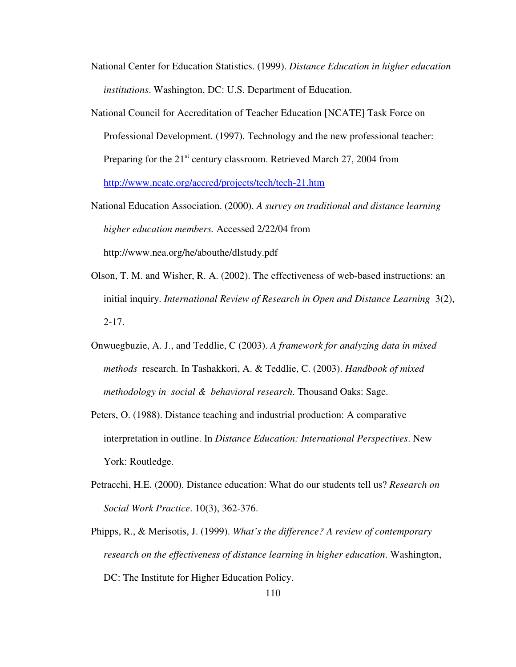- National Center for Education Statistics. (1999). *Distance Education in higher education institutions*. Washington, DC: U.S. Department of Education.
- National Council for Accreditation of Teacher Education [NCATE] Task Force on Professional Development. (1997). Technology and the new professional teacher: Preparing for the  $21<sup>st</sup>$  century classroom. Retrieved March 27, 2004 from http://www.ncate.org/accred/projects/tech/tech-21.htm
- National Education Association. (2000). *A survey on traditional and distance learning higher education members.* Accessed 2/22/04 from http://www.nea.org/he/abouthe/dlstudy.pdf
- Olson, T. M. and Wisher, R. A. (2002). The effectiveness of web-based instructions: an initial inquiry. *International Review of Research in Open and Distance Learning* 3(2),  $2 - 17$ .
- Onwuegbuzie, A. J., and Teddlie, C (2003). *A framework for analyzing data in mixed methods* research. In Tashakkori, A. & Teddlie, C. (2003). *Handbook of mixed methodology in social & behavioral research*. Thousand Oaks: Sage.
- Peters, O. (1988). Distance teaching and industrial production: A comparative interpretation in outline. In *Distance Education: International Perspectives*. New York: Routledge.
- Petracchi, H.E. (2000). Distance education: What do our students tell us? *Research on Social Work Practice*. 10(3), 362-376.
- Phipps, R., & Merisotis, J. (1999). *What's the difference? A review of contemporary research on the effectiveness of distance learning in higher education*. Washington, DC: The Institute for Higher Education Policy.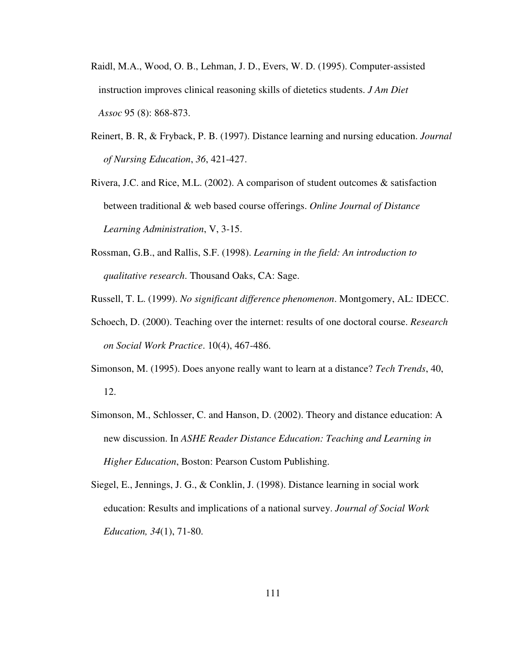- Raidl, M.A., Wood, O. B., Lehman, J. D., Evers, W. D. (1995). Computer-assisted instruction improves clinical reasoning skills of dietetics students. *J Am Diet Assoc* 95 (8): 868-873.
- Reinert, B. R, & Fryback, P. B. (1997). Distance learning and nursing education. *Journal of Nursing Education*, *36*, 421-427.
- Rivera, J.C. and Rice, M.L. (2002). A comparison of student outcomes & satisfaction between traditional & web based course offerings. *Online Journal of Distance Learning Administration*, V, 3-15.
- Rossman, G.B., and Rallis, S.F. (1998). *Learning in the field: An introduction to qualitative research*. Thousand Oaks, CA: Sage.
- Russell, T. L. (1999). *No significant difference phenomenon*. Montgomery, AL: IDECC.
- Schoech, D. (2000). Teaching over the internet: results of one doctoral course. *Research on Social Work Practice*. 10(4), 467-486.
- Simonson, M. (1995). Does anyone really want to learn at a distance? *Tech Trends*, 40, 12.
- Simonson, M., Schlosser, C. and Hanson, D. (2002). Theory and distance education: A new discussion. In *ASHE Reader Distance Education: Teaching and Learning in Higher Education*, Boston: Pearson Custom Publishing.
- Siegel, E., Jennings, J. G., & Conklin, J. (1998). Distance learning in social work education: Results and implications of a national survey. *Journal of Social Work Education, 34*(1), 71-80.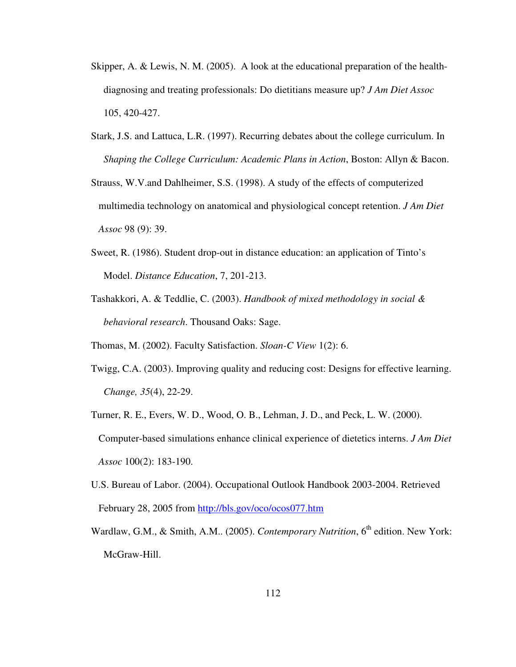- Skipper, A. & Lewis, N. M. (2005). A look at the educational preparation of the health diagnosing and treating professionals: Do dietitians measure up? *J Am Diet Assoc* 105, 420-427.
- Stark, J.S. and Lattuca, L.R. (1997). Recurring debates about the college curriculum. In *Shaping the College Curriculum: Academic Plans in Action*, Boston: Allyn & Bacon.
- Strauss, W.V.and Dahlheimer, S.S. (1998). A study of the effects of computerized multimedia technology on anatomical and physiological concept retention. *J Am Diet Assoc* 98 (9): 39.
- Sweet, R. (1986). Student drop-out in distance education: an application of Tinto's Model. *Distance Education*, 7, 201-213.
- Tashakkori, A. & Teddlie, C. (2003). *Handbook of mixed methodology in social & behavioral research*. Thousand Oaks: Sage.

Thomas, M. (2002). Faculty Satisfaction. *Sloan-C View* 1(2): 6.

- Twigg, C.A. (2003). Improving quality and reducing cost: Designs for effective learning. *Change, 35*(4), 22-29.
- Turner, R. E., Evers, W. D., Wood, O. B., Lehman, J. D., and Peck, L. W. (2000). Computer-based simulations enhance clinical experience of dietetics interns. *J Am Diet Assoc* 100(2): 183-190.
- U.S. Bureau of Labor. (2004). Occupational Outlook Handbook 2003-2004. Retrieved February 28, 2005 from http://bls.gov/oco/ocos077.htm
- Wardlaw, G.M., & Smith, A.M.. (2005). *Contemporary Nutrition*, 6<sup>th</sup> edition. New York: McGraw-Hill.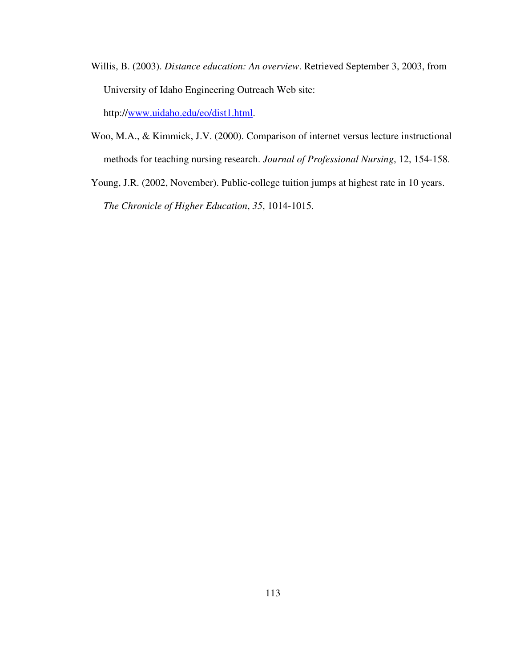- Willis, B. (2003). *Distance education: An overview*. Retrieved September 3, 2003, from University of Idaho Engineering Outreach Web site: http://www.uidaho.edu/eo/dist1.html.
- Woo, M.A., & Kimmick, J.V. (2000). Comparison of internet versus lecture instructional methods for teaching nursing research. *Journal of Professional Nursing*, 12, 154-158.
- Young, J.R. (2002, November). Public-college tuition jumps at highest rate in 10 years. *The Chronicle of Higher Education*, *35*, 1014-1015.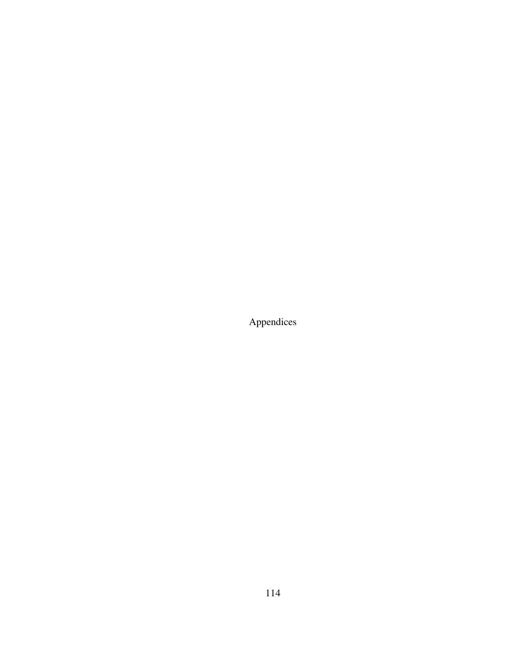Appendices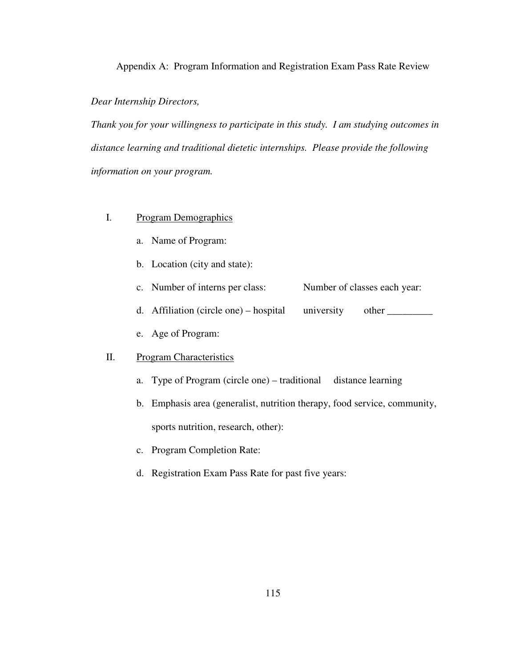Appendix A: Program Information and Registration Exam Pass Rate Review

#### *Dear Internship Directors,*

*Thank you for your willingness to participate in this study. I am studying outcomes in distance learning and traditional dietetic internships. Please provide the following information on your program.* 

- I. Program Demographics
	- a. Name of Program:
	- b. Location (city and state):
	- c. Number of interns per class: Number of classes each year:
	- d. Affiliation (circle one) hospital university other \_\_\_\_\_\_\_\_\_\_\_\_\_\_\_\_\_\_\_\_\_\_\_\_
	- e. Age of Program:

# II. Program Characteristics

- a. Type of Program (circle one) traditional distance learning
- b. Emphasis area (generalist, nutrition therapy, food service, community, sports nutrition, research, other):
- c. Program Completion Rate:
- d. Registration Exam Pass Rate for past five years: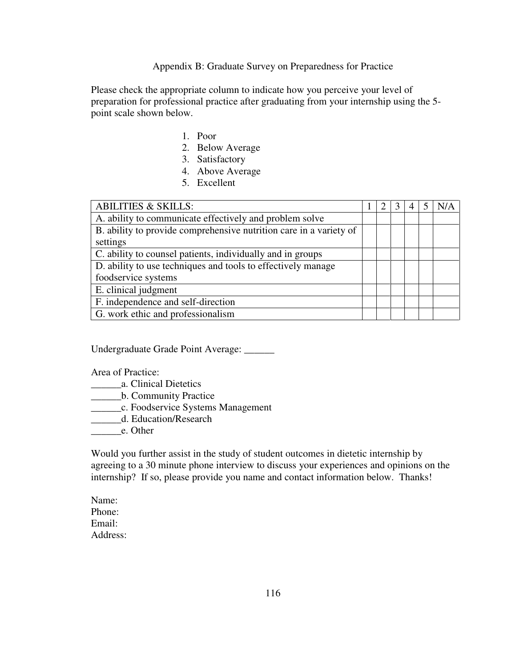Appendix B: Graduate Survey on Preparedness for Practice

Please check the appropriate column to indicate how you perceive your level of preparation for professional practice after graduating from your internship using the 5 point scale shown below.

- 1. Poor
- 2. Below Average
- 3. Satisfactory
- 4. Above Average
- 5. Excellent

| <b>ABILITIES &amp; SKILLS:</b>                                     |  | 3 |  |  |
|--------------------------------------------------------------------|--|---|--|--|
| A. ability to communicate effectively and problem solve            |  |   |  |  |
| B. ability to provide comprehensive nutrition care in a variety of |  |   |  |  |
| settings                                                           |  |   |  |  |
| C. ability to counsel patients, individually and in groups         |  |   |  |  |
| D. ability to use techniques and tools to effectively manage       |  |   |  |  |
| foodservice systems                                                |  |   |  |  |
| E. clinical judgment                                               |  |   |  |  |
| F. independence and self-direction                                 |  |   |  |  |
| G. work ethic and professionalism                                  |  |   |  |  |

Undergraduate Grade Point Average: \_\_\_\_\_\_

Area of Practice:

- \_\_\_\_\_\_a. Clinical Dietetics
- \_\_\_\_\_\_b. Community Practice
- \_\_\_\_\_\_c. Foodservice Systems Management
- \_\_\_\_\_\_d. Education/Research
- \_\_\_\_\_\_e. Other

Would you further assist in the study of student outcomes in dietetic internship by agreeing to a 30 minute phone interview to discuss your experiences and opinions on the internship? If so, please provide you name and contact information below. Thanks!

Name: Phone: Email: Address: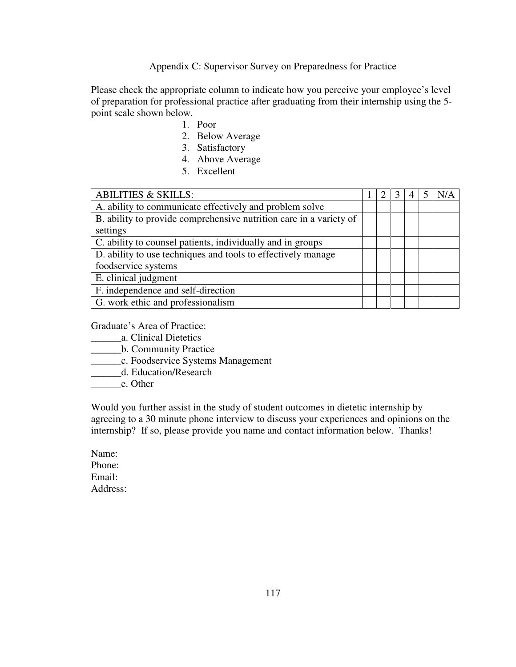Appendix C: Supervisor Survey on Preparedness for Practice

Please check the appropriate column to indicate how you perceive your employee's level of preparation for professional practice after graduating from their internship using the 5 point scale shown below.

- 1. Poor
- 2. Below Average
- 3. Satisfactory
- 4. Above Average
- 5. Excellent

| <b>ABILITIES &amp; SKILLS:</b>                                     |  | 3 | 4 | N/A |
|--------------------------------------------------------------------|--|---|---|-----|
| A. ability to communicate effectively and problem solve            |  |   |   |     |
| B. ability to provide comprehensive nutrition care in a variety of |  |   |   |     |
| settings                                                           |  |   |   |     |
| C. ability to counsel patients, individually and in groups         |  |   |   |     |
| D. ability to use techniques and tools to effectively manage       |  |   |   |     |
| foodservice systems                                                |  |   |   |     |
| E. clinical judgment                                               |  |   |   |     |
| F. independence and self-direction                                 |  |   |   |     |
| G. work ethic and professionalism                                  |  |   |   |     |

Graduate's Area of Practice:

- \_\_\_\_\_\_a. Clinical Dietetics
- \_\_\_\_\_\_b. Community Practice
- \_\_\_\_\_\_c. Foodservice Systems Management
- \_\_\_\_\_\_d. Education/Research
- e. Other

Would you further assist in the study of student outcomes in dietetic internship by agreeing to a 30 minute phone interview to discuss your experiences and opinions on the internship? If so, please provide you name and contact information below. Thanks!

Name: Phone: Email: Address: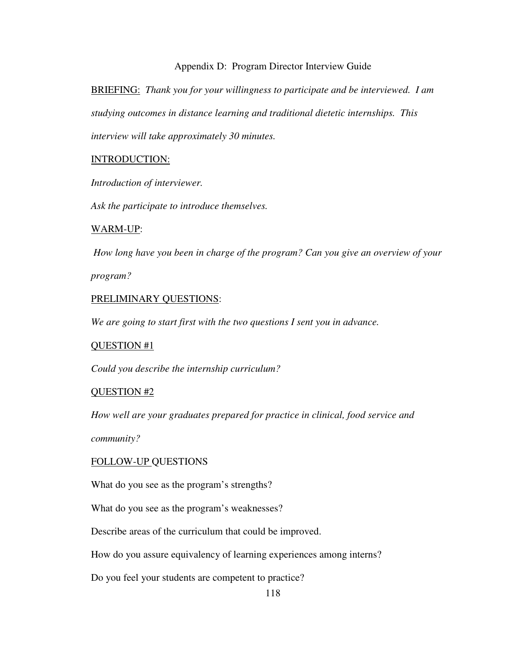## Appendix D: Program Director Interview Guide

BRIEFING: *Thank you for your willingness to participate and be interviewed. I am studying outcomes in distance learning and traditional dietetic internships. This interview will take approximately 30 minutes.* 

# INTRODUCTION:

*Introduction of interviewer.* 

*Ask the participate to introduce themselves.* 

# WARM-UP:

*How long have you been in charge of the program? Can you give an overview of your program?* 

# PRELIMINARY QUESTIONS:

*We are going to start first with the two questions I sent you in advance.* 

## QUESTION #1

*Could you describe the internship curriculum?* 

## QUESTION #2

*How well are your graduates prepared for practice in clinical, food service and* 

*community?* 

## FOLLOW-UP QUESTIONS

What do you see as the program's strengths?

What do you see as the program's weaknesses?

Describe areas of the curriculum that could be improved.

How do you assure equivalency of learning experiences among interns?

Do you feel your students are competent to practice?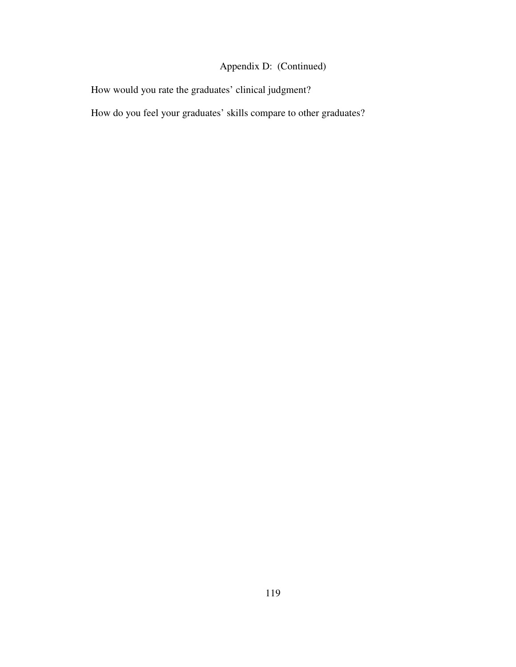# Appendix D: (Continued)

How would you rate the graduates' clinical judgment?

How do you feel your graduates' skills compare to other graduates?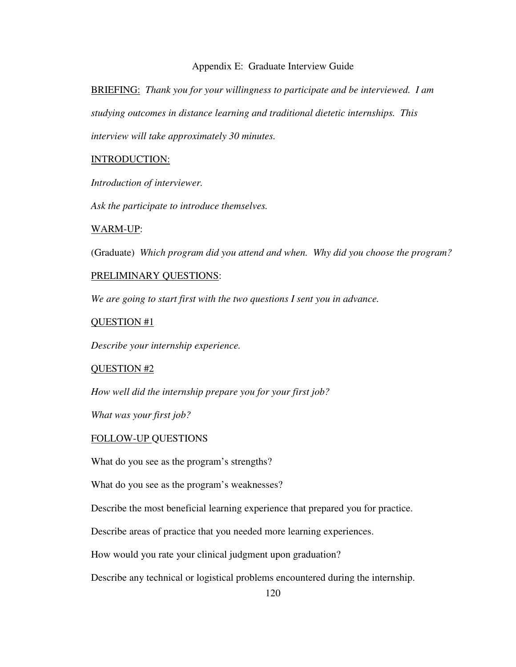## Appendix E: Graduate Interview Guide

BRIEFING: *Thank you for your willingness to participate and be interviewed. I am studying outcomes in distance learning and traditional dietetic internships. This interview will take approximately 30 minutes.* 

### INTRODUCTION:

*Introduction of interviewer.* 

*Ask the participate to introduce themselves.* 

#### WARM-UP:

(Graduate) *Which program did you attend and when. Why did you choose the program?* 

#### PRELIMINARY QUESTIONS:

*We are going to start first with the two questions I sent you in advance.* 

#### QUESTION #1

*Describe your internship experience.* 

#### QUESTION #2

*How well did the internship prepare you for your first job?* 

*What was your first job?* 

#### FOLLOW-UP QUESTIONS

What do you see as the program's strengths?

What do you see as the program's weaknesses?

Describe the most beneficial learning experience that prepared you for practice.

Describe areas of practice that you needed more learning experiences.

How would you rate your clinical judgment upon graduation?

Describe any technical or logistical problems encountered during the internship.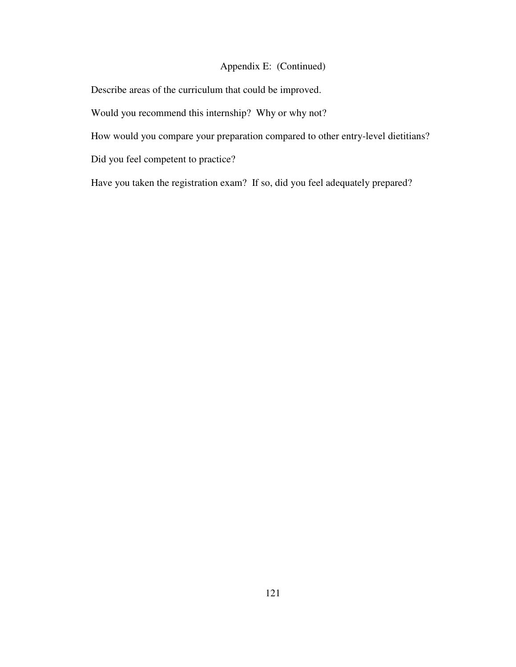# Appendix E: (Continued)

Describe areas of the curriculum that could be improved.

Would you recommend this internship? Why or why not?

How would you compare your preparation compared to other entry-level dietitians?

Did you feel competent to practice?

Have you taken the registration exam? If so, did you feel adequately prepared?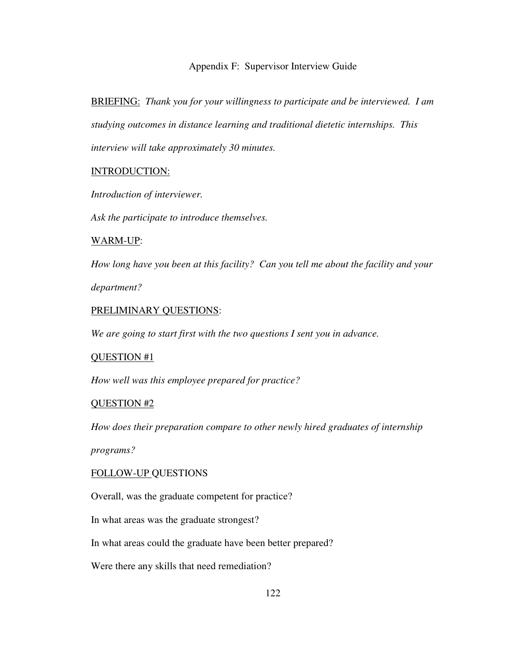### Appendix F: Supervisor Interview Guide

BRIEFING: *Thank you for your willingness to participate and be interviewed. I am studying outcomes in distance learning and traditional dietetic internships. This interview will take approximately 30 minutes.* 

## INTRODUCTION:

*Introduction of interviewer.* 

*Ask the participate to introduce themselves.* 

#### WARM-UP:

*How long have you been at this facility? Can you tell me about the facility and your department?* 

# PRELIMINARY QUESTIONS:

*We are going to start first with the two questions I sent you in advance.* 

#### QUESTION #1

*How well was this employee prepared for practice?* 

## QUESTION #2

*How does their preparation compare to other newly hired graduates of internship* 

*programs?* 

## FOLLOW-UP QUESTIONS

Overall, was the graduate competent for practice?

In what areas was the graduate strongest?

In what areas could the graduate have been better prepared?

Were there any skills that need remediation?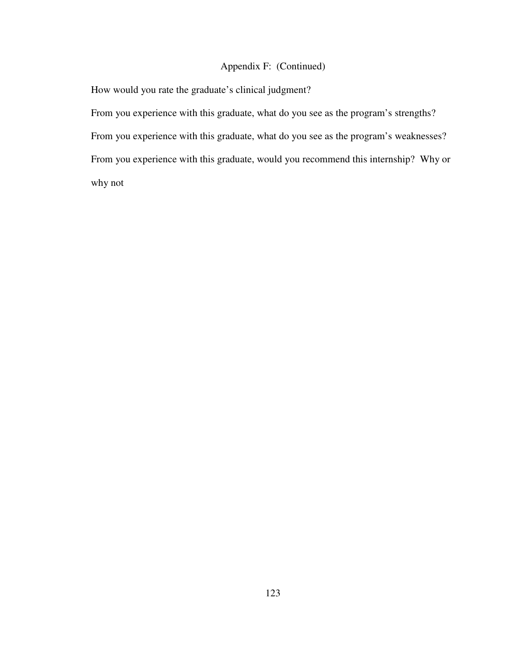# Appendix F: (Continued)

How would you rate the graduate's clinical judgment?

From you experience with this graduate, what do you see as the program's strengths? From you experience with this graduate, what do you see as the program's weaknesses? From you experience with this graduate, would you recommend this internship? Why or why not